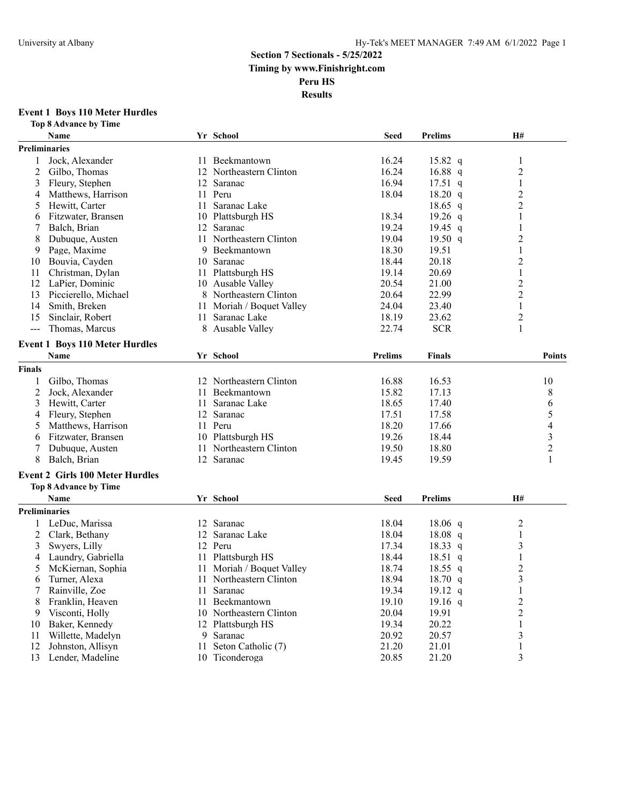#### **Event 1 Boys 110 Meter Hurdles**

|               | <b>Top 8 Advance by Time</b>           |    |                           |                |                   |                          |
|---------------|----------------------------------------|----|---------------------------|----------------|-------------------|--------------------------|
|               | Name                                   |    | Yr School                 | <b>Seed</b>    | <b>Prelims</b>    | <b>H#</b>                |
|               | <b>Preliminaries</b>                   |    |                           |                |                   |                          |
| 1             | Jock, Alexander                        |    | 11 Beekmantown            | 16.24          | 15.82 $q$         | 1                        |
| 2             | Gilbo, Thomas                          |    | 12 Northeastern Clinton   | 16.24          | 16.88 q           | 2                        |
| 3             | Fleury, Stephen                        | 12 | Saranac                   | 16.94          | $17.51$ q         | 1                        |
| 4             | Matthews, Harrison                     | 11 | Peru                      | 18.04          | 18.20 q           | $\overline{c}$           |
| 5             | Hewitt, Carter                         | 11 | Saranac Lake              |                | $18.65$ q         | $\overline{c}$           |
| 6             | Fitzwater, Bransen                     | 10 | Plattsburgh HS            | 18.34          | 19.26 $q$         | 1                        |
| 7             | Balch, Brian                           | 12 | Saranac                   | 19.24          | 19.45 $q$         | 1                        |
| 8             | Dubuque, Austen                        |    | 11 Northeastern Clinton   | 19.04          | 19.50 $q$         | 2                        |
| 9             | Page, Maxime                           |    | 9 Beekmantown             | 18.30          | 19.51             | 1                        |
| 10            | Bouvia, Cayden                         | 10 | Saranac                   | 18.44          | 20.18             | $\overline{c}$           |
| 11            | Christman, Dylan                       | 11 | Plattsburgh HS            | 19.14          | 20.69             | $\mathbf{1}$             |
| 12            | LaPier, Dominic                        | 10 | Ausable Valley            | 20.54          | 21.00             | $\overline{c}$           |
| 13            | Piccierello, Michael                   | 8  | Northeastern Clinton      | 20.64          | 22.99             | $\overline{c}$           |
| 14            | Smith, Breken                          | 11 | Moriah / Boquet Valley    | 24.04          | 23.40             | 1                        |
| 15            | Sinclair, Robert                       | 11 | Saranac Lake              | 18.19          | 23.62             | $\overline{c}$           |
| $ -$          | Thomas, Marcus                         | 8  | Ausable Valley            | 22.74          | <b>SCR</b>        | 1                        |
|               |                                        |    |                           |                |                   |                          |
|               | <b>Event 1 Boys 110 Meter Hurdles</b>  |    |                           |                |                   |                          |
|               | Name                                   |    | Yr School                 | <b>Prelims</b> | Finals            | <b>Points</b>            |
| <b>Finals</b> |                                        |    |                           |                |                   |                          |
| 1             | Gilbo, Thomas                          | 12 | Northeastern Clinton      | 16.88          | 16.53             | 10                       |
| 2             | Jock, Alexander                        | 11 | Beekmantown               | 15.82          | 17.13             | 8                        |
| 3             | Hewitt, Carter                         | 11 | Saranac Lake              | 18.65          | 17.40             | 6                        |
| 4             | Fleury, Stephen                        | 12 | Saranac                   | 17.51          | 17.58             | 5                        |
| 5             | Matthews, Harrison                     |    | 11 Peru                   | 18.20          | 17.66             | $\overline{\mathcal{L}}$ |
| 6             | Fitzwater, Bransen                     | 10 | Plattsburgh HS            | 19.26          | 18.44             | $\mathfrak{Z}$           |
| 7             | Dubuque, Austen                        | 11 | Northeastern Clinton      | 19.50          | 18.80             | $\overline{c}$           |
| 8             | Balch, Brian                           |    | 12 Saranac                | 19.45          | 19.59             | 1                        |
|               | <b>Event 2 Girls 100 Meter Hurdles</b> |    |                           |                |                   |                          |
|               | <b>Top 8 Advance by Time</b>           |    |                           |                |                   |                          |
|               | Name                                   |    | Yr School                 | <b>Seed</b>    | <b>Prelims</b>    | <b>H#</b>                |
|               | Preliminaries                          |    |                           |                |                   |                          |
|               | LeDuc, Marissa                         | 12 | Saranac                   | 18.04          | $18.06$ q         | $\overline{c}$           |
| 2             | Clark, Bethany                         | 12 | Saranac Lake              | 18.04          | 18.08 q           | $\mathbf{1}$             |
| 3             | Swyers, Lilly                          | 12 | Peru                      | 17.34          | $18.33 \text{ q}$ | 3                        |
| 4             | Laundry, Gabriella                     | 11 | Plattsburgh HS            | 18.44          | 18.51<br>q        | 1                        |
| 5             | McKiernan, Sophia                      |    | 11 Moriah / Boquet Valley | 18.74          | $18.55$ q         | $\overline{2}$           |
| 6             | Turner, Alexa                          |    | 11 Northeastern Clinton   | 18.94          | 18.70 $q$         | 3                        |
| 7             | Rainville, Zoe                         | 11 | Saranac                   | 19.34          | 19.12 q           | $\mathbf{1}$             |
| 8             | Franklin, Heaven                       | 11 | Beekmantown               | 19.10          | 19.16 $q$         | $\overline{c}$           |
| 9             | Visconti, Holly                        | 10 | Northeastern Clinton      | 20.04          | 19.91             | $\boldsymbol{2}$         |
| 10            | Baker, Kennedy                         |    | 12 Plattsburgh HS         | 19.34          | 20.22             | $\mathbf{1}$             |
| 11            | Willette, Madelyn                      | 9  | Saranac                   | 20.92          | 20.57             | 3                        |
| 12            | Johnston, Allisyn                      | 11 | Seton Catholic (7)        | 21.20          | 21.01             | $\mathbf{1}$             |
| 13            | Lender, Madeline                       |    | 10 Ticonderoga            | 20.85          | 21.20             | 3                        |
|               |                                        |    |                           |                |                   |                          |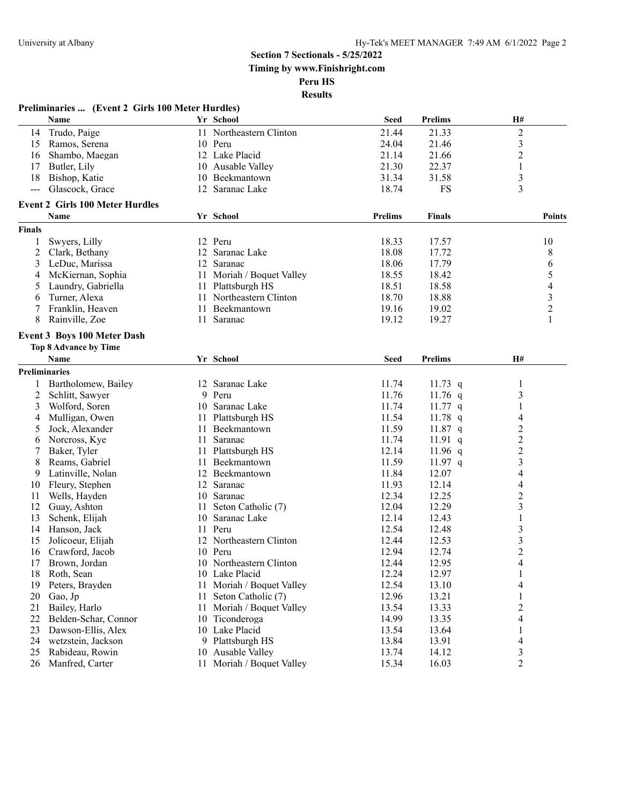**Results**

|               | Preliminaries  (Event 2 Girls 100 Meter Hurdles) |    |                                    |                |                |                         |
|---------------|--------------------------------------------------|----|------------------------------------|----------------|----------------|-------------------------|
|               | <b>Name</b>                                      |    | Yr School                          | <b>Seed</b>    | <b>Prelims</b> | Н#                      |
| 14            | Trudo, Paige                                     |    | 11 Northeastern Clinton            | 21.44          | 21.33          | $\overline{c}$          |
| 15            | Ramos, Serena                                    |    | 10 Peru                            | 24.04          | 21.46          | 3                       |
| 16            | Shambo, Maegan                                   |    | 12 Lake Placid                     | 21.14          | 21.66          | $\overline{c}$          |
| 17            | Butler, Lily                                     |    | 10 Ausable Valley                  | 21.30          | 22.37          | $\mathbf{1}$            |
| 18            | Bishop, Katie                                    | 10 | Beekmantown                        | 31.34          | 31.58          | 3                       |
| $---$         | Glascock, Grace                                  |    | 12 Saranac Lake                    | 18.74          | <b>FS</b>      | 3                       |
|               | <b>Event 2 Girls 100 Meter Hurdles</b>           |    |                                    |                |                |                         |
|               | <b>Name</b>                                      |    | Yr School                          | <b>Prelims</b> | <b>Finals</b>  | <b>Points</b>           |
| <b>Finals</b> |                                                  |    |                                    |                |                |                         |
| 1             | Swyers, Lilly                                    |    | 12 Peru                            | 18.33          | 17.57          | 10                      |
| 2             | Clark, Bethany                                   | 12 | Saranac Lake                       | 18.08          | 17.72          | 8                       |
| 3             | LeDuc, Marissa                                   |    | 12 Saranac                         | 18.06          | 17.79          | 6                       |
| 4             | McKiernan, Sophia                                | 11 | Moriah / Boquet Valley             | 18.55          | 18.42          | 5                       |
| 5             | Laundry, Gabriella                               | 11 | Plattsburgh HS                     | 18.51          | 18.58          | 4                       |
| 6             | Turner, Alexa                                    |    | 11 Northeastern Clinton            | 18.70          | 18.88          | 3                       |
| 7             | Franklin, Heaven                                 | 11 | Beekmantown                        | 19.16          | 19.02          | $\overline{c}$          |
| 8             | Rainville, Zoe                                   | 11 | Saranac                            | 19.12          | 19.27          | 1                       |
|               | <b>Event 3 Boys 100 Meter Dash</b>               |    |                                    |                |                |                         |
|               | <b>Top 8 Advance by Time</b>                     |    |                                    |                |                |                         |
|               | Name                                             |    | Yr School                          | <b>Seed</b>    | <b>Prelims</b> | H#                      |
|               | <b>Preliminaries</b>                             |    |                                    |                |                |                         |
| 1             | Bartholomew, Bailey                              |    | 12 Saranac Lake                    | 11.74          | 11.73 $q$      | 1                       |
| 2             | Schlitt, Sawyer                                  | 9  | Peru                               | 11.76          | 11.76 $q$      | 3                       |
| 3             | Wolford, Soren                                   |    | 10 Saranac Lake                    | 11.74          | $11.77$ q      | 1                       |
| 4             | Mulligan, Owen                                   |    | 11 Plattsburgh HS                  | 11.54          | $11.78$ q      | 4                       |
| 5             | Jock, Alexander                                  | 11 | Beekmantown                        | 11.59          | $11.87$ q      | $\overline{c}$          |
| 6             | Norcross, Kye                                    | 11 | Saranac                            | 11.74          | 11.91 $q$      | $\overline{\mathbf{c}}$ |
| 7             | Baker, Tyler                                     | 11 | Plattsburgh HS                     | 12.14          | 11.96 $q$      | $\overline{c}$          |
| 8             | Reams, Gabriel                                   | 11 | Beekmantown                        | 11.59          | $11.97$ q      | 3                       |
| 9             | Latinville, Nolan                                | 12 | Beekmantown                        | 11.84          | 12.07          | 4                       |
| 10            | Fleury, Stephen                                  | 12 | Saranac                            | 11.93          | 12.14          | 4                       |
| 11            | Wells, Hayden                                    |    | 10 Saranac                         | 12.34          | 12.25          | $\overline{c}$          |
| 12            | Guay, Ashton                                     | 11 | Seton Catholic (7)                 | 12.04          | 12.29          | 3                       |
| 13            | Schenk, Elijah                                   | 10 | Saranac Lake                       | 12.14          | 12.43          | 1                       |
| 14            | Hanson, Jack                                     |    | 11 Peru                            | 12.54          | 12.48          | 3                       |
| 15            | Jolicoeur, Elijah                                | 12 | Northeastern Clinton               | 12.44          | 12.53          | 3                       |
| 16            | Crawford, Jacob                                  |    | 10 Peru                            | 12.94          | 12.74          | $\overline{2}$          |
| 17            | Brown, Jordan                                    |    | 10 Northeastern Clinton            | 12.44          | 12.95          | 4                       |
| 18            | Roth, Sean                                       | 10 | Lake Placid                        | 12.24          | 12.97          | $\mathbf{1}$            |
|               | Peters, Brayden                                  | 11 | Moriah / Boquet Valley             | 12.54          | 13.10          | 4                       |
| 19<br>20      | Gao, Jp                                          | 11 | Seton Catholic (7)                 | 12.96          | 13.21          |                         |
|               |                                                  |    | Moriah / Boquet Valley             |                |                | $\mathbf{1}$            |
| 21<br>22      | Bailey, Harlo<br>Belden-Schar, Connor            | 11 | 10 Ticonderoga                     | 13.54<br>14.99 | 13.33<br>13.35 | $\overline{c}$<br>4     |
|               | Dawson-Ellis, Alex                               |    | 10 Lake Placid                     |                |                |                         |
| 23            | wetzstein, Jackson                               |    |                                    | 13.54          | 13.64          | $\mathbf{1}$            |
| 24            |                                                  |    | 9 Plattsburgh HS<br>Ausable Valley | 13.84          | 13.91          | 4                       |
| 25            | Rabideau, Rowin                                  | 10 |                                    | 13.74          | 14.12          | 3                       |
| 26            | Manfred, Carter                                  |    | 11 Moriah / Boquet Valley          | 15.34          | 16.03          | 2                       |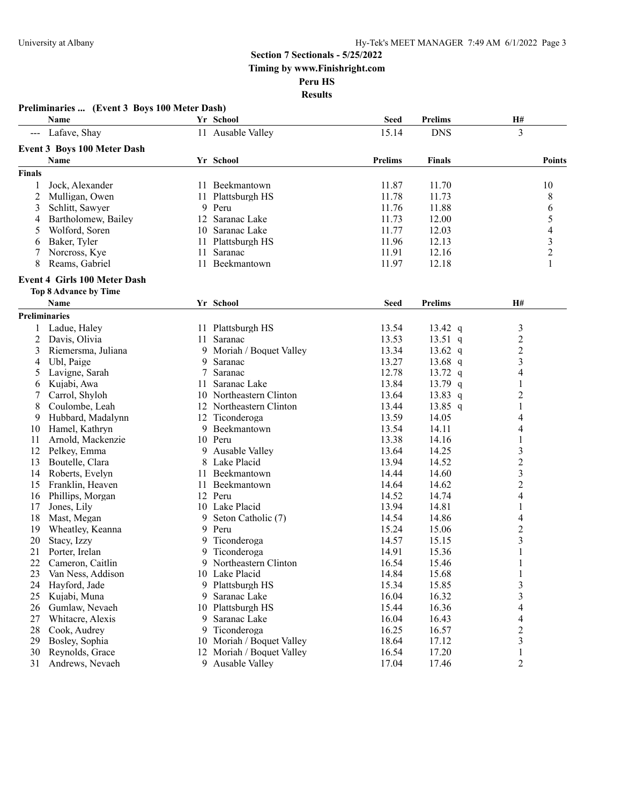|                     | Preliminaries  (Event 3 Boys 100 Meter Dash) |     |                          |                |                |                          |
|---------------------|----------------------------------------------|-----|--------------------------|----------------|----------------|--------------------------|
|                     | Name                                         |     | Yr School                | Seed           | <b>Prelims</b> | H#                       |
| $\qquad \qquad - -$ | Lafave, Shay                                 |     | 11 Ausable Valley        | 15.14          | <b>DNS</b>     | 3                        |
|                     | <b>Event 3 Boys 100 Meter Dash</b>           |     |                          |                |                |                          |
|                     | Name                                         |     | Yr School                | <b>Prelims</b> | <b>Finals</b>  | Points                   |
| <b>Finals</b>       |                                              |     |                          |                |                |                          |
| 1                   | Jock, Alexander                              |     | 11 Beekmantown           | 11.87          | 11.70          | 10                       |
| 2                   | Mulligan, Owen                               | 11  | Plattsburgh HS           | 11.78          | 11.73          | 8                        |
| 3                   | Schlitt, Sawyer                              | 9   | Peru                     | 11.76          | 11.88          | 6                        |
| 4                   | Bartholomew, Bailey                          |     | 12 Saranac Lake          | 11.73          | 12.00          | 5                        |
| 5                   | Wolford, Soren                               |     | 10 Saranac Lake          | 11.77          | 12.03          | 4                        |
| 6                   | Baker, Tyler                                 | 11  | Plattsburgh HS           | 11.96          | 12.13          | 3                        |
| 7                   | Norcross, Kye                                | 11  | Saranac                  | 11.91          | 12.16          | $\overline{c}$           |
| 8                   | Reams, Gabriel                               | 11  | Beekmantown              | 11.97          | 12.18          | 1                        |
|                     | <b>Event 4 Girls 100 Meter Dash</b>          |     |                          |                |                |                          |
|                     | Top 8 Advance by Time                        |     |                          |                |                |                          |
|                     | <b>Name</b>                                  |     | Yr School                | <b>Seed</b>    | <b>Prelims</b> | H#                       |
|                     | <b>Preliminaries</b>                         |     |                          |                |                |                          |
| $\mathbf{1}$        | Ladue, Haley                                 |     | 11 Plattsburgh HS        | 13.54          | 13.42 q        | 3                        |
| 2                   | Davis, Olivia                                | 11  | Saranac                  | 13.53          | $13.51$ q      | $\overline{c}$           |
| 3                   | Riemersma, Juliana                           |     | 9 Moriah / Boquet Valley | 13.34          | 13.62 $q$      | $\overline{c}$           |
| 4                   | Ubl, Paige                                   | 9   | Saranac                  | 13.27          | $13.68$ q      | 3                        |
| 5                   | Lavigne, Sarah                               | 7   | Saranac                  | 12.78          | 13.72 $q$      | 4                        |
| 6                   | Kujabi, Awa                                  | 11  | Saranac Lake             | 13.84          | 13.79 $q$      | 1                        |
| 7                   | Carrol, Shyloh                               |     | 10 Northeastern Clinton  | 13.64          | 13.83 q        | $\overline{c}$           |
| 8                   | Coulombe, Leah                               |     | 12 Northeastern Clinton  | 13.44          | 13.85 $q$      | 1                        |
| 9                   | Hubbard, Madalynn                            |     | 12 Ticonderoga           | 13.59          | 14.05          | 4                        |
| 10                  | Hamel, Kathryn                               | 9   | Beekmantown              | 13.54          | 14.11          | 4                        |
| 11                  | Arnold, Mackenzie                            |     | 10 Peru                  | 13.38          | 14.16          | $\mathbf{1}$             |
| 12                  | Pelkey, Emma                                 |     | 9 Ausable Valley         | 13.64          | 14.25          | 3                        |
| 13                  | Boutelle, Clara                              | 8   | Lake Placid              | 13.94          | 14.52          | $\overline{c}$           |
| 14                  | Roberts, Evelyn                              | 11. | Beekmantown              | 14.44          | 14.60          | 3                        |
| 15                  | Franklin, Heaven                             | 11  | Beekmantown              | 14.64          | 14.62          | $\overline{c}$           |
| 16                  | Phillips, Morgan                             |     | 12 Peru                  | 14.52          | 14.74          | 4                        |
| 17                  | Jones, Lily                                  |     | 10 Lake Placid           | 13.94          | 14.81          | 1                        |
| 18                  | Mast, Megan                                  | 9.  | Seton Catholic (7)       | 14.54          | 14.86          | 4                        |
| 19                  | Wheatley, Keanna                             | 9   | Peru                     | 15.24          | 15.06          | $\overline{\mathbf{c}}$  |
| 20                  | Stacy, Izzy                                  | 9   | Ticonderoga              | 14.57          | 15.15          | 3                        |
| 21                  | Porter, Irelan                               | 9   | Ticonderoga              | 14.91          | 15.36          | 1                        |
| 22                  | Cameron, Caitlin                             |     | 9 Northeastern Clinton   | 16.54          | 15.46          | $\mathbf{1}$             |
| 23                  | Van Ness, Addison                            |     | 10 Lake Placid           | 14.84          | 15.68          | $\mathbf{1}$             |
| 24                  | Hayford, Jade                                |     | 9 Plattsburgh HS         | 15.34          | 15.85          | 3                        |
| 25                  | Kujabi, Muna                                 | 9   | Saranac Lake             | 16.04          | 16.32          | 3                        |
| 26                  | Gumlaw, Nevaeh                               |     | 10 Plattsburgh HS        | 15.44          | 16.36          | $\overline{\mathcal{A}}$ |
| 27                  | Whitacre, Alexis                             | 9   | Saranac Lake             | 16.04          | 16.43          | $\overline{\mathcal{A}}$ |
| 28                  | Cook, Audrey                                 | 9   | Ticonderoga              | 16.25          | 16.57          | $\overline{c}$           |
| 29                  | Bosley, Sophia                               | 10  | Moriah / Boquet Valley   | 18.64          | 17.12          | 3                        |
| 30                  | Reynolds, Grace                              | 12  | Moriah / Boquet Valley   | 16.54          | 17.20          | 1                        |
| 31                  | Andrews, Nevaeh                              |     | 9 Ausable Valley         | 17.04          | 17.46          | $\overline{c}$           |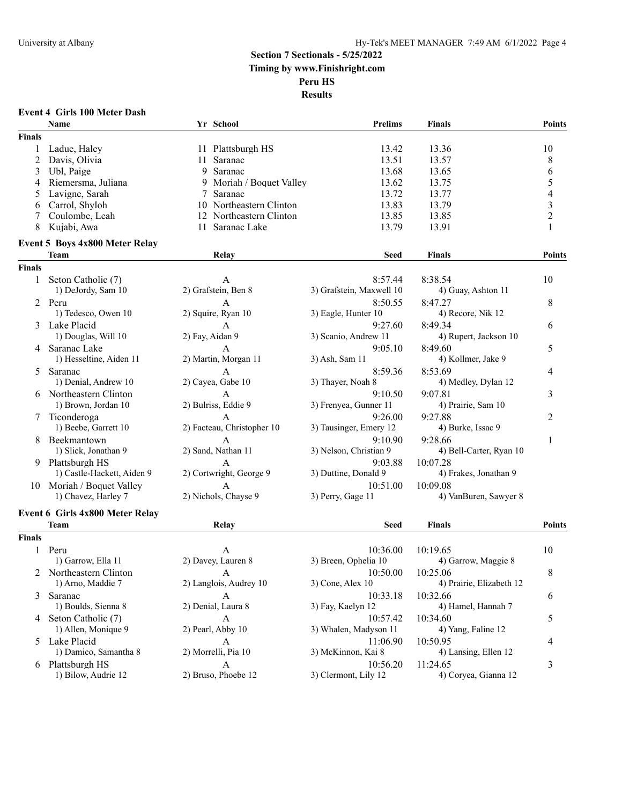## **Event 4 Girls 100 Meter Dash**

|               | Name                            |    | Yr School                  | <b>Prelims</b>                    | <b>Finals</b>            | <b>Points</b>            |
|---------------|---------------------------------|----|----------------------------|-----------------------------------|--------------------------|--------------------------|
| <b>Finals</b> |                                 |    |                            |                                   |                          |                          |
|               | Ladue, Haley                    |    | 11 Plattsburgh HS          | 13.42                             | 13.36                    | 10                       |
| 2             | Davis, Olivia                   | 11 | Saranac                    | 13.51                             | 13.57                    | 8                        |
| 3             | Ubl, Paige                      |    | 9 Saranac                  | 13.68                             | 13.65                    | 6                        |
| 4             | Riemersma, Juliana              | 9  | Moriah / Boquet Valley     | 13.62                             | 13.75                    | 5                        |
| 5             | Lavigne, Sarah                  | 7  | Saranac                    | 13.72                             | 13.77                    | $\overline{\mathcal{L}}$ |
| 6             | Carrol, Shyloh                  |    | 10 Northeastern Clinton    | 13.83                             | 13.79                    | $\mathfrak{Z}$           |
|               | Coulombe, Leah                  | 12 | Northeastern Clinton       | 13.85                             | 13.85                    | $\sqrt{2}$               |
| 8             | Kujabi, Awa                     | 11 | Saranac Lake               | 13.79                             | 13.91                    | $\mathbf{1}$             |
|               | Event 5 Boys 4x800 Meter Relay  |    |                            |                                   |                          |                          |
|               | <b>Team</b>                     |    | Relay                      | <b>Seed</b>                       | <b>Finals</b>            | Points                   |
| <b>Finals</b> |                                 |    |                            |                                   |                          |                          |
| 1             | Seton Catholic (7)              |    | A                          | 8:57.44                           | 8:38.54                  | 10                       |
|               | 1) DeJordy, Sam 10              |    | 2) Grafstein, Ben 8        | 3) Grafstein, Maxwell 10          | 4) Guay, Ashton 11       |                          |
|               | 2 Peru                          |    | A                          | 8:50.55                           | 8:47.27                  | 8                        |
|               | 1) Tedesco, Owen 10             |    | 2) Squire, Ryan 10         | 3) Eagle, Hunter 10               | 4) Recore, Nik 12        |                          |
|               | 3 Lake Placid                   |    | A                          | 9:27.60                           | 8:49.34                  | 6                        |
|               | 1) Douglas, Will 10             |    | 2) Fay, Aidan 9            | 3) Scanio, Andrew 11              | 4) Rupert, Jackson 10    |                          |
|               | 4 Saranac Lake                  |    | A                          | 9:05.10                           | 8:49.60                  | 5                        |
|               | 1) Hesseltine, Aiden 11         |    | 2) Martin, Morgan 11       | 3) Ash, Sam 11                    | 4) Kollmer, Jake 9       |                          |
| 5             | Saranac                         |    | A                          | 8:59.36                           | 8:53.69                  | 4                        |
|               | 1) Denial, Andrew 10            |    | 2) Cayea, Gabe 10          | 3) Thayer, Noah 8                 | 4) Medley, Dylan 12      |                          |
|               | 6 Northeastern Clinton          |    | A                          | 9:10.50                           | 9:07.81                  | 3                        |
|               | 1) Brown, Jordan 10             |    | 2) Bulriss, Eddie 9        | 3) Frenyea, Gunner 11             | 4) Prairie, Sam 10       |                          |
|               |                                 |    |                            |                                   |                          |                          |
| 7             | Ticonderoga                     |    | A                          | 9:26.00<br>3) Tausinger, Emery 12 | 9:27.88                  | 2                        |
|               | 1) Beebe, Garrett 10            |    | 2) Facteau, Christopher 10 |                                   | 4) Burke, Issac 9        |                          |
| 8             | Beekmantown                     |    | A                          | 9:10.90                           | 9:28.66                  | 1                        |
|               | 1) Slick, Jonathan 9            |    | 2) Sand, Nathan 11         | 3) Nelson, Christian 9            | 4) Bell-Carter, Ryan 10  |                          |
|               | 9 Plattsburgh HS                |    | $\mathbf{A}$               | 9:03.88                           | 10:07.28                 |                          |
|               | 1) Castle-Hackett, Aiden 9      |    | 2) Cortwright, George 9    | 3) Duttine, Donald 9              | 4) Frakes, Jonathan 9    |                          |
|               | 10 Moriah / Boquet Valley       |    | A                          | 10:51.00                          | 10:09.08                 |                          |
|               | 1) Chavez, Harley 7             |    | 2) Nichols, Chayse 9       | 3) Perry, Gage 11                 | 4) VanBuren, Sawyer 8    |                          |
|               | Event 6 Girls 4x800 Meter Relay |    |                            |                                   |                          |                          |
|               | <b>Team</b>                     |    | Relay                      | Seed                              | <b>Finals</b>            | <b>Points</b>            |
| <b>Finals</b> |                                 |    |                            |                                   |                          |                          |
|               | 1 Peru                          |    | A                          | 10:36.00                          | 10:19.65                 | 10                       |
|               | 1) Garrow, Ella 11              |    | 2) Davey, Lauren 8         | 3) Breen, Ophelia 10              | 4) Garrow, Maggie 8      |                          |
|               | 2 Northeastern Clinton          |    | $\overline{A}$             | 10:50.00 10:25.06                 |                          | 8                        |
|               | 1) Arno, Maddie 7               |    | 2) Langlois, Audrey 10     | $3)$ Cone, Alex 10                | 4) Prairie, Elizabeth 12 |                          |
| 3             | Saranac                         |    | A                          | 10:33.18                          | 10:32.66                 | 6                        |
|               | 1) Boulds, Sienna 8             |    | 2) Denial, Laura 8         | 3) Fay, Kaelyn 12                 | 4) Hamel, Hannah 7       |                          |
|               | 4 Seton Catholic (7)            |    | A                          | 10:57.42                          | 10:34.60                 | 5                        |
|               | 1) Allen, Monique 9             |    | 2) Pearl, Abby 10          | 3) Whalen, Madyson 11             | 4) Yang, Faline 12       |                          |
|               | 5 Lake Placid                   |    | $\mathbf{A}$               | 11:06.90                          | 10:50.95                 | 4                        |
|               | 1) Damico, Samantha 8           |    | 2) Morrelli, Pia 10        | 3) McKinnon, Kai 8                | 4) Lansing, Ellen 12     |                          |
|               | 6 Plattsburgh HS                |    | $\mathbf{A}$               | 10:56.20                          | 11:24.65                 | 3                        |
|               | 1) Bilow, Audrie 12             |    | 2) Bruso, Phoebe 12        | 3) Clermont, Lily 12              | 4) Coryea, Gianna 12     |                          |
|               |                                 |    |                            |                                   |                          |                          |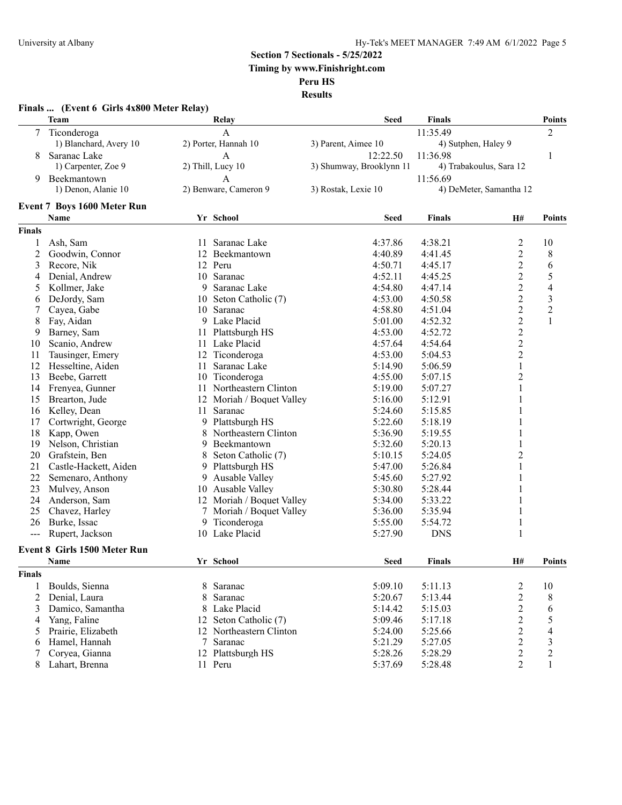**Section 7 Sectionals - 5/25/2022**

**Timing by www.Finishright.com**

**Peru HS**

**Results**

|               | Finals  (Event 6 Girls 4x800 Meter Relay) |    |                           |                          |                     |                         |                |
|---------------|-------------------------------------------|----|---------------------------|--------------------------|---------------------|-------------------------|----------------|
|               | Team                                      |    | Relay                     | <b>Seed</b>              | Finals              |                         | <b>Points</b>  |
| 7             | Ticonderoga                               |    | A                         |                          | 11:35.49            |                         | 2              |
|               | 1) Blanchard, Avery 10                    |    | 2) Porter, Hannah 10      | 3) Parent, Aimee 10      | 4) Sutphen, Haley 9 |                         |                |
| 8             | Saranac Lake                              |    | A                         | 12:22.50                 | 11:36.98            |                         | 1              |
|               | 1) Carpenter, Zoe 9                       |    | 2) Thill, Lucy 10         | 3) Shumway, Brooklynn 11 |                     | 4) Trabakoulus, Sara 12 |                |
| 9             | Beekmantown                               |    | A                         |                          | 11:56.69            |                         |                |
|               | 1) Denon, Alanie 10                       |    | 2) Benware, Cameron 9     | 3) Rostak, Lexie 10      |                     | 4) DeMeter, Samantha 12 |                |
|               | <b>Event 7 Boys 1600 Meter Run</b>        |    |                           |                          |                     |                         |                |
|               | Name                                      |    | Yr School                 | <b>Seed</b>              | Finals              | H#                      | <b>Points</b>  |
| <b>Finals</b> |                                           |    |                           |                          |                     |                         |                |
| 1             | Ash, Sam                                  |    | 11 Saranac Lake           | 4:37.86                  | 4:38.21             | 2                       | 10             |
| 2             | Goodwin, Connor                           | 12 | Beekmantown               | 4:40.89                  | 4:41.45             | $\overline{c}$          | 8              |
| 3             | Recore, Nik                               |    | 12 Peru                   | 4:50.71                  | 4:45.17             | $\overline{c}$          | 6              |
| 4             | Denial, Andrew                            |    | 10 Saranac                | 4:52.11                  | 4:45.25             | $\overline{c}$          | 5              |
| 5             | Kollmer, Jake                             | 9  | Saranac Lake              | 4:54.80                  | 4:47.14             | $\overline{2}$          | 4              |
| 6             | DeJordy, Sam                              | 10 | Seton Catholic (7)        | 4:53.00                  | 4:50.58             | $\overline{c}$          | 3              |
| 7             | Cayea, Gabe                               |    | 10 Saranac                | 4:58.80                  | 4:51.04             | $\overline{c}$          | $\overline{c}$ |
| 8             | Fay, Aidan                                |    | 9 Lake Placid             | 5:01.00                  | 4:52.32             | $\overline{c}$          | $\mathbf{1}$   |
| 9             | Barney, Sam                               |    | 11 Plattsburgh HS         | 4:53.00                  | 4:52.72             | $\overline{c}$          |                |
| 10            | Scanio, Andrew                            |    | 11 Lake Placid            | 4:57.64                  | 4:54.64             | $\overline{c}$          |                |
| 11            | Tausinger, Emery                          | 12 | Ticonderoga               | 4:53.00                  | 5:04.53             | $\overline{c}$          |                |
| 12            | Hesseltine, Aiden                         | 11 | Saranac Lake              | 5:14.90                  | 5:06.59             | 1                       |                |
| 13            | Beebe, Garrett                            |    | 10 Ticonderoga            | 4:55.00                  | 5:07.15             | 2                       |                |
| 14            | Frenyea, Gunner                           | 11 | Northeastern Clinton      | 5:19.00                  | 5:07.27             | 1                       |                |
| 15            | Brearton, Jude                            | 12 | Moriah / Boquet Valley    | 5:16.00                  | 5:12.91             |                         |                |
| 16            | Kelley, Dean                              |    | 11 Saranac                | 5:24.60                  | 5:15.85             |                         |                |
| 17            | Cortwright, George                        | 9  | Plattsburgh HS            | 5:22.60                  | 5:18.19             |                         |                |
| 18            | Kapp, Owen                                | 8  | Northeastern Clinton      | 5:36.90                  | 5:19.55             |                         |                |
| 19            | Nelson, Christian                         |    | 9 Beekmantown             | 5:32.60                  | 5:20.13             |                         |                |
| 20            | Grafstein, Ben                            | 8  | Seton Catholic (7)        | 5:10.15                  | 5:24.05             | $\overline{2}$          |                |
| 21            | Castle-Hackett, Aiden                     |    | 9 Plattsburgh HS          | 5:47.00                  | 5:26.84             | 1                       |                |
| 22            | Semenaro, Anthony                         | 9  | Ausable Valley            | 5:45.60                  | 5:27.92             | 1                       |                |
| 23            | Mulvey, Anson                             |    | 10 Ausable Valley         | 5:30.80                  | 5:28.44             |                         |                |
| 24            | Anderson, Sam                             |    | 12 Moriah / Boquet Valley | 5:34.00                  | 5:33.22             | 1                       |                |
| 25            | Chavez, Harley                            |    | 7 Moriah / Boquet Valley  | 5:36.00                  | 5:35.94             | 1                       |                |
| 26            | Burke, Issac                              | 9  | Ticonderoga               | 5:55.00                  | 5:54.72             | 1                       |                |
|               | Rupert, Jackson                           |    | 10 Lake Placid            | 5:27.90                  | <b>DNS</b>          | 1                       |                |
|               | <b>Event 8 Girls 1500 Meter Run</b>       |    |                           |                          |                     |                         |                |
|               | Name                                      |    | Yr School                 | <b>Seed</b>              | <b>Finals</b>       | H#                      | <b>Points</b>  |
| <b>Finals</b> |                                           |    |                           |                          |                     |                         |                |
| 1             | Boulds, Sienna                            | 8  | Saranac                   | 5:09.10                  | 5:11.13             | $\overline{c}$          | 10             |
| 2             | Denial, Laura                             | 8  | Saranac                   | 5:20.67                  | 5:13.44             | $\overline{2}$          | 8              |
| 3             | Damico, Samantha                          | 8  | Lake Placid               | 5:14.42                  | 5:15.03             | $\overline{c}$          | 6              |
| 4             | Yang, Faline                              | 12 | Seton Catholic (7)        | 5:09.46                  | 5:17.18             | $\overline{2}$          | 5              |
| 5             | Prairie, Elizabeth                        | 12 | Northeastern Clinton      | 5:24.00                  | 5:25.66             | $\overline{c}$          | 4              |
| 6             | Hamel, Hannah                             | 7  | Saranac                   | 5:21.29                  | 5:27.05             | $\boldsymbol{2}$        | $\mathfrak{Z}$ |
| 7             | Coryea, Gianna                            |    | 12 Plattsburgh HS         | 5:28.26                  | 5:28.29             | $\overline{c}$          | $\overline{c}$ |
| 8             | Lahart, Brenna                            |    | 11 Peru                   | 5:37.69                  | 5:28.48             | $\overline{c}$          | 1              |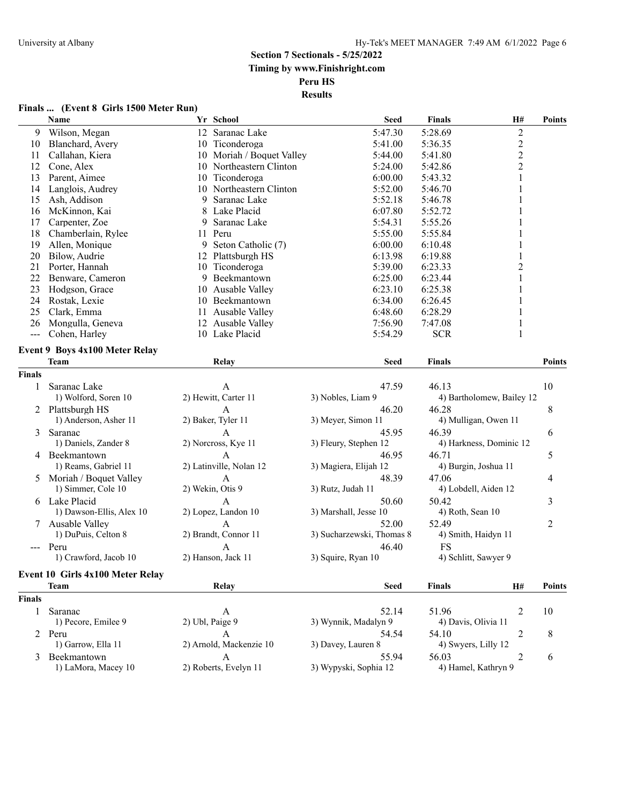#### **Finals ... (Event 8 Girls 1500 Meter Run)**

|               | <b>Name</b>                             |                 | Yr School                    | <b>Seed</b>               | <b>Finals</b>             | H#             | <b>Points</b> |
|---------------|-----------------------------------------|-----------------|------------------------------|---------------------------|---------------------------|----------------|---------------|
| 9             | Wilson, Megan                           |                 | 12 Saranac Lake              | 5:47.30                   | 5:28.69                   | $\overline{c}$ |               |
| 10            | Blanchard, Avery                        |                 | 10 Ticonderoga               | 5:41.00                   | 5:36.35                   | $\overline{c}$ |               |
| 11            | Callahan, Kiera                         |                 | 10 Moriah / Boquet Valley    | 5:44.00                   | 5:41.80                   | $\overline{c}$ |               |
| 12            | Cone, Alex                              |                 | 10 Northeastern Clinton      | 5:24.00                   | 5:42.86                   | $\overline{2}$ |               |
| 13            | Parent, Aimee                           |                 | 10 Ticonderoga               | 6:00.00                   | 5:43.32                   | $\mathbf{1}$   |               |
| 14            | Langlois, Audrey                        |                 | 10 Northeastern Clinton      | 5:52.00                   | 5:46.70                   | 1              |               |
| 15            | Ash, Addison                            | 9               | Saranac Lake                 | 5:52.18                   | 5:46.78                   | 1              |               |
| 16            | McKinnon, Kai                           | 8               | Lake Placid                  | 6:07.80                   | 5:52.72                   |                |               |
| 17            | Carpenter, Zoe                          | 9               | Saranac Lake                 | 5:54.31                   | 5:55.26                   |                |               |
| 18            | Chamberlain, Rylee                      |                 | 11 Peru                      | 5:55.00                   | 5:55.84                   |                |               |
| 19            | Allen, Monique                          |                 | 9 Seton Catholic (7)         | 6:00.00                   | 6:10.48                   |                |               |
| 20            | Bilow, Audrie                           |                 | 12 Plattsburgh HS            | 6:13.98                   | 6:19.88                   |                |               |
| 21            | Porter, Hannah                          | 10              | Ticonderoga                  | 5:39.00                   | 6:23.33                   | $\overline{c}$ |               |
| 22            | Benware, Cameron                        |                 | 9 Beekmantown                | 6:25.00                   | 6:23.44                   |                |               |
| 23            | Hodgson, Grace                          |                 | 10 Ausable Valley            | 6:23.10                   | 6:25.38                   |                |               |
| 24            | Rostak, Lexie                           |                 | 10 Beekmantown               | 6:34.00                   | 6:26.45                   |                |               |
| 25            | Clark, Emma                             |                 | 11 Ausable Valley            | 6:48.60                   | 6:28.29                   | 1              |               |
| 26            | Mongulla, Geneva                        |                 | 12 Ausable Valley            | 7:56.90                   | 7:47.08                   | 1              |               |
| $\frac{1}{2}$ | Cohen, Harley                           |                 | 10 Lake Placid               | 5:54.29                   | <b>SCR</b>                | $\mathbf{1}$   |               |
|               |                                         |                 |                              |                           |                           |                |               |
|               | <b>Event 9 Boys 4x100 Meter Relay</b>   |                 |                              |                           |                           |                |               |
|               | <b>Team</b>                             |                 | Relay                        | <b>Seed</b>               | <b>Finals</b>             |                | <b>Points</b> |
| Finals        |                                         |                 |                              |                           |                           |                |               |
| 1             | Saranac Lake                            |                 | A                            | 47.59                     | 46.13                     |                | 10            |
|               | 1) Wolford, Soren 10                    |                 | 2) Hewitt, Carter 11         | 3) Nobles, Liam 9         | 4) Bartholomew, Bailey 12 |                |               |
|               | 2 Plattsburgh HS                        |                 | A                            | 46.20                     | 46.28                     |                | 8             |
|               | 1) Anderson, Asher 11                   |                 | 2) Baker, Tyler 11           | 3) Meyer, Simon 11        | 4) Mulligan, Owen 11      |                |               |
| 3             | Saranac                                 |                 | $\mathbf{A}$                 | 45.95                     | 46.39                     |                | 6             |
|               | 1) Daniels, Zander 8                    |                 | 2) Norcross, Kye 11          | 3) Fleury, Stephen 12     | 4) Harkness, Dominic 12   |                |               |
|               | 4 Beekmantown                           |                 | $\mathbf{A}$                 | 46.95                     | 46.71                     |                | 5             |
|               | 1) Reams, Gabriel 11                    |                 | 2) Latinville, Nolan 12      | 3) Magiera, Elijah 12     | 4) Burgin, Joshua 11      |                |               |
| 5             | Moriah / Boquet Valley                  |                 | А                            | 48.39                     | 47.06                     |                | 4             |
|               | 1) Simmer, Cole 10                      |                 | 2) Wekin, Otis 9             | 3) Rutz, Judah 11         | 4) Lobdell, Aiden 12      |                |               |
|               | 6 Lake Placid                           |                 | A                            | 50.60                     | 50.42                     |                | 3             |
|               | 1) Dawson-Ellis, Alex 10                |                 | 2) Lopez, Landon 10          | 3) Marshall, Jesse 10     | 4) Roth, Sean 10          |                |               |
|               |                                         |                 |                              |                           |                           |                |               |
|               | Ausable Valley                          |                 | A                            | 52.00                     | 52.49                     |                | 2             |
|               | 1) DuPuis, Celton 8                     |                 | 2) Brandt, Connor 11         | 3) Sucharzewski, Thomas 8 | 4) Smith, Haidyn 11       |                |               |
|               | --- Peru                                |                 | $\mathbf{A}$                 | 46.40                     | <b>FS</b>                 |                |               |
|               | 1) Crawford, Jacob 10                   |                 | 2) Hanson, Jack 11           | 3) Squire, Ryan 10        | 4) Schlitt, Sawyer 9      |                |               |
|               | <b>Event 10 Girls 4x100 Meter Relay</b> |                 |                              |                           |                           |                |               |
|               | <b>Team</b>                             |                 | Relay                        | <b>Seed</b>               | <b>Finals</b>             | H#             | <b>Points</b> |
| Finals        |                                         |                 |                              |                           |                           |                |               |
|               | Saranac                                 |                 |                              | 52.14                     | 51.96                     |                | 10            |
| 1             | 1) Pecore, Emilee 9                     | 2) Ubl, Paige 9 | A                            | 3) Wynnik, Madalyn 9      | 4) Davis, Olivia 11       | $\overline{c}$ |               |
|               |                                         |                 |                              |                           |                           |                |               |
|               | 2 Peru                                  |                 | A<br>2) Arnold, Mackenzie 10 | 54.54                     | 54.10                     | 2              | 8             |
|               | 1) Garrow, Ella 11                      |                 |                              | 3) Davey, Lauren 8        | 4) Swyers, Lilly 12       |                |               |
| 3             | Beekmantown                             |                 | A                            | 55.94                     | 56.03                     | $\overline{c}$ | 6             |
|               | 1) LaMora, Macey 10                     |                 | 2) Roberts, Evelyn 11        | 3) Wypyski, Sophia 12     | 4) Hamel, Kathryn 9       |                |               |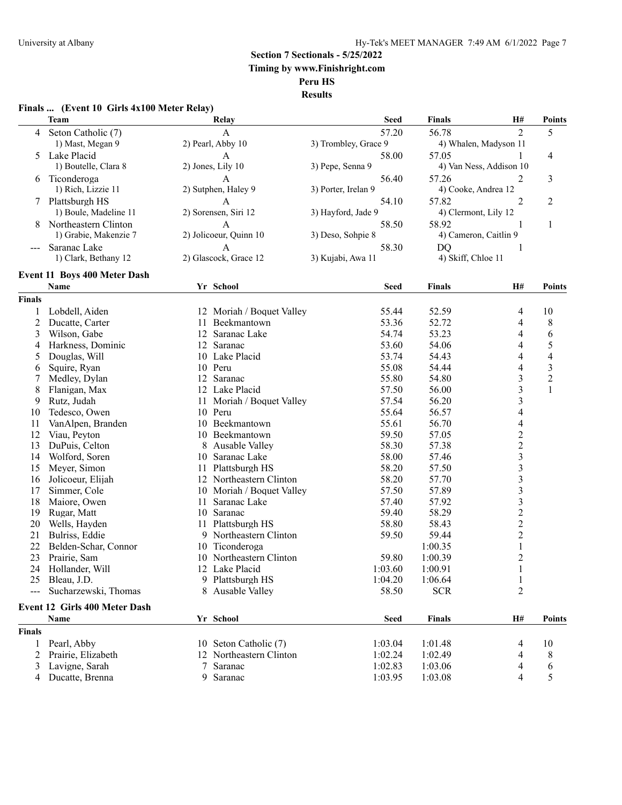**Section 7 Sectionals - 5/25/2022**

**Timing by www.Finishright.com**

**Peru HS**

**Results**

#### **Finals ... (Event 10 Girls 4x100 Meter Relay)**

|                | <b>Team</b>                         |    | Relay                     | <b>Seed</b>          | <b>Finals</b>        | H#                      | <b>Points</b>            |
|----------------|-------------------------------------|----|---------------------------|----------------------|----------------------|-------------------------|--------------------------|
| 4              | Seton Catholic (7)                  |    | A                         | 57.20                | 56.78                | $\overline{c}$          | 5                        |
|                | 1) Mast, Megan 9                    |    | 2) Pearl, Abby 10         | 3) Trombley, Grace 9 |                      | 4) Whalen, Madyson 11   |                          |
| 5.             | Lake Placid                         |    | A                         | 58.00                | 57.05                |                         | 4                        |
|                | 1) Boutelle, Clara 8                |    | 2) Jones, Lily 10         | 3) Pepe, Senna 9     |                      | 4) Van Ness, Addison 10 |                          |
| 6              | Ticonderoga                         |    | A                         | 56.40                | 57.26                | 2                       | 3                        |
|                | 1) Rich, Lizzie 11                  |    | 2) Sutphen, Haley 9       | 3) Porter, Irelan 9  | 4) Cooke, Andrea 12  |                         |                          |
| 7              | Plattsburgh HS                      |    | A                         | 54.10                | 57.82                | 2                       | $\overline{\mathbf{c}}$  |
|                | 1) Boule, Madeline 11               |    | 2) Sorensen, Siri 12      | 3) Hayford, Jade 9   | 4) Clermont, Lily 12 |                         |                          |
| 8              | Northeastern Clinton                |    | A                         | 58.50                | 58.92                | 1                       | $\mathbf{1}$             |
|                | 1) Grabie, Makenzie 7               |    | 2) Jolicoeur, Quinn 10    | 3) Deso, Sohpie 8    |                      | 4) Cameron, Caitlin 9   |                          |
|                | Saranac Lake                        |    | A                         | 58.30                | <b>DQ</b>            | 1                       |                          |
|                | 1) Clark, Bethany 12                |    | 2) Glascock, Grace 12     | 3) Kujabi, Awa 11    | 4) Skiff, Chloe 11   |                         |                          |
|                | <b>Event 11 Boys 400 Meter Dash</b> |    |                           |                      |                      |                         |                          |
|                | Name                                |    | Yr School                 | <b>Seed</b>          | <b>Finals</b>        | H#                      | <b>Points</b>            |
| <b>Finals</b>  |                                     |    |                           |                      |                      |                         |                          |
| 1              | Lobdell, Aiden                      |    | 12 Moriah / Boquet Valley | 55.44                | 52.59                | 4                       | 10                       |
| $\overline{c}$ | Ducatte, Carter                     | 11 | Beekmantown               | 53.36                | 52.72                | 4                       | $\,$ $\,$                |
| 3              | Wilson, Gabe                        |    | 12 Saranac Lake           | 54.74                | 53.23                | 4                       | 6                        |
| 4              | Harkness, Dominic                   |    | 12 Saranac                | 53.60                | 54.06                | 4                       | 5                        |
| 5              | Douglas, Will                       |    | 10 Lake Placid            | 53.74                | 54.43                | 4                       | $\overline{\mathcal{L}}$ |
| 6              | Squire, Ryan                        |    | 10 Peru                   | 55.08                | 54.44                | 4                       | $\mathfrak{Z}$           |
| 7              | Medley, Dylan                       |    | 12 Saranac                | 55.80                | 54.80                | 3                       | $\overline{c}$           |
| 8              | Flanigan, Max                       |    | 12 Lake Placid            | 57.50                | 56.00                | 3                       | $\mathbf{1}$             |
| 9              | Rutz, Judah                         | 11 | Moriah / Boquet Valley    | 57.54                | 56.20                | 3                       |                          |
| 10             | Tedesco, Owen                       | 10 | Peru                      | 55.64                | 56.57                | 4                       |                          |
| 11             | VanAlpen, Branden                   | 10 | Beekmantown               | 55.61                | 56.70                | 4                       |                          |
| 12             | Viau, Peyton                        |    | 10 Beekmantown            | 59.50                | 57.05                | $\overline{c}$          |                          |
| 13             | DuPuis, Celton                      | 8  | <b>Ausable Valley</b>     | 58.30                | 57.38                | $\overline{c}$          |                          |
| 14             | Wolford, Soren                      |    | 10 Saranac Lake           | 58.00                | 57.46                | $\overline{\mathbf{3}}$ |                          |
| 15             | Meyer, Simon                        |    | 11 Plattsburgh HS         | 58.20                | 57.50                | 3                       |                          |
| 16             | Jolicoeur, Elijah                   |    | 12 Northeastern Clinton   | 58.20                | 57.70                | 3                       |                          |
| 17             | Simmer, Cole                        |    | 10 Moriah / Boquet Valley | 57.50                | 57.89                | 3                       |                          |
| 18             | Maiore, Owen                        | 11 | Saranac Lake              | 57.40                | 57.92                | $\overline{\mathbf{3}}$ |                          |
| 19             | Rugar, Matt                         | 10 | Saranac                   | 59.40                | 58.29                | $\overline{c}$          |                          |
| 20             | Wells, Hayden                       | 11 | Plattsburgh HS            | 58.80                | 58.43                | $\overline{c}$          |                          |
| 21             | Bulriss, Eddie                      |    | 9 Northeastern Clinton    | 59.50                | 59.44                | $\boldsymbol{2}$        |                          |
| 22             | Belden-Schar, Connor                | 10 | Ticonderoga               |                      | 1:00.35              | 1                       |                          |
| 23             | Prairie, Sam                        |    | 10 Northeastern Clinton   | 59.80                | 1:00.39              | $\overline{c}$          |                          |
| 24             | Hollander, Will                     |    | 12 Lake Placid            | 1:03.60              | 1:00.91              |                         |                          |
|                | 25 Bleau, J.D.                      |    | 9 Plattsburgh HS          | 1:04.20              | 1:06.64              | 1                       |                          |
|                | Sucharzewski, Thomas                |    | 8 Ausable Valley          | 58.50                | <b>SCR</b>           | $\overline{c}$          |                          |
|                | Event 12 Girls 400 Meter Dash       |    |                           |                      |                      |                         |                          |
|                | Name                                |    | Yr School                 | <b>Seed</b>          | <b>Finals</b>        | H#                      | <b>Points</b>            |
| <b>Finals</b>  |                                     |    |                           |                      |                      |                         |                          |
| 1              | Pearl, Abby                         |    | 10 Seton Catholic (7)     | 1:03.04              | 1:01.48              | 4                       | 10                       |
| 2              | Prairie, Elizabeth                  |    | 12 Northeastern Clinton   | 1:02.24              | 1:02.49              | 4                       | 8                        |
| 3              | Lavigne, Sarah                      | 7  | Saranac                   | 1:02.83              | 1:03.06              | 4                       | 6                        |
| 4              | Ducatte, Brenna                     |    | 9 Saranac                 | 1:03.95              | 1:03.08              | 4                       | 5                        |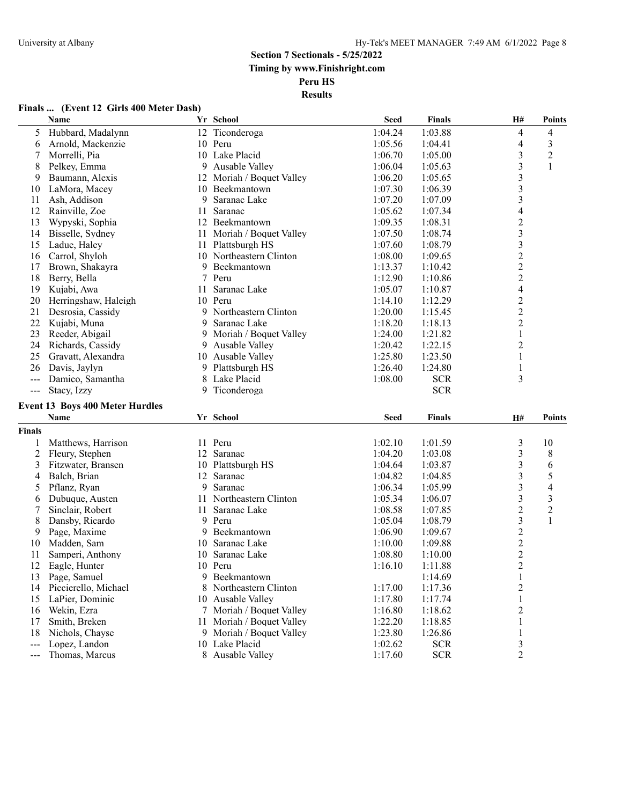**Results**

# **Finals ... (Event 12 Girls 400 Meter Dash)**

|                          | Name                                           |     | Yr School                                             | <b>Seed</b>        | <b>Finals</b>      | H#                             | <b>Points</b>  |
|--------------------------|------------------------------------------------|-----|-------------------------------------------------------|--------------------|--------------------|--------------------------------|----------------|
| 5                        | Hubbard, Madalynn                              |     | 12 Ticonderoga                                        | 1:04.24            | 1:03.88            | 4                              | 4              |
| 6                        | Arnold, Mackenzie                              |     | 10 Peru                                               | 1:05.56            | 1:04.41            | 4                              | $\mathfrak{Z}$ |
| 7                        | Morrelli, Pia                                  |     | 10 Lake Placid                                        | 1:06.70            | 1:05.00            | 3                              | $\overline{c}$ |
| 8                        | Pelkey, Emma                                   |     | 9 Ausable Valley                                      | 1:06.04            | 1:05.63            | 3                              | 1              |
| 9                        | Baumann, Alexis                                |     | 12 Moriah / Boquet Valley                             | 1:06.20            | 1:05.65            | 3                              |                |
| 10                       | LaMora, Macey                                  |     | 10 Beekmantown                                        | 1:07.30            | 1:06.39            | $\overline{\mathbf{3}}$        |                |
| 11                       | Ash, Addison                                   | 9   | Saranac Lake                                          | 1:07.20            | 1:07.09            | 3                              |                |
| 12                       | Rainville, Zoe                                 | 11  | Saranac                                               | 1:05.62            | 1:07.34            | $\overline{\mathcal{A}}$       |                |
| 13                       | Wypyski, Sophia                                | 12  | Beekmantown                                           | 1:09.35            | 1:08.31            | $\overline{\mathbf{c}}$        |                |
| 14                       | Bisselle, Sydney                               | 11  | Moriah / Boquet Valley                                | 1:07.50            | 1:08.74            | $\overline{\mathbf{3}}$        |                |
| 15                       | Ladue, Haley                                   |     | 11 Plattsburgh HS                                     | 1:07.60            | 1:08.79            | 3                              |                |
| 16                       | Carrol, Shyloh                                 |     | 10 Northeastern Clinton                               | 1:08.00            | 1:09.65            | $\overline{c}$                 |                |
| 17                       | Brown, Shakayra                                | 9   | Beekmantown                                           | 1:13.37            | 1:10.42            | $\overline{c}$                 |                |
| 18                       | Berry, Bella                                   |     | 7 Peru                                                | 1:12.90            | 1:10.86            | $\overline{c}$                 |                |
| 19                       | Kujabi, Awa                                    | 11  | Saranac Lake                                          | 1:05.07            | 1:10.87            | 4                              |                |
| 20                       | Herringshaw, Haleigh                           |     | 10 Peru                                               | 1:14.10            | 1:12.29            | $\overline{c}$                 |                |
| 21                       | Desrosia, Cassidy                              |     | 9 Northeastern Clinton                                | 1:20.00            | 1:15.45            | 2                              |                |
| 22                       | Kujabi, Muna                                   | 9.  | Saranac Lake                                          | 1:18.20            | 1:18.13            | $\overline{c}$                 |                |
| 23                       | Reeder, Abigail                                |     | 9 Moriah / Boquet Valley                              | 1:24.00            | 1:21.82            | $\mathbf{1}$                   |                |
| 24                       | Richards, Cassidy                              |     | 9 Ausable Valley                                      | 1:20.42            | 1:22.15            | $\overline{c}$                 |                |
| 25                       | Gravatt, Alexandra                             |     | 10 Ausable Valley                                     | 1:25.80            | 1:23.50            | 1                              |                |
| 26                       | Davis, Jaylyn                                  |     | 9 Plattsburgh HS                                      | 1:26.40            | 1:24.80            | 1                              |                |
| $\frac{1}{2}$            | Damico, Samantha                               |     | 8 Lake Placid                                         | 1:08.00            | <b>SCR</b>         | 3                              |                |
| $\qquad \qquad - -$      | Stacy, Izzy                                    |     | 9 Ticonderoga                                         |                    | <b>SCR</b>         |                                |                |
|                          |                                                |     |                                                       |                    |                    |                                |                |
|                          | <b>Event 13 Boys 400 Meter Hurdles</b><br>Name |     | Yr School                                             | <b>Seed</b>        | Finals             | <b>H#</b>                      | <b>Points</b>  |
| <b>Finals</b>            |                                                |     |                                                       |                    |                    |                                |                |
| 1                        | Matthews, Harrison                             |     | 11 Peru                                               | 1:02.10            | 1:01.59            | 3                              | 10             |
| 2                        | Fleury, Stephen                                |     | 12 Saranac                                            | 1:04.20            | 1:03.08            | 3                              | $8\,$          |
| 3                        | Fitzwater, Bransen                             |     | 10 Plattsburgh HS                                     | 1:04.64            | 1:03.87            | 3                              | 6              |
| 4                        | Balch, Brian                                   |     | 12 Saranac                                            | 1:04.82            | 1:04.85            | 3                              | 5              |
| 5                        | Pflanz, Ryan                                   | 9   | Saranac                                               | 1:06.34            | 1:05.99            | $\overline{\mathbf{3}}$        | $\overline{4}$ |
| 6                        | Dubuque, Austen                                | 11  | Northeastern Clinton                                  | 1:05.34            | 1:06.07            | 3                              | $\mathfrak{Z}$ |
| 7                        | Sinclair, Robert                               | 11  | Saranac Lake                                          | 1:08.58            | 1:07.85            | $\overline{c}$                 | $\overline{2}$ |
| 8                        | Dansby, Ricardo                                | 9   | Peru                                                  | 1:05.04            | 1:08.79            | 3                              | 1              |
| 9                        | Page, Maxime                                   | 9.  | Beekmantown                                           | 1:06.90            | 1:09.67            | $\overline{c}$                 |                |
| 10                       | Madden, Sam                                    | 10. | Saranac Lake                                          | 1:10.00            | 1:09.88            | $\overline{c}$                 |                |
| 11                       | Samperi, Anthony                               |     | 10 Saranac Lake                                       | 1:08.80            | 1:10.00            | $\overline{c}$                 |                |
| 12                       | Eagle, Hunter                                  |     | 10 Peru                                               | 1:16.10            | 1:11.88            | $\overline{2}$                 |                |
| 13                       | Page, Samuel                                   |     | 9 Beekmantown                                         |                    | 1:14.69            | $\mathbf{1}$                   |                |
| 14                       | Piccierello, Michael                           |     | 8 Northeastern Clinton                                | 1:17.00            |                    |                                |                |
|                          | LaPier, Dominic                                |     |                                                       |                    | 1:17.36            | $\overline{c}$                 |                |
| 15                       | Wekin, Ezra                                    |     | 10 Ausable Valley<br>7 Moriah / Boquet Valley         | 1:17.80            | 1:17.74            | 1                              |                |
| 16                       |                                                |     |                                                       | 1:16.80            | 1:18.62            | 2                              |                |
| 17<br>18                 | Smith, Breken<br>Nichols, Chayse               |     | 11 Moriah / Boquet Valley<br>9 Moriah / Boquet Valley | 1:22.20<br>1:23.80 | 1:18.85<br>1:26.86 | 1                              |                |
| $\overline{\phantom{a}}$ | Lopez, Landon                                  |     | 10 Lake Placid                                        | 1:02.62            | <b>SCR</b>         | $\mathbf{1}$<br>$\mathfrak{Z}$ |                |
|                          | Thomas, Marcus                                 |     | 8 Ausable Valley                                      | 1:17.60            | <b>SCR</b>         | $\overline{c}$                 |                |
| $\qquad \qquad - -$      |                                                |     |                                                       |                    |                    |                                |                |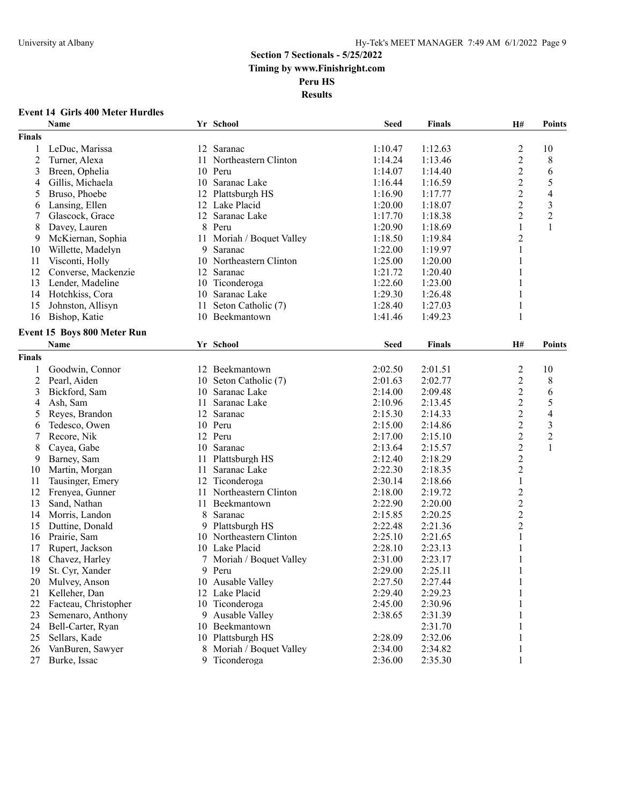**Results**

### **Event 14 Girls 400 Meter Hurdles**

|                | Name                               |    | Yr School                 | <b>Seed</b> | <b>Finals</b> | H#             | <b>Points</b>            |
|----------------|------------------------------------|----|---------------------------|-------------|---------------|----------------|--------------------------|
| <b>Finals</b>  |                                    |    |                           |             |               |                |                          |
| 1              | LeDuc, Marissa                     |    | 12 Saranac                | 1:10.47     | 1:12.63       | $\overline{c}$ | 10                       |
| $\overline{2}$ | Turner, Alexa                      | 11 | Northeastern Clinton      | 1:14.24     | 1:13.46       | $\overline{c}$ | $\,$ $\,$                |
| 3              | Breen, Ophelia                     |    | 10 Peru                   | 1:14.07     | 1:14.40       | $\overline{c}$ | 6                        |
| 4              | Gillis, Michaela                   | 10 | Saranac Lake              | 1:16.44     | 1:16.59       | $\overline{c}$ | 5                        |
| 5              | Bruso, Phoebe                      | 12 | Plattsburgh HS            | 1:16.90     | 1:17.77       | $\overline{c}$ | 4                        |
| 6              | Lansing, Ellen                     |    | 12 Lake Placid            | 1:20.00     | 1:18.07       | $\overline{c}$ | 3                        |
| 7              | Glascock, Grace                    | 12 | Saranac Lake              | 1:17.70     | 1:18.38       | $\overline{2}$ | $\overline{2}$           |
| 8              | Davey, Lauren                      | 8  | Peru                      | 1:20.90     | 1:18.69       | 1              |                          |
| 9              | McKiernan, Sophia                  |    | 11 Moriah / Boquet Valley | 1:18.50     | 1:19.84       | $\overline{c}$ |                          |
| 10             | Willette, Madelyn                  | 9  | Saranac                   | 1:22.00     | 1:19.97       | 1              |                          |
| 11             | Visconti, Holly                    |    | 10 Northeastern Clinton   | 1:25.00     | 1:20.00       | 1              |                          |
| 12             | Converse, Mackenzie                | 12 | Saranac                   | 1:21.72     | 1:20.40       | 1              |                          |
| 13             | Lender, Madeline                   | 10 | Ticonderoga               | 1:22.60     | 1:23.00       | 1              |                          |
| 14             | Hotchkiss, Cora                    |    | 10 Saranac Lake           | 1:29.30     | 1:26.48       | 1              |                          |
| 15             | Johnston, Allisyn                  | 11 | Seton Catholic (7)        | 1:28.40     | 1:27.03       | 1              |                          |
| 16             | Bishop, Katie                      |    | 10 Beekmantown            | 1:41.46     | 1:49.23       | 1              |                          |
|                |                                    |    |                           |             |               |                |                          |
|                | <b>Event 15 Boys 800 Meter Run</b> |    |                           |             |               |                |                          |
|                | <b>Name</b>                        |    | Yr School                 | <b>Seed</b> | <b>Finals</b> | <b>H#</b>      | <b>Points</b>            |
| <b>Finals</b>  |                                    |    |                           |             |               |                |                          |
| 1              | Goodwin, Connor                    |    | 12 Beekmantown            | 2:02.50     | 2:01.51       | $\sqrt{2}$     | 10                       |
| $\overline{2}$ | Pearl, Aiden                       | 10 | Seton Catholic (7)        | 2:01.63     | 2:02.77       | $\overline{c}$ | 8                        |
| 3              | Bickford, Sam                      | 10 | Saranac Lake              | 2:14.00     | 2:09.48       | $\overline{2}$ | 6                        |
| 4              | Ash, Sam                           | 11 | Saranac Lake              | 2:10.96     | 2:13.45       | $\overline{c}$ | 5                        |
| 5              | Reyes, Brandon                     | 12 | Saranac                   | 2:15.30     | 2:14.33       | $\overline{c}$ | $\overline{\mathcal{L}}$ |
| 6              | Tedesco, Owen                      |    | 10 Peru                   | 2:15.00     | 2:14.86       | $\overline{c}$ | 3                        |
| 7              | Recore, Nik                        |    | 12 Peru                   | 2:17.00     | 2:15.10       | $\overline{c}$ | $\overline{2}$           |
| 8              | Cayea, Gabe                        | 10 | Saranac                   | 2:13.64     | 2:15.57       | $\overline{c}$ |                          |
| 9              | Barney, Sam                        | 11 | Plattsburgh HS            | 2:12.40     | 2:18.29       | $\overline{c}$ |                          |
| 10             | Martin, Morgan                     | 11 | Saranac Lake              | 2:22.30     | 2:18.35       | $\overline{c}$ |                          |
| 11             | Tausinger, Emery                   | 12 | Ticonderoga               | 2:30.14     | 2:18.66       | $\mathbf{1}$   |                          |
| 12             | Frenyea, Gunner                    | 11 | Northeastern Clinton      | 2:18.00     | 2:19.72       | $\overline{c}$ |                          |
| 13             | Sand, Nathan                       | 11 | Beekmantown               | 2:22.90     | 2:20.00       | $\overline{c}$ |                          |
| 14             | Morris, Landon                     | 8  | Saranac                   | 2:15.85     | 2:20.25       | $\overline{c}$ |                          |
| 15             | Duttine, Donald                    | 9  | Plattsburgh HS            | 2:22.48     | 2:21.36       | $\overline{2}$ |                          |
| 16             | Prairie, Sam                       |    | 10 Northeastern Clinton   | 2:25.10     | 2:21.65       | $\mathbf{1}$   |                          |
| 17             | Rupert, Jackson                    |    | 10 Lake Placid            | 2:28.10     | 2:23.13       | $\mathbf{1}$   |                          |
| 18             | Chavez, Harley                     |    | Moriah / Boquet Valley    | 2:31.00     | 2:23.17       | 1              |                          |
| 19             | St. Cyr, Xander                    | 9  | Peru                      | 2:29.00     | 2:25.11       | $\mathbf{1}$   |                          |
| 20             | Mulvey, Anson                      |    | 10 Ausable Valley         | 2:27.50     | 2:27.44       | 1              |                          |
| 21             | Kelleher, Dan                      |    | 12 Lake Placid            | 2:29.40     | 2:29.23       | 1              |                          |
| 22             | Facteau, Christopher               |    | 10 Ticonderoga            | 2:45.00     | 2:30.96       | 1              |                          |
| 23             | Semenaro, Anthony                  |    | 9 Ausable Valley          | 2:38.65     | 2:31.39       | 1              |                          |
| 24             | Bell-Carter, Ryan                  |    | 10 Beekmantown            |             | 2:31.70       | 1              |                          |
| 25             | Sellars, Kade                      |    | 10 Plattsburgh HS         | 2:28.09     | 2:32.06       | $\mathbf{1}$   |                          |
| 26             | VanBuren, Sawyer                   | 8  | Moriah / Boquet Valley    | 2:34.00     | 2:34.82       | $\mathbf{1}$   |                          |
| 27             | Burke, Issac                       |    | 9 Ticonderoga             | 2:36.00     | 2:35.30       | $\mathbf{1}$   |                          |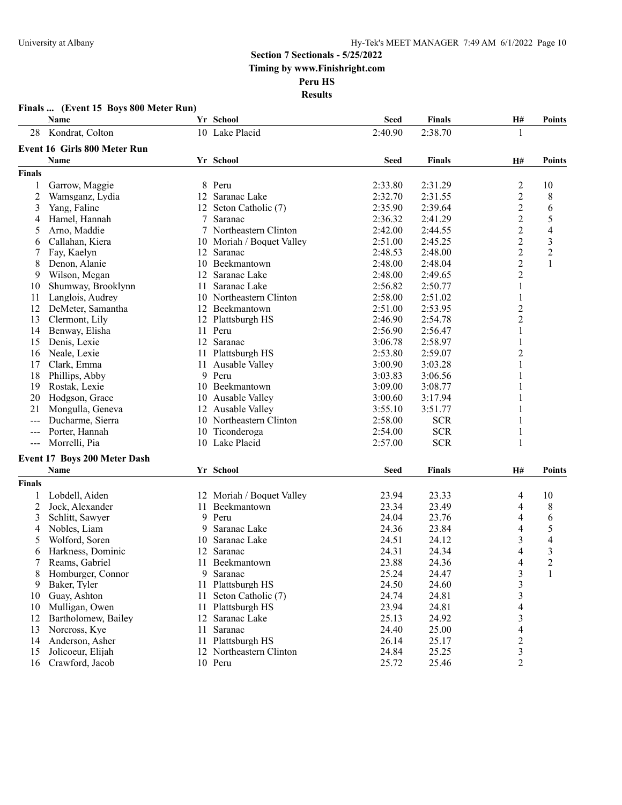|               | Finals  (Event 15 Boys 800 Meter Run) |     |                           |             |                |                          |                          |
|---------------|---------------------------------------|-----|---------------------------|-------------|----------------|--------------------------|--------------------------|
|               | Name                                  |     | Yr School                 | <b>Seed</b> | <b>Finals</b>  | H#                       | Points                   |
| 28            | Kondrat, Colton                       |     | 10 Lake Placid            | 2:40.90     | 2:38.70        | 1                        |                          |
|               | Event 16 Girls 800 Meter Run          |     |                           |             |                |                          |                          |
|               | <b>Name</b>                           |     | Yr School                 | <b>Seed</b> | <b>Finals</b>  | <b>H#</b>                | <b>Points</b>            |
| <b>Finals</b> |                                       |     |                           |             |                |                          |                          |
| 1             | Garrow, Maggie                        |     | 8 Peru                    | 2:33.80     | 2:31.29        | $\overline{2}$           | 10                       |
| 2             | Wamsganz, Lydia                       |     | 12 Saranac Lake           | 2:32.70     | 2:31.55        | $\overline{c}$           | 8                        |
| 3             | Yang, Faline                          |     | 12 Seton Catholic (7)     | 2:35.90     | 2:39.64        | $\overline{2}$           | 6                        |
| 4             | Hamel, Hannah                         |     | 7 Saranac                 | 2:36.32     | 2:41.29        | $\overline{2}$           | 5                        |
| 5             | Arno, Maddie                          |     | 7 Northeastern Clinton    | 2:42.00     | 2:44.55        | $\overline{2}$           | 4                        |
| 6             | Callahan, Kiera                       |     | 10 Moriah / Boquet Valley | 2:51.00     | 2:45.25        | $\overline{2}$           | $\mathfrak{Z}$           |
|               | Fay, Kaelyn                           | 12  | Saranac                   | 2:48.53     | 2:48.00        | $\overline{c}$           | $\boldsymbol{2}$         |
| 8             | Denon, Alanie                         | 10  | Beekmantown               | 2:48.00     | 2:48.04        | $\overline{2}$           | 1                        |
| 9             | Wilson, Megan                         |     | 12 Saranac Lake           | 2:48.00     | 2:49.65        | $\overline{2}$           |                          |
| 10            | Shumway, Brooklynn                    | 11  | Saranac Lake              | 2:56.82     | 2:50.77        | 1                        |                          |
| 11            | Langlois, Audrey                      | 10  | Northeastern Clinton      | 2:58.00     | 2:51.02        | 1                        |                          |
| 12            | DeMeter, Samantha                     |     | 12 Beekmantown            | 2:51.00     | 2:53.95        | $\overline{2}$           |                          |
| 13            | Clermont, Lily                        | 12  | Plattsburgh HS            | 2:46.90     | 2:54.78        | $\overline{c}$           |                          |
| 14            | Benway, Elisha                        | 11  | Peru                      | 2:56.90     | 2:56.47        | $\mathbf{1}$             |                          |
| 15            | Denis, Lexie                          |     | 12 Saranac                | 3:06.78     | 2:58.97        | 1                        |                          |
| 16            | Neale, Lexie                          | 11- | Plattsburgh HS            | 2:53.80     | 2:59.07        | $\overline{c}$           |                          |
| 17            | Clark, Emma                           | 11  | Ausable Valley            | 3:00.90     | 3:03.28        | 1                        |                          |
| 18            | Phillips, Abby                        |     | 9 Peru                    | 3:03.83     | 3:06.56        | 1                        |                          |
| 19            | Rostak, Lexie                         | 10  | Beekmantown               | 3:09.00     | 3:08.77        |                          |                          |
| 20            | Hodgson, Grace                        | 10  | Ausable Valley            | 3:00.60     | 3:17.94        |                          |                          |
| 21            | Mongulla, Geneva                      |     | 12 Ausable Valley         | 3:55.10     | 3:51.77        |                          |                          |
| $---$         | Ducharme, Sierra                      |     | 10 Northeastern Clinton   | 2:58.00     | <b>SCR</b>     |                          |                          |
| $---$         | Porter, Hannah                        |     | 10 Ticonderoga            | 2:54.00     | <b>SCR</b>     | 1                        |                          |
| $---$         | Morrelli, Pia                         |     | 10 Lake Placid            | 2:57.00     | <b>SCR</b>     | $\mathbf{1}$             |                          |
|               |                                       |     |                           |             |                |                          |                          |
|               | Event 17 Boys 200 Meter Dash<br>Name  |     | Yr School                 | <b>Seed</b> | <b>Finals</b>  | H#                       | Points                   |
| Finals        |                                       |     |                           |             |                |                          |                          |
|               |                                       |     | 12 Moriah / Boquet Valley |             |                |                          |                          |
| 1             | Lobdell, Aiden                        |     |                           | 23.94       | 23.33          | 4                        | 10                       |
| 2             | Jock, Alexander                       | 11  | Beekmantown<br>9 Peru     | 23.34       | 23.49          | 4                        | 8                        |
| 3             | Schlitt, Sawyer                       |     |                           | 24.04       | 23.76<br>23.84 | 4                        | 6<br>5                   |
| 4             | Nobles, Liam                          | 9   | Saranac Lake              | 24.36       |                | 4                        |                          |
| 5             | Wolford, Soren                        | 10  | Saranac Lake              | 24.51       | 24.12          | $\mathfrak{Z}$           | $\overline{\mathcal{A}}$ |
| 6             | Harkness, Dominic                     | 12  | Saranac                   | 24.31       | 24.34          | 4                        | 3                        |
| 7             | Reams, Gabriel                        |     | 11 Beekmantown            | 23.88       | 24.36          | 4                        | 2                        |
| 8             | Homburger, Connor                     | 9   | Saranac                   | 25.24       | 24.47          | 3                        | 1                        |
| 9             | Baker, Tyler                          | 11  | Plattsburgh HS            | 24.50       | 24.60          | 3                        |                          |
| 10            | Guay, Ashton                          | 11  | Seton Catholic (7)        | 24.74       | 24.81          | 3                        |                          |
| 10            | Mulligan, Owen                        | 11  | Plattsburgh HS            | 23.94       | 24.81          | $\overline{\mathcal{A}}$ |                          |
| 12            | Bartholomew, Bailey                   | 12  | Saranac Lake              | 25.13       | 24.92          | 3                        |                          |
| 13            | Norcross, Kye                         | 11  | Saranac                   | 24.40       | 25.00          | 4                        |                          |
| 14            | Anderson, Asher                       |     | 11 Plattsburgh HS         | 26.14       | 25.17          | $\overline{c}$           |                          |
| 15            | Jolicoeur, Elijah                     |     | 12 Northeastern Clinton   | 24.84       | 25.25          | $\mathfrak{Z}$           |                          |
| 16            | Crawford, Jacob                       |     | 10 Peru                   | 25.72       | 25.46          | $\overline{2}$           |                          |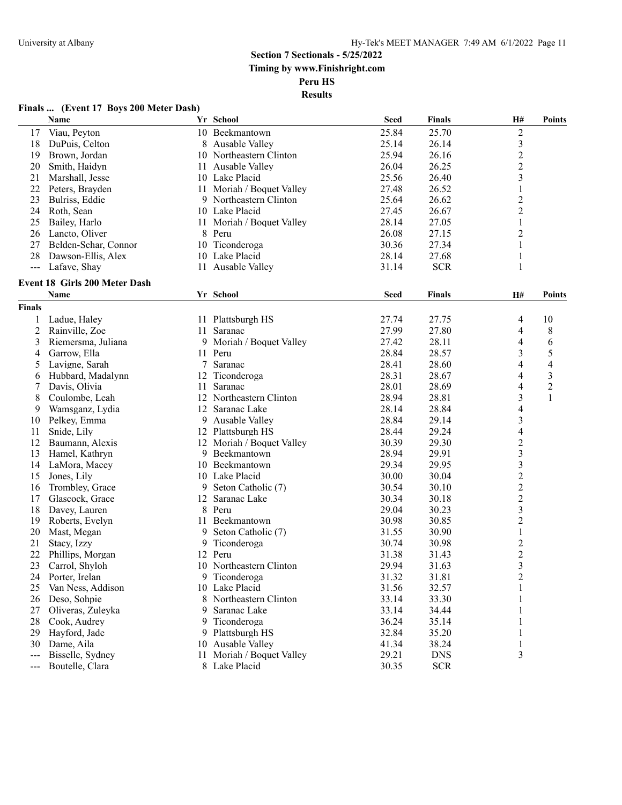#### **Finals ... (Event 17 Boys 200 Meter Dash)**

|                     | Name                          |      | Yr School                | <b>Seed</b> | <b>Finals</b> | H#                       | <b>Points</b>  |
|---------------------|-------------------------------|------|--------------------------|-------------|---------------|--------------------------|----------------|
| 17                  | Viau, Peyton                  |      | 10 Beekmantown           | 25.84       | 25.70         | $\boldsymbol{2}$         |                |
| 18                  | DuPuis, Celton                |      | 8 Ausable Valley         | 25.14       | 26.14         | $\mathfrak{Z}$           |                |
| 19                  | Brown, Jordan                 |      | 10 Northeastern Clinton  | 25.94       | 26.16         | $\overline{c}$           |                |
| 20                  | Smith, Haidyn                 |      | 11 Ausable Valley        | 26.04       | 26.25         | $\overline{2}$           |                |
| 21                  | Marshall, Jesse               |      | 10 Lake Placid           | 25.56       | 26.40         | 3                        |                |
| 22                  | Peters, Brayden               | 11 - | Moriah / Boquet Valley   | 27.48       | 26.52         | $\mathbf{1}$             |                |
| 23                  | Bulriss, Eddie                |      | 9 Northeastern Clinton   | 25.64       | 26.62         | $\overline{c}$           |                |
| 24                  | Roth, Sean                    |      | 10 Lake Placid           | 27.45       | 26.67         | $\overline{c}$           |                |
| 25                  | Bailey, Harlo                 | 11   | Moriah / Boquet Valley   | 28.14       | 27.05         | 1                        |                |
| 26                  | Lancto, Oliver                |      | 8 Peru                   | 26.08       | 27.15         | $\overline{c}$           |                |
| 27                  | Belden-Schar, Connor          |      | 10 Ticonderoga           | 30.36       | 27.34         | 1                        |                |
| 28                  | Dawson-Ellis, Alex            |      | 10 Lake Placid           | 28.14       | 27.68         | $\mathbf{1}$             |                |
| ---                 | Lafave, Shay                  |      | 11 Ausable Valley        | 31.14       | <b>SCR</b>    | $\mathbf{1}$             |                |
|                     |                               |      |                          |             |               |                          |                |
|                     | Event 18 Girls 200 Meter Dash |      |                          |             |               |                          |                |
|                     | Name                          |      | Yr School                | <b>Seed</b> | <b>Finals</b> | H#                       | <b>Points</b>  |
| <b>Finals</b>       |                               |      |                          |             |               |                          |                |
| 1                   | Ladue, Haley                  |      | 11 Plattsburgh HS        | 27.74       | 27.75         | 4                        | 10             |
| 2                   | Rainville, Zoe                | 11.  | Saranac                  | 27.99       | 27.80         | 4                        | 8              |
| 3                   | Riemersma, Juliana            |      | 9 Moriah / Boquet Valley | 27.42       | 28.11         | 4                        | 6              |
| 4                   | Garrow, Ella                  |      | 11 Peru                  | 28.84       | 28.57         | 3                        | 5              |
| 5                   | Lavigne, Sarah                |      | 7 Saranac                | 28.41       | 28.60         | 4                        | 4              |
| 6                   | Hubbard, Madalynn             | 12   | Ticonderoga              | 28.31       | 28.67         | 4                        | $\mathfrak{Z}$ |
| 7                   | Davis, Olivia                 | 11   | Saranac                  | 28.01       | 28.69         | 4                        | $\overline{c}$ |
| 8                   | Coulombe, Leah                |      | 12 Northeastern Clinton  | 28.94       | 28.81         | 3                        | 1              |
| 9                   | Wamsganz, Lydia               |      | 12 Saranac Lake          | 28.14       | 28.84         | $\overline{\mathcal{A}}$ |                |
| 10                  | Pelkey, Emma                  |      | 9 Ausable Valley         | 28.84       | 29.14         | $\mathfrak{Z}$           |                |
| 11                  | Snide, Lily                   |      | 12 Plattsburgh HS        | 28.44       | 29.24         | 4                        |                |
| 12                  | Baumann, Alexis               | 12   | Moriah / Boquet Valley   | 30.39       | 29.30         | $\overline{\mathbf{c}}$  |                |
| 13                  | Hamel, Kathryn                | 9    | Beekmantown              | 28.94       | 29.91         | $\mathfrak{Z}$           |                |
| 14                  | LaMora, Macey                 |      | 10 Beekmantown           | 29.34       | 29.95         | $\mathfrak{Z}$           |                |
| 15                  | Jones, Lily                   |      | 10 Lake Placid           | 30.00       | 30.04         | $\overline{c}$           |                |
| 16                  | Trombley, Grace               | 9    | Seton Catholic (7)       | 30.54       | 30.10         | $\overline{c}$           |                |
| 17                  | Glascock, Grace               | 12   | Saranac Lake             | 30.34       | 30.18         | $\overline{c}$           |                |
| 18                  | Davey, Lauren                 | 8    | Peru                     | 29.04       | 30.23         | $\mathfrak{Z}$           |                |
| 19                  | Roberts, Evelyn               | 11   | Beekmantown              | 30.98       | 30.85         | $\overline{c}$           |                |
| 20                  | Mast, Megan                   | 9    | Seton Catholic (7)       | 31.55       | 30.90         | $\mathbf{1}$             |                |
| 21                  | Stacy, Izzy                   | 9    | Ticonderoga              | 30.74       | 30.98         | $\overline{c}$           |                |
| 22                  | Phillips, Morgan              | 12   | Peru                     | 31.38       | 31.43         | $\overline{c}$           |                |
| 23                  | Carrol, Shyloh                |      | 10 Northeastern Clinton  | 29.94       | 31.63         | $\overline{\mathbf{3}}$  |                |
| 24                  | Porter, Irelan                |      | 9 Ticonderoga            | 31.32       | 31.81         | $\overline{c}$           |                |
| 25                  | Van Ness, Addison             |      | 10 Lake Placid           | 31.56       | 32.57         | 1                        |                |
| 26                  | Deso, Sohpie                  |      | 8 Northeastern Clinton   | 33.14       | 33.30         | 1                        |                |
| 27                  | Oliveras, Zuleyka             | 9.   | Saranac Lake             | 33.14       | 34.44         | 1                        |                |
| 28                  | Cook, Audrey                  |      | 9 Ticonderoga            | 36.24       | 35.14         | 1                        |                |
| 29                  | Hayford, Jade                 |      | 9 Plattsburgh HS         | 32.84       | 35.20         | 1                        |                |
| 30                  | Dame, Aila                    | 10   | Ausable Valley           | 41.34       | 38.24         | $\mathbf{1}$             |                |
| ---                 | Bisselle, Sydney              | 11   | Moriah / Boquet Valley   | 29.21       | <b>DNS</b>    | 3                        |                |
| $\qquad \qquad - -$ | Boutelle, Clara               |      | 8 Lake Placid            | 30.35       | <b>SCR</b>    |                          |                |
|                     |                               |      |                          |             |               |                          |                |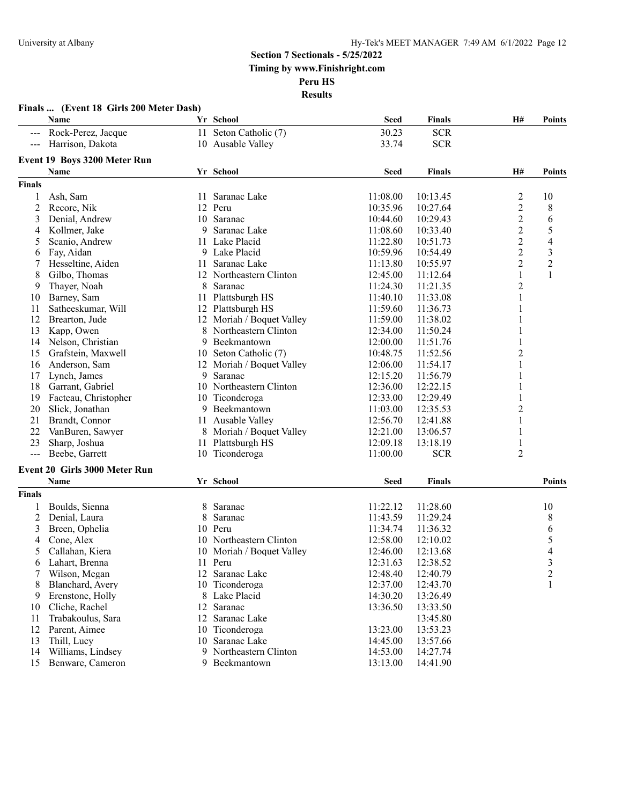|                | Finals  (Event 18 Girls 200 Meter Dash) |     |                           |             |               |                         |                |
|----------------|-----------------------------------------|-----|---------------------------|-------------|---------------|-------------------------|----------------|
|                | Name                                    |     | Yr School                 | <b>Seed</b> | Finals        | H#                      | <b>Points</b>  |
|                | --- Rock-Perez, Jacque                  |     | 11 Seton Catholic (7)     | 30.23       | <b>SCR</b>    |                         |                |
|                | --- Harrison, Dakota                    |     | 10 Ausable Valley         | 33.74       | <b>SCR</b>    |                         |                |
|                | Event 19 Boys 3200 Meter Run            |     |                           |             |               |                         |                |
|                | Name                                    |     | Yr School                 | <b>Seed</b> | <b>Finals</b> | H#                      | <b>Points</b>  |
| Finals         |                                         |     |                           |             |               |                         |                |
|                | Ash, Sam                                | 11. | Saranac Lake              | 11:08.00    | 10:13.45      | $\overline{\mathbf{c}}$ | 10             |
| $\overline{c}$ | Recore, Nik                             |     | 12 Peru                   | 10:35.96    | 10:27.64      | $\overline{c}$          | 8              |
| 3              | Denial, Andrew                          |     | 10 Saranac                | 10:44.60    | 10:29.43      | $\overline{c}$          | 6              |
| 4              | Kollmer, Jake                           | 9   | Saranac Lake              | 11:08.60    | 10:33.40      | $\overline{c}$          | 5              |
| 5              | Scanio, Andrew                          |     | 11 Lake Placid            | 11:22.80    | 10:51.73      | $\overline{2}$          | 4              |
| 6              | Fay, Aidan                              |     | 9 Lake Placid             | 10:59.96    | 10:54.49      | $\overline{c}$          | 3              |
| 7              | Hesseltine, Aiden                       | 11  | Saranac Lake              | 11:13.80    | 10:55.97      | 2                       | $\overline{2}$ |
| 8              | Gilbo, Thomas                           |     | 12 Northeastern Clinton   | 12:45.00    | 11:12.64      | 1                       | $\mathbf{1}$   |
| 9              | Thayer, Noah                            | 8   | Saranac                   | 11:24.30    | 11:21.35      | $\overline{c}$          |                |
| 10             | Barney, Sam                             | 11  | Plattsburgh HS            | 11:40.10    | 11:33.08      | 1                       |                |
| 11             | Satheeskumar, Will                      |     | 12 Plattsburgh HS         | 11:59.60    | 11:36.73      | 1                       |                |
| 12             | Brearton, Jude                          |     | 12 Moriah / Boquet Valley | 11:59.00    | 11:38.02      | 1                       |                |
| 13             | Kapp, Owen                              | 8   | Northeastern Clinton      | 12:34.00    | 11:50.24      | 1                       |                |
| 14             | Nelson, Christian                       | 9   | Beekmantown               | 12:00.00    | 11:51.76      | 1                       |                |
| 15             | Grafstein, Maxwell                      |     | 10 Seton Catholic (7)     | 10:48.75    | 11:52.56      | $\overline{c}$          |                |
| 16             | Anderson, Sam                           |     | 12 Moriah / Boquet Valley | 12:06.00    | 11:54.17      | 1                       |                |
| 17             | Lynch, James                            | 9   | Saranac                   | 12:15.20    | 11:56.79      | 1                       |                |
| 18             | Garrant, Gabriel                        |     | 10 Northeastern Clinton   | 12:36.00    | 12:22.15      | 1                       |                |
| 19             | Facteau, Christopher                    |     | 10 Ticonderoga            | 12:33.00    | 12:29.49      | 1                       |                |
| 20             | Slick, Jonathan                         | 9   | Beekmantown               | 11:03.00    | 12:35.53      | $\overline{c}$          |                |
| 21             | Brandt, Connor                          | 11  | Ausable Valley            | 12:56.70    | 12:41.88      | 1                       |                |
| 22             | VanBuren, Sawyer                        | 8   | Moriah / Boquet Valley    | 12:21.00    | 13:06.57      | 1                       |                |
| 23             | Sharp, Joshua                           | 11  | Plattsburgh HS            | 12:09.18    | 13:18.19      | 1                       |                |
| $-$            | Beebe, Garrett                          |     | 10 Ticonderoga            | 11:00.00    | <b>SCR</b>    | 2                       |                |
|                |                                         |     |                           |             |               |                         |                |
|                | <b>Event 20 Girls 3000 Meter Run</b>    |     |                           |             |               |                         |                |
|                | <b>Name</b>                             |     | Yr School                 | <b>Seed</b> | <b>Finals</b> |                         | <b>Points</b>  |
| <b>Finals</b>  |                                         |     |                           |             |               |                         |                |
|                | Boulds, Sienna                          | 8   | Saranac                   | 11:22.12    | 11:28.60      |                         | 10             |
| 2              | Denial, Laura                           | 8   | Saranac                   | 11:43.59    | 11:29.24      |                         | 8              |
| 3              | Breen, Ophelia                          | 10  | Peru                      | 11:34.74    | 11:36.32      |                         | 6              |
| 4              | Cone, Alex                              |     | 10 Northeastern Clinton   | 12:58.00    | 12:10.02      |                         | 5              |
| 5              | Callahan, Kiera                         |     | 10 Moriah / Boquet Valley | 12:46.00    | 12:13.68      |                         | 4              |
| 6              | Lahart, Brenna                          |     | 11 Peru                   | 12:31.63    | 12:38.52      |                         | 3              |
|                | Wilson, Megan                           |     | 12 Saranac Lake           | 12:48.40    | 12:40.79      |                         | $\overline{c}$ |
| 8              | Blanchard, Avery                        |     | 10 Ticonderoga            | 12:37.00    | 12:43.70      |                         | 1              |
| 9              | Erenstone, Holly                        |     | 8 Lake Placid             | 14:30.20    | 13:26.49      |                         |                |
| 10             | Cliche, Rachel                          |     | 12 Saranac                | 13:36.50    | 13:33.50      |                         |                |
| 11             | Trabakoulus, Sara                       | 12  | Saranac Lake              |             | 13:45.80      |                         |                |
| 12             | Parent, Aimee                           |     | 10 Ticonderoga            | 13:23.00    | 13:53.23      |                         |                |
| 13             | Thill, Lucy                             |     | 10 Saranac Lake           | 14:45.00    | 13:57.66      |                         |                |
| 14             | Williams, Lindsey                       | 9.  | Northeastern Clinton      | 14:53.00    | 14:27.74      |                         |                |
| 15             | Benware, Cameron                        |     | 9 Beekmantown             | 13:13.00    | 14:41.90      |                         |                |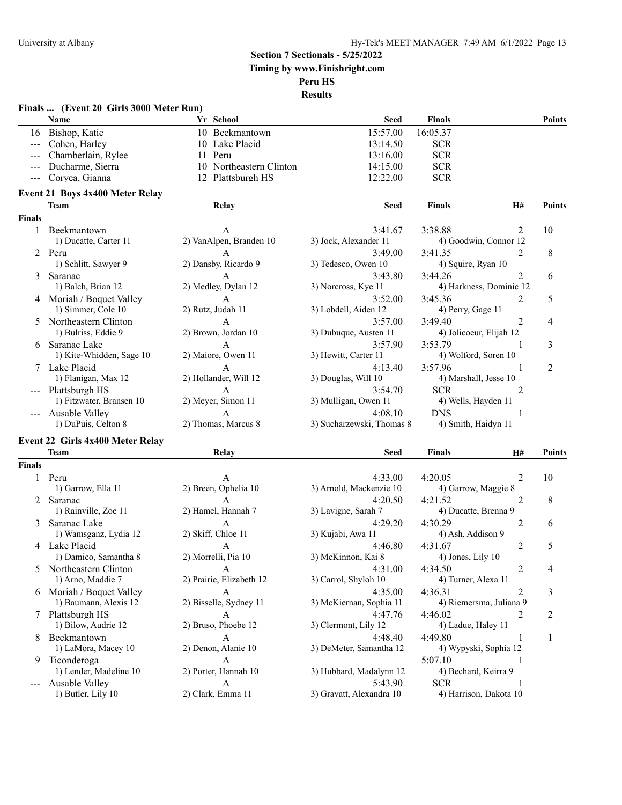| <b>Name</b><br>Yr School<br>Seed<br><b>Finals</b><br><b>Points</b><br>16 Bishop, Katie<br>15:57.00<br>16:05.37<br>10 Beekmantown<br>--- Cohen, Harley<br>10 Lake Placid<br>13:14.50<br><b>SCR</b><br>Chamberlain, Rylee<br>13:16.00<br><b>SCR</b><br>11 Peru<br>Ducharme, Sierra<br>10 Northeastern Clinton<br><b>SCR</b><br>14:15.00<br>Coryea, Gianna<br>12 Plattsburgh HS<br>12:22.00<br><b>SCR</b><br><b>Event 21 Boys 4x400 Meter Relay</b><br>Team<br><b>Seed</b><br><b>Finals</b><br>Relay<br>H#<br>Points<br><b>Finals</b><br>3:38.88<br>10<br>1 Beekmantown<br>3:41.67<br>2<br>A<br>1) Ducatte, Carter 11<br>2) VanAlpen, Branden 10<br>3) Jock, Alexander 11<br>4) Goodwin, Connor 12<br>8<br>2 Peru<br>$\mathsf{A}$<br>3:49.00<br>3:41.35<br>$\mathfrak{D}$<br>1) Schlitt, Sawyer 9<br>2) Dansby, Ricardo 9<br>3) Tedesco, Owen 10<br>4) Squire, Ryan 10<br>2<br>Saranac<br>3:43.80<br>3:44.26<br>6<br>A<br>3<br>1) Balch, Brian 12<br>2) Medley, Dylan 12<br>3) Norcross, Kye 11<br>4) Harkness, Dominic 12<br>4 Moriah / Boquet Valley<br>$\mathbf{A}$<br>3:52.00<br>3:45.36<br>$\mathfrak{D}$<br>5<br>2) Rutz, Judah 11<br>3) Lobdell, Aiden 12<br>1) Simmer, Cole 10<br>4) Perry, Gage 11<br>5 Northeastern Clinton<br>3:57.00<br>3:49.40<br>2<br>4<br>A<br>2) Brown, Jordan 10<br>3) Dubuque, Austen 11<br>1) Bulriss, Eddie 9<br>4) Jolicoeur, Elijah 12<br>6 Saranac Lake<br>3:53.79<br>3<br>3:57.90<br>A<br>1<br>2) Maiore, Owen 11<br>3) Hewitt, Carter 11<br>4) Wolford, Soren 10<br>1) Kite-Whidden, Sage 10<br>3:57.96<br>7 Lake Placid<br>4:13.40<br>1<br>2<br>$\mathbf{A}$<br>1) Flanigan, Max 12<br>2) Hollander, Will 12<br>3) Douglas, Will 10<br>4) Marshall, Jesse 10<br>$\mathbf{A}$<br>3:54.70<br><b>SCR</b><br>2<br>--- Plattsburgh HS<br>2) Meyer, Simon 11<br>3) Mulligan, Owen 11<br>1) Fitzwater, Bransen 10<br>4) Wells, Hayden 11<br>4:08.10<br><b>DNS</b><br>--- Ausable Valley<br>A<br>-1<br>2) Thomas, Marcus 8<br>3) Sucharzewski, Thomas 8<br>4) Smith, Haidyn 11<br>1) DuPuis, Celton 8<br><b>Event 22 Girls 4x400 Meter Relay</b><br><b>Team</b><br><b>Finals</b><br>Relay<br><b>Seed</b><br>H#<br><b>Finals</b><br>1 Peru<br>4:33.00<br>2<br>10<br>4:20.05<br>A<br>1) Garrow, Ella 11<br>2) Breen, Ophelia 10<br>3) Arnold, Mackenzie 10<br>4) Garrow, Maggie 8<br>$\mathbf{A}$<br>4:20.50<br>4:21.52<br>2<br>8<br>2 Saranac<br>2) Hamel, Hannah 7<br>1) Rainville, Zoe 11<br>3) Lavigne, Sarah 7<br>4) Ducatte, Brenna 9<br>4:30.29<br>3 Saranac Lake<br>A<br>4:29.20<br>2<br>6<br>1) Wamsganz, Lydia 12<br>2) Skiff, Chloe 11<br>3) Kujabi, Awa 11<br>4) Ash, Addison 9<br>4 Lake Placid<br>2<br>5<br>4:46.80<br>4:31.67<br>A<br>1) Damico, Samantha 8<br>2) Morrelli, Pia 10<br>3) McKinnon, Kai 8<br>4) Jones, Lily 10<br>5 Northeastern Clinton<br>4:31.00<br>4:34.50<br>2<br>A<br>4<br>2) Prairie, Elizabeth 12<br>1) Arno, Maddie 7<br>3) Carrol, Shyloh 10<br>4) Turner, Alexa 11<br>6 Moriah / Boquet Valley<br>4:35.00<br>3<br>A<br>4:36.31<br>2<br>2) Bisselle, Sydney 11<br>1) Baumann, Alexis 12<br>4) Riemersma, Juliana 9<br>3) McKiernan, Sophia 11<br>7 Plattsburgh HS<br>4:47.76<br>4:46.02<br>A<br>2<br>2<br>2) Bruso, Phoebe 12<br>1) Bilow, Audrie 12<br>4) Ladue, Haley 11<br>3) Clermont, Lily 12<br>Beekmantown<br>4:49.80<br>A<br>4:48.40<br>1<br>8<br>1<br>2) Denon, Alanie 10<br>1) LaMora, Macey 10<br>3) DeMeter, Samantha 12<br>4) Wypyski, Sophia 12<br>Ticonderoga<br>5:07.10<br>$\mathbf{A}$<br>1<br>9.<br>1) Lender, Madeline 10<br>2) Porter, Hannah 10<br>3) Hubbard, Madalynn 12<br>4) Bechard, Keirra 9<br>$\mathbf{A}$<br><b>SCR</b><br>Ausable Valley<br>5:43.90<br>1<br>2) Clark, Emma 11<br>3) Gravatt, Alexandra 10<br>1) Butler, Lily 10<br>4) Harrison, Dakota 10 | Finals  (Event 20 Girls 3000 Meter Run) |  |  |
|---------------------------------------------------------------------------------------------------------------------------------------------------------------------------------------------------------------------------------------------------------------------------------------------------------------------------------------------------------------------------------------------------------------------------------------------------------------------------------------------------------------------------------------------------------------------------------------------------------------------------------------------------------------------------------------------------------------------------------------------------------------------------------------------------------------------------------------------------------------------------------------------------------------------------------------------------------------------------------------------------------------------------------------------------------------------------------------------------------------------------------------------------------------------------------------------------------------------------------------------------------------------------------------------------------------------------------------------------------------------------------------------------------------------------------------------------------------------------------------------------------------------------------------------------------------------------------------------------------------------------------------------------------------------------------------------------------------------------------------------------------------------------------------------------------------------------------------------------------------------------------------------------------------------------------------------------------------------------------------------------------------------------------------------------------------------------------------------------------------------------------------------------------------------------------------------------------------------------------------------------------------------------------------------------------------------------------------------------------------------------------------------------------------------------------------------------------------------------------------------------------------------------------------------------------------------------------------------------------------------------------------------------------------------------------------------------------------------------------------------------------------------------------------------------------------------------------------------------------------------------------------------------------------------------------------------------------------------------------------------------------------------------------------------------------------------------------------------------------------------------------------------------------------------------------------------------------------------------------------------------------------------------------------------------------------------------------------------------------------------------------------------------------------------------------------------------------------------------------------------------------------------------------------------------------------------------------------------------------------------------------------------------------------------------------------------------------------------------------------------------------------|-----------------------------------------|--|--|
|                                                                                                                                                                                                                                                                                                                                                                                                                                                                                                                                                                                                                                                                                                                                                                                                                                                                                                                                                                                                                                                                                                                                                                                                                                                                                                                                                                                                                                                                                                                                                                                                                                                                                                                                                                                                                                                                                                                                                                                                                                                                                                                                                                                                                                                                                                                                                                                                                                                                                                                                                                                                                                                                                                                                                                                                                                                                                                                                                                                                                                                                                                                                                                                                                                                                                                                                                                                                                                                                                                                                                                                                                                                                                                                                                               |                                         |  |  |
|                                                                                                                                                                                                                                                                                                                                                                                                                                                                                                                                                                                                                                                                                                                                                                                                                                                                                                                                                                                                                                                                                                                                                                                                                                                                                                                                                                                                                                                                                                                                                                                                                                                                                                                                                                                                                                                                                                                                                                                                                                                                                                                                                                                                                                                                                                                                                                                                                                                                                                                                                                                                                                                                                                                                                                                                                                                                                                                                                                                                                                                                                                                                                                                                                                                                                                                                                                                                                                                                                                                                                                                                                                                                                                                                                               |                                         |  |  |
|                                                                                                                                                                                                                                                                                                                                                                                                                                                                                                                                                                                                                                                                                                                                                                                                                                                                                                                                                                                                                                                                                                                                                                                                                                                                                                                                                                                                                                                                                                                                                                                                                                                                                                                                                                                                                                                                                                                                                                                                                                                                                                                                                                                                                                                                                                                                                                                                                                                                                                                                                                                                                                                                                                                                                                                                                                                                                                                                                                                                                                                                                                                                                                                                                                                                                                                                                                                                                                                                                                                                                                                                                                                                                                                                                               |                                         |  |  |
|                                                                                                                                                                                                                                                                                                                                                                                                                                                                                                                                                                                                                                                                                                                                                                                                                                                                                                                                                                                                                                                                                                                                                                                                                                                                                                                                                                                                                                                                                                                                                                                                                                                                                                                                                                                                                                                                                                                                                                                                                                                                                                                                                                                                                                                                                                                                                                                                                                                                                                                                                                                                                                                                                                                                                                                                                                                                                                                                                                                                                                                                                                                                                                                                                                                                                                                                                                                                                                                                                                                                                                                                                                                                                                                                                               |                                         |  |  |
|                                                                                                                                                                                                                                                                                                                                                                                                                                                                                                                                                                                                                                                                                                                                                                                                                                                                                                                                                                                                                                                                                                                                                                                                                                                                                                                                                                                                                                                                                                                                                                                                                                                                                                                                                                                                                                                                                                                                                                                                                                                                                                                                                                                                                                                                                                                                                                                                                                                                                                                                                                                                                                                                                                                                                                                                                                                                                                                                                                                                                                                                                                                                                                                                                                                                                                                                                                                                                                                                                                                                                                                                                                                                                                                                                               |                                         |  |  |
|                                                                                                                                                                                                                                                                                                                                                                                                                                                                                                                                                                                                                                                                                                                                                                                                                                                                                                                                                                                                                                                                                                                                                                                                                                                                                                                                                                                                                                                                                                                                                                                                                                                                                                                                                                                                                                                                                                                                                                                                                                                                                                                                                                                                                                                                                                                                                                                                                                                                                                                                                                                                                                                                                                                                                                                                                                                                                                                                                                                                                                                                                                                                                                                                                                                                                                                                                                                                                                                                                                                                                                                                                                                                                                                                                               |                                         |  |  |
|                                                                                                                                                                                                                                                                                                                                                                                                                                                                                                                                                                                                                                                                                                                                                                                                                                                                                                                                                                                                                                                                                                                                                                                                                                                                                                                                                                                                                                                                                                                                                                                                                                                                                                                                                                                                                                                                                                                                                                                                                                                                                                                                                                                                                                                                                                                                                                                                                                                                                                                                                                                                                                                                                                                                                                                                                                                                                                                                                                                                                                                                                                                                                                                                                                                                                                                                                                                                                                                                                                                                                                                                                                                                                                                                                               |                                         |  |  |
| Points                                                                                                                                                                                                                                                                                                                                                                                                                                                                                                                                                                                                                                                                                                                                                                                                                                                                                                                                                                                                                                                                                                                                                                                                                                                                                                                                                                                                                                                                                                                                                                                                                                                                                                                                                                                                                                                                                                                                                                                                                                                                                                                                                                                                                                                                                                                                                                                                                                                                                                                                                                                                                                                                                                                                                                                                                                                                                                                                                                                                                                                                                                                                                                                                                                                                                                                                                                                                                                                                                                                                                                                                                                                                                                                                                        |                                         |  |  |
|                                                                                                                                                                                                                                                                                                                                                                                                                                                                                                                                                                                                                                                                                                                                                                                                                                                                                                                                                                                                                                                                                                                                                                                                                                                                                                                                                                                                                                                                                                                                                                                                                                                                                                                                                                                                                                                                                                                                                                                                                                                                                                                                                                                                                                                                                                                                                                                                                                                                                                                                                                                                                                                                                                                                                                                                                                                                                                                                                                                                                                                                                                                                                                                                                                                                                                                                                                                                                                                                                                                                                                                                                                                                                                                                                               |                                         |  |  |
|                                                                                                                                                                                                                                                                                                                                                                                                                                                                                                                                                                                                                                                                                                                                                                                                                                                                                                                                                                                                                                                                                                                                                                                                                                                                                                                                                                                                                                                                                                                                                                                                                                                                                                                                                                                                                                                                                                                                                                                                                                                                                                                                                                                                                                                                                                                                                                                                                                                                                                                                                                                                                                                                                                                                                                                                                                                                                                                                                                                                                                                                                                                                                                                                                                                                                                                                                                                                                                                                                                                                                                                                                                                                                                                                                               |                                         |  |  |
|                                                                                                                                                                                                                                                                                                                                                                                                                                                                                                                                                                                                                                                                                                                                                                                                                                                                                                                                                                                                                                                                                                                                                                                                                                                                                                                                                                                                                                                                                                                                                                                                                                                                                                                                                                                                                                                                                                                                                                                                                                                                                                                                                                                                                                                                                                                                                                                                                                                                                                                                                                                                                                                                                                                                                                                                                                                                                                                                                                                                                                                                                                                                                                                                                                                                                                                                                                                                                                                                                                                                                                                                                                                                                                                                                               |                                         |  |  |
|                                                                                                                                                                                                                                                                                                                                                                                                                                                                                                                                                                                                                                                                                                                                                                                                                                                                                                                                                                                                                                                                                                                                                                                                                                                                                                                                                                                                                                                                                                                                                                                                                                                                                                                                                                                                                                                                                                                                                                                                                                                                                                                                                                                                                                                                                                                                                                                                                                                                                                                                                                                                                                                                                                                                                                                                                                                                                                                                                                                                                                                                                                                                                                                                                                                                                                                                                                                                                                                                                                                                                                                                                                                                                                                                                               |                                         |  |  |
|                                                                                                                                                                                                                                                                                                                                                                                                                                                                                                                                                                                                                                                                                                                                                                                                                                                                                                                                                                                                                                                                                                                                                                                                                                                                                                                                                                                                                                                                                                                                                                                                                                                                                                                                                                                                                                                                                                                                                                                                                                                                                                                                                                                                                                                                                                                                                                                                                                                                                                                                                                                                                                                                                                                                                                                                                                                                                                                                                                                                                                                                                                                                                                                                                                                                                                                                                                                                                                                                                                                                                                                                                                                                                                                                                               |                                         |  |  |
|                                                                                                                                                                                                                                                                                                                                                                                                                                                                                                                                                                                                                                                                                                                                                                                                                                                                                                                                                                                                                                                                                                                                                                                                                                                                                                                                                                                                                                                                                                                                                                                                                                                                                                                                                                                                                                                                                                                                                                                                                                                                                                                                                                                                                                                                                                                                                                                                                                                                                                                                                                                                                                                                                                                                                                                                                                                                                                                                                                                                                                                                                                                                                                                                                                                                                                                                                                                                                                                                                                                                                                                                                                                                                                                                                               |                                         |  |  |
|                                                                                                                                                                                                                                                                                                                                                                                                                                                                                                                                                                                                                                                                                                                                                                                                                                                                                                                                                                                                                                                                                                                                                                                                                                                                                                                                                                                                                                                                                                                                                                                                                                                                                                                                                                                                                                                                                                                                                                                                                                                                                                                                                                                                                                                                                                                                                                                                                                                                                                                                                                                                                                                                                                                                                                                                                                                                                                                                                                                                                                                                                                                                                                                                                                                                                                                                                                                                                                                                                                                                                                                                                                                                                                                                                               |                                         |  |  |
|                                                                                                                                                                                                                                                                                                                                                                                                                                                                                                                                                                                                                                                                                                                                                                                                                                                                                                                                                                                                                                                                                                                                                                                                                                                                                                                                                                                                                                                                                                                                                                                                                                                                                                                                                                                                                                                                                                                                                                                                                                                                                                                                                                                                                                                                                                                                                                                                                                                                                                                                                                                                                                                                                                                                                                                                                                                                                                                                                                                                                                                                                                                                                                                                                                                                                                                                                                                                                                                                                                                                                                                                                                                                                                                                                               |                                         |  |  |
|                                                                                                                                                                                                                                                                                                                                                                                                                                                                                                                                                                                                                                                                                                                                                                                                                                                                                                                                                                                                                                                                                                                                                                                                                                                                                                                                                                                                                                                                                                                                                                                                                                                                                                                                                                                                                                                                                                                                                                                                                                                                                                                                                                                                                                                                                                                                                                                                                                                                                                                                                                                                                                                                                                                                                                                                                                                                                                                                                                                                                                                                                                                                                                                                                                                                                                                                                                                                                                                                                                                                                                                                                                                                                                                                                               |                                         |  |  |
|                                                                                                                                                                                                                                                                                                                                                                                                                                                                                                                                                                                                                                                                                                                                                                                                                                                                                                                                                                                                                                                                                                                                                                                                                                                                                                                                                                                                                                                                                                                                                                                                                                                                                                                                                                                                                                                                                                                                                                                                                                                                                                                                                                                                                                                                                                                                                                                                                                                                                                                                                                                                                                                                                                                                                                                                                                                                                                                                                                                                                                                                                                                                                                                                                                                                                                                                                                                                                                                                                                                                                                                                                                                                                                                                                               |                                         |  |  |
|                                                                                                                                                                                                                                                                                                                                                                                                                                                                                                                                                                                                                                                                                                                                                                                                                                                                                                                                                                                                                                                                                                                                                                                                                                                                                                                                                                                                                                                                                                                                                                                                                                                                                                                                                                                                                                                                                                                                                                                                                                                                                                                                                                                                                                                                                                                                                                                                                                                                                                                                                                                                                                                                                                                                                                                                                                                                                                                                                                                                                                                                                                                                                                                                                                                                                                                                                                                                                                                                                                                                                                                                                                                                                                                                                               |                                         |  |  |
|                                                                                                                                                                                                                                                                                                                                                                                                                                                                                                                                                                                                                                                                                                                                                                                                                                                                                                                                                                                                                                                                                                                                                                                                                                                                                                                                                                                                                                                                                                                                                                                                                                                                                                                                                                                                                                                                                                                                                                                                                                                                                                                                                                                                                                                                                                                                                                                                                                                                                                                                                                                                                                                                                                                                                                                                                                                                                                                                                                                                                                                                                                                                                                                                                                                                                                                                                                                                                                                                                                                                                                                                                                                                                                                                                               |                                         |  |  |
|                                                                                                                                                                                                                                                                                                                                                                                                                                                                                                                                                                                                                                                                                                                                                                                                                                                                                                                                                                                                                                                                                                                                                                                                                                                                                                                                                                                                                                                                                                                                                                                                                                                                                                                                                                                                                                                                                                                                                                                                                                                                                                                                                                                                                                                                                                                                                                                                                                                                                                                                                                                                                                                                                                                                                                                                                                                                                                                                                                                                                                                                                                                                                                                                                                                                                                                                                                                                                                                                                                                                                                                                                                                                                                                                                               |                                         |  |  |
|                                                                                                                                                                                                                                                                                                                                                                                                                                                                                                                                                                                                                                                                                                                                                                                                                                                                                                                                                                                                                                                                                                                                                                                                                                                                                                                                                                                                                                                                                                                                                                                                                                                                                                                                                                                                                                                                                                                                                                                                                                                                                                                                                                                                                                                                                                                                                                                                                                                                                                                                                                                                                                                                                                                                                                                                                                                                                                                                                                                                                                                                                                                                                                                                                                                                                                                                                                                                                                                                                                                                                                                                                                                                                                                                                               |                                         |  |  |
|                                                                                                                                                                                                                                                                                                                                                                                                                                                                                                                                                                                                                                                                                                                                                                                                                                                                                                                                                                                                                                                                                                                                                                                                                                                                                                                                                                                                                                                                                                                                                                                                                                                                                                                                                                                                                                                                                                                                                                                                                                                                                                                                                                                                                                                                                                                                                                                                                                                                                                                                                                                                                                                                                                                                                                                                                                                                                                                                                                                                                                                                                                                                                                                                                                                                                                                                                                                                                                                                                                                                                                                                                                                                                                                                                               |                                         |  |  |
|                                                                                                                                                                                                                                                                                                                                                                                                                                                                                                                                                                                                                                                                                                                                                                                                                                                                                                                                                                                                                                                                                                                                                                                                                                                                                                                                                                                                                                                                                                                                                                                                                                                                                                                                                                                                                                                                                                                                                                                                                                                                                                                                                                                                                                                                                                                                                                                                                                                                                                                                                                                                                                                                                                                                                                                                                                                                                                                                                                                                                                                                                                                                                                                                                                                                                                                                                                                                                                                                                                                                                                                                                                                                                                                                                               |                                         |  |  |
|                                                                                                                                                                                                                                                                                                                                                                                                                                                                                                                                                                                                                                                                                                                                                                                                                                                                                                                                                                                                                                                                                                                                                                                                                                                                                                                                                                                                                                                                                                                                                                                                                                                                                                                                                                                                                                                                                                                                                                                                                                                                                                                                                                                                                                                                                                                                                                                                                                                                                                                                                                                                                                                                                                                                                                                                                                                                                                                                                                                                                                                                                                                                                                                                                                                                                                                                                                                                                                                                                                                                                                                                                                                                                                                                                               |                                         |  |  |
|                                                                                                                                                                                                                                                                                                                                                                                                                                                                                                                                                                                                                                                                                                                                                                                                                                                                                                                                                                                                                                                                                                                                                                                                                                                                                                                                                                                                                                                                                                                                                                                                                                                                                                                                                                                                                                                                                                                                                                                                                                                                                                                                                                                                                                                                                                                                                                                                                                                                                                                                                                                                                                                                                                                                                                                                                                                                                                                                                                                                                                                                                                                                                                                                                                                                                                                                                                                                                                                                                                                                                                                                                                                                                                                                                               |                                         |  |  |
|                                                                                                                                                                                                                                                                                                                                                                                                                                                                                                                                                                                                                                                                                                                                                                                                                                                                                                                                                                                                                                                                                                                                                                                                                                                                                                                                                                                                                                                                                                                                                                                                                                                                                                                                                                                                                                                                                                                                                                                                                                                                                                                                                                                                                                                                                                                                                                                                                                                                                                                                                                                                                                                                                                                                                                                                                                                                                                                                                                                                                                                                                                                                                                                                                                                                                                                                                                                                                                                                                                                                                                                                                                                                                                                                                               |                                         |  |  |
|                                                                                                                                                                                                                                                                                                                                                                                                                                                                                                                                                                                                                                                                                                                                                                                                                                                                                                                                                                                                                                                                                                                                                                                                                                                                                                                                                                                                                                                                                                                                                                                                                                                                                                                                                                                                                                                                                                                                                                                                                                                                                                                                                                                                                                                                                                                                                                                                                                                                                                                                                                                                                                                                                                                                                                                                                                                                                                                                                                                                                                                                                                                                                                                                                                                                                                                                                                                                                                                                                                                                                                                                                                                                                                                                                               |                                         |  |  |
|                                                                                                                                                                                                                                                                                                                                                                                                                                                                                                                                                                                                                                                                                                                                                                                                                                                                                                                                                                                                                                                                                                                                                                                                                                                                                                                                                                                                                                                                                                                                                                                                                                                                                                                                                                                                                                                                                                                                                                                                                                                                                                                                                                                                                                                                                                                                                                                                                                                                                                                                                                                                                                                                                                                                                                                                                                                                                                                                                                                                                                                                                                                                                                                                                                                                                                                                                                                                                                                                                                                                                                                                                                                                                                                                                               |                                         |  |  |
|                                                                                                                                                                                                                                                                                                                                                                                                                                                                                                                                                                                                                                                                                                                                                                                                                                                                                                                                                                                                                                                                                                                                                                                                                                                                                                                                                                                                                                                                                                                                                                                                                                                                                                                                                                                                                                                                                                                                                                                                                                                                                                                                                                                                                                                                                                                                                                                                                                                                                                                                                                                                                                                                                                                                                                                                                                                                                                                                                                                                                                                                                                                                                                                                                                                                                                                                                                                                                                                                                                                                                                                                                                                                                                                                                               |                                         |  |  |
|                                                                                                                                                                                                                                                                                                                                                                                                                                                                                                                                                                                                                                                                                                                                                                                                                                                                                                                                                                                                                                                                                                                                                                                                                                                                                                                                                                                                                                                                                                                                                                                                                                                                                                                                                                                                                                                                                                                                                                                                                                                                                                                                                                                                                                                                                                                                                                                                                                                                                                                                                                                                                                                                                                                                                                                                                                                                                                                                                                                                                                                                                                                                                                                                                                                                                                                                                                                                                                                                                                                                                                                                                                                                                                                                                               |                                         |  |  |
|                                                                                                                                                                                                                                                                                                                                                                                                                                                                                                                                                                                                                                                                                                                                                                                                                                                                                                                                                                                                                                                                                                                                                                                                                                                                                                                                                                                                                                                                                                                                                                                                                                                                                                                                                                                                                                                                                                                                                                                                                                                                                                                                                                                                                                                                                                                                                                                                                                                                                                                                                                                                                                                                                                                                                                                                                                                                                                                                                                                                                                                                                                                                                                                                                                                                                                                                                                                                                                                                                                                                                                                                                                                                                                                                                               |                                         |  |  |
|                                                                                                                                                                                                                                                                                                                                                                                                                                                                                                                                                                                                                                                                                                                                                                                                                                                                                                                                                                                                                                                                                                                                                                                                                                                                                                                                                                                                                                                                                                                                                                                                                                                                                                                                                                                                                                                                                                                                                                                                                                                                                                                                                                                                                                                                                                                                                                                                                                                                                                                                                                                                                                                                                                                                                                                                                                                                                                                                                                                                                                                                                                                                                                                                                                                                                                                                                                                                                                                                                                                                                                                                                                                                                                                                                               |                                         |  |  |
|                                                                                                                                                                                                                                                                                                                                                                                                                                                                                                                                                                                                                                                                                                                                                                                                                                                                                                                                                                                                                                                                                                                                                                                                                                                                                                                                                                                                                                                                                                                                                                                                                                                                                                                                                                                                                                                                                                                                                                                                                                                                                                                                                                                                                                                                                                                                                                                                                                                                                                                                                                                                                                                                                                                                                                                                                                                                                                                                                                                                                                                                                                                                                                                                                                                                                                                                                                                                                                                                                                                                                                                                                                                                                                                                                               |                                         |  |  |
|                                                                                                                                                                                                                                                                                                                                                                                                                                                                                                                                                                                                                                                                                                                                                                                                                                                                                                                                                                                                                                                                                                                                                                                                                                                                                                                                                                                                                                                                                                                                                                                                                                                                                                                                                                                                                                                                                                                                                                                                                                                                                                                                                                                                                                                                                                                                                                                                                                                                                                                                                                                                                                                                                                                                                                                                                                                                                                                                                                                                                                                                                                                                                                                                                                                                                                                                                                                                                                                                                                                                                                                                                                                                                                                                                               |                                         |  |  |
|                                                                                                                                                                                                                                                                                                                                                                                                                                                                                                                                                                                                                                                                                                                                                                                                                                                                                                                                                                                                                                                                                                                                                                                                                                                                                                                                                                                                                                                                                                                                                                                                                                                                                                                                                                                                                                                                                                                                                                                                                                                                                                                                                                                                                                                                                                                                                                                                                                                                                                                                                                                                                                                                                                                                                                                                                                                                                                                                                                                                                                                                                                                                                                                                                                                                                                                                                                                                                                                                                                                                                                                                                                                                                                                                                               |                                         |  |  |
|                                                                                                                                                                                                                                                                                                                                                                                                                                                                                                                                                                                                                                                                                                                                                                                                                                                                                                                                                                                                                                                                                                                                                                                                                                                                                                                                                                                                                                                                                                                                                                                                                                                                                                                                                                                                                                                                                                                                                                                                                                                                                                                                                                                                                                                                                                                                                                                                                                                                                                                                                                                                                                                                                                                                                                                                                                                                                                                                                                                                                                                                                                                                                                                                                                                                                                                                                                                                                                                                                                                                                                                                                                                                                                                                                               |                                         |  |  |
|                                                                                                                                                                                                                                                                                                                                                                                                                                                                                                                                                                                                                                                                                                                                                                                                                                                                                                                                                                                                                                                                                                                                                                                                                                                                                                                                                                                                                                                                                                                                                                                                                                                                                                                                                                                                                                                                                                                                                                                                                                                                                                                                                                                                                                                                                                                                                                                                                                                                                                                                                                                                                                                                                                                                                                                                                                                                                                                                                                                                                                                                                                                                                                                                                                                                                                                                                                                                                                                                                                                                                                                                                                                                                                                                                               |                                         |  |  |
|                                                                                                                                                                                                                                                                                                                                                                                                                                                                                                                                                                                                                                                                                                                                                                                                                                                                                                                                                                                                                                                                                                                                                                                                                                                                                                                                                                                                                                                                                                                                                                                                                                                                                                                                                                                                                                                                                                                                                                                                                                                                                                                                                                                                                                                                                                                                                                                                                                                                                                                                                                                                                                                                                                                                                                                                                                                                                                                                                                                                                                                                                                                                                                                                                                                                                                                                                                                                                                                                                                                                                                                                                                                                                                                                                               |                                         |  |  |
|                                                                                                                                                                                                                                                                                                                                                                                                                                                                                                                                                                                                                                                                                                                                                                                                                                                                                                                                                                                                                                                                                                                                                                                                                                                                                                                                                                                                                                                                                                                                                                                                                                                                                                                                                                                                                                                                                                                                                                                                                                                                                                                                                                                                                                                                                                                                                                                                                                                                                                                                                                                                                                                                                                                                                                                                                                                                                                                                                                                                                                                                                                                                                                                                                                                                                                                                                                                                                                                                                                                                                                                                                                                                                                                                                               |                                         |  |  |
|                                                                                                                                                                                                                                                                                                                                                                                                                                                                                                                                                                                                                                                                                                                                                                                                                                                                                                                                                                                                                                                                                                                                                                                                                                                                                                                                                                                                                                                                                                                                                                                                                                                                                                                                                                                                                                                                                                                                                                                                                                                                                                                                                                                                                                                                                                                                                                                                                                                                                                                                                                                                                                                                                                                                                                                                                                                                                                                                                                                                                                                                                                                                                                                                                                                                                                                                                                                                                                                                                                                                                                                                                                                                                                                                                               |                                         |  |  |
|                                                                                                                                                                                                                                                                                                                                                                                                                                                                                                                                                                                                                                                                                                                                                                                                                                                                                                                                                                                                                                                                                                                                                                                                                                                                                                                                                                                                                                                                                                                                                                                                                                                                                                                                                                                                                                                                                                                                                                                                                                                                                                                                                                                                                                                                                                                                                                                                                                                                                                                                                                                                                                                                                                                                                                                                                                                                                                                                                                                                                                                                                                                                                                                                                                                                                                                                                                                                                                                                                                                                                                                                                                                                                                                                                               |                                         |  |  |
|                                                                                                                                                                                                                                                                                                                                                                                                                                                                                                                                                                                                                                                                                                                                                                                                                                                                                                                                                                                                                                                                                                                                                                                                                                                                                                                                                                                                                                                                                                                                                                                                                                                                                                                                                                                                                                                                                                                                                                                                                                                                                                                                                                                                                                                                                                                                                                                                                                                                                                                                                                                                                                                                                                                                                                                                                                                                                                                                                                                                                                                                                                                                                                                                                                                                                                                                                                                                                                                                                                                                                                                                                                                                                                                                                               |                                         |  |  |
|                                                                                                                                                                                                                                                                                                                                                                                                                                                                                                                                                                                                                                                                                                                                                                                                                                                                                                                                                                                                                                                                                                                                                                                                                                                                                                                                                                                                                                                                                                                                                                                                                                                                                                                                                                                                                                                                                                                                                                                                                                                                                                                                                                                                                                                                                                                                                                                                                                                                                                                                                                                                                                                                                                                                                                                                                                                                                                                                                                                                                                                                                                                                                                                                                                                                                                                                                                                                                                                                                                                                                                                                                                                                                                                                                               |                                         |  |  |
|                                                                                                                                                                                                                                                                                                                                                                                                                                                                                                                                                                                                                                                                                                                                                                                                                                                                                                                                                                                                                                                                                                                                                                                                                                                                                                                                                                                                                                                                                                                                                                                                                                                                                                                                                                                                                                                                                                                                                                                                                                                                                                                                                                                                                                                                                                                                                                                                                                                                                                                                                                                                                                                                                                                                                                                                                                                                                                                                                                                                                                                                                                                                                                                                                                                                                                                                                                                                                                                                                                                                                                                                                                                                                                                                                               |                                         |  |  |
|                                                                                                                                                                                                                                                                                                                                                                                                                                                                                                                                                                                                                                                                                                                                                                                                                                                                                                                                                                                                                                                                                                                                                                                                                                                                                                                                                                                                                                                                                                                                                                                                                                                                                                                                                                                                                                                                                                                                                                                                                                                                                                                                                                                                                                                                                                                                                                                                                                                                                                                                                                                                                                                                                                                                                                                                                                                                                                                                                                                                                                                                                                                                                                                                                                                                                                                                                                                                                                                                                                                                                                                                                                                                                                                                                               |                                         |  |  |
|                                                                                                                                                                                                                                                                                                                                                                                                                                                                                                                                                                                                                                                                                                                                                                                                                                                                                                                                                                                                                                                                                                                                                                                                                                                                                                                                                                                                                                                                                                                                                                                                                                                                                                                                                                                                                                                                                                                                                                                                                                                                                                                                                                                                                                                                                                                                                                                                                                                                                                                                                                                                                                                                                                                                                                                                                                                                                                                                                                                                                                                                                                                                                                                                                                                                                                                                                                                                                                                                                                                                                                                                                                                                                                                                                               |                                         |  |  |
|                                                                                                                                                                                                                                                                                                                                                                                                                                                                                                                                                                                                                                                                                                                                                                                                                                                                                                                                                                                                                                                                                                                                                                                                                                                                                                                                                                                                                                                                                                                                                                                                                                                                                                                                                                                                                                                                                                                                                                                                                                                                                                                                                                                                                                                                                                                                                                                                                                                                                                                                                                                                                                                                                                                                                                                                                                                                                                                                                                                                                                                                                                                                                                                                                                                                                                                                                                                                                                                                                                                                                                                                                                                                                                                                                               |                                         |  |  |
|                                                                                                                                                                                                                                                                                                                                                                                                                                                                                                                                                                                                                                                                                                                                                                                                                                                                                                                                                                                                                                                                                                                                                                                                                                                                                                                                                                                                                                                                                                                                                                                                                                                                                                                                                                                                                                                                                                                                                                                                                                                                                                                                                                                                                                                                                                                                                                                                                                                                                                                                                                                                                                                                                                                                                                                                                                                                                                                                                                                                                                                                                                                                                                                                                                                                                                                                                                                                                                                                                                                                                                                                                                                                                                                                                               |                                         |  |  |
|                                                                                                                                                                                                                                                                                                                                                                                                                                                                                                                                                                                                                                                                                                                                                                                                                                                                                                                                                                                                                                                                                                                                                                                                                                                                                                                                                                                                                                                                                                                                                                                                                                                                                                                                                                                                                                                                                                                                                                                                                                                                                                                                                                                                                                                                                                                                                                                                                                                                                                                                                                                                                                                                                                                                                                                                                                                                                                                                                                                                                                                                                                                                                                                                                                                                                                                                                                                                                                                                                                                                                                                                                                                                                                                                                               |                                         |  |  |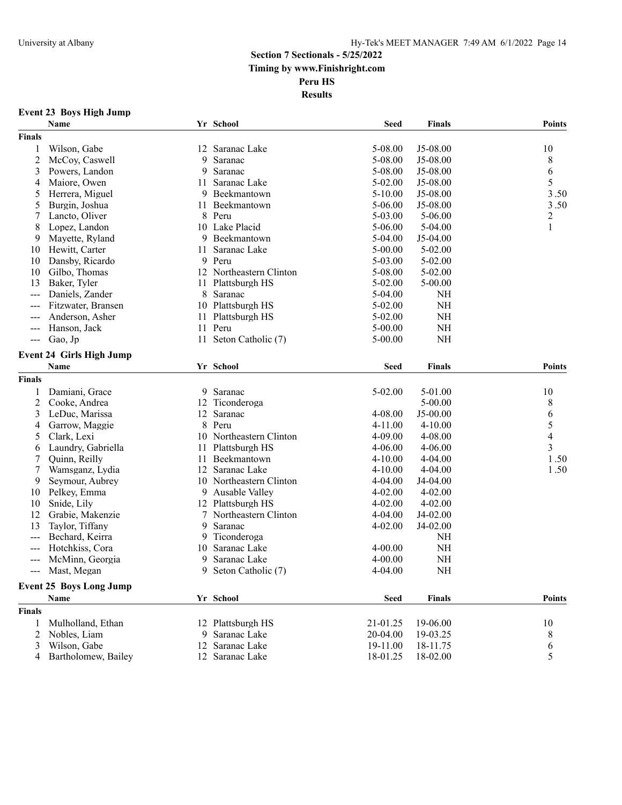### **Event 23 Boys High Jump**

|                                                                                                                                                                                                                                                                                                                                                                                              | Name                            |        | Yr School               | <b>Seed</b> | <b>Finals</b> | <b>Points</b> |
|----------------------------------------------------------------------------------------------------------------------------------------------------------------------------------------------------------------------------------------------------------------------------------------------------------------------------------------------------------------------------------------------|---------------------------------|--------|-------------------------|-------------|---------------|---------------|
| <b>Finals</b>                                                                                                                                                                                                                                                                                                                                                                                |                                 |        |                         |             |               |               |
| 1                                                                                                                                                                                                                                                                                                                                                                                            | Wilson, Gabe                    | 12     | Saranac Lake            | 5-08.00     | J5-08.00      | 10            |
| $\overline{c}$                                                                                                                                                                                                                                                                                                                                                                               | McCoy, Caswell                  | 9      | Saranac                 | 5-08.00     | J5-08.00      | 8             |
| 3                                                                                                                                                                                                                                                                                                                                                                                            | Powers, Landon                  | 9      | Saranac                 | 5-08.00     | J5-08.00      | 6             |
| 4                                                                                                                                                                                                                                                                                                                                                                                            | Maiore, Owen                    | 11     | Saranac Lake            | $5 - 02.00$ | J5-08.00      | 5             |
| 5                                                                                                                                                                                                                                                                                                                                                                                            | Herrera, Miguel                 | 9      | Beekmantown             | $5 - 10.00$ | J5-08.00      | 3.50          |
| 5                                                                                                                                                                                                                                                                                                                                                                                            | Burgin, Joshua                  | 11     | Beekmantown             | $5 - 06.00$ | J5-08.00      | 3.50          |
| 7                                                                                                                                                                                                                                                                                                                                                                                            | Lancto, Oliver                  | 8      | Peru                    | 5-03.00     | 5-06.00       | 2             |
| 8                                                                                                                                                                                                                                                                                                                                                                                            | Lopez, Landon                   |        | 10 Lake Placid          | 5-06.00     | $5-04.00$     | 1             |
| 9                                                                                                                                                                                                                                                                                                                                                                                            | Mayette, Ryland                 |        | 9 Beekmantown           | 5-04.00     | J5-04.00      |               |
| 10                                                                                                                                                                                                                                                                                                                                                                                           | Hewitt, Carter                  | 11     | Saranac Lake            | 5-00.00     | $5 - 02.00$   |               |
| 10                                                                                                                                                                                                                                                                                                                                                                                           | Dansby, Ricardo                 |        | 9 Peru                  | 5-03.00     | $5 - 02.00$   |               |
| 10                                                                                                                                                                                                                                                                                                                                                                                           | Gilbo, Thomas                   |        | 12 Northeastern Clinton | 5-08.00     | $5 - 02.00$   |               |
| 13                                                                                                                                                                                                                                                                                                                                                                                           | Baker, Tyler                    | 11     | Plattsburgh HS          | 5-02.00     | 5-00.00       |               |
| $--$                                                                                                                                                                                                                                                                                                                                                                                         | Daniels, Zander                 | 8      | Saranac                 | 5-04.00     | <b>NH</b>     |               |
| $\frac{1}{2} \frac{1}{2} \frac{1}{2} \frac{1}{2} \frac{1}{2} \frac{1}{2} \frac{1}{2} \frac{1}{2} \frac{1}{2} \frac{1}{2} \frac{1}{2} \frac{1}{2} \frac{1}{2} \frac{1}{2} \frac{1}{2} \frac{1}{2} \frac{1}{2} \frac{1}{2} \frac{1}{2} \frac{1}{2} \frac{1}{2} \frac{1}{2} \frac{1}{2} \frac{1}{2} \frac{1}{2} \frac{1}{2} \frac{1}{2} \frac{1}{2} \frac{1}{2} \frac{1}{2} \frac{1}{2} \frac{$ | Fitzwater, Bransen              |        | 10 Plattsburgh HS       | 5-02.00     | <b>NH</b>     |               |
|                                                                                                                                                                                                                                                                                                                                                                                              | Anderson, Asher                 | 11     | Plattsburgh HS          | 5-02.00     | <b>NH</b>     |               |
| $---$                                                                                                                                                                                                                                                                                                                                                                                        | Hanson, Jack                    |        | 11 Peru                 | 5-00.00     | <b>NH</b>     |               |
| $---$                                                                                                                                                                                                                                                                                                                                                                                        | Gao, Jp                         | 11     | Seton Catholic (7)      | 5-00.00     | <b>NH</b>     |               |
|                                                                                                                                                                                                                                                                                                                                                                                              |                                 |        |                         |             |               |               |
|                                                                                                                                                                                                                                                                                                                                                                                              | <b>Event 24 Girls High Jump</b> |        |                         |             |               |               |
|                                                                                                                                                                                                                                                                                                                                                                                              | Name                            |        | Yr School               | <b>Seed</b> | <b>Finals</b> | <b>Points</b> |
| <b>Finals</b>                                                                                                                                                                                                                                                                                                                                                                                |                                 |        |                         |             |               |               |
| 1                                                                                                                                                                                                                                                                                                                                                                                            | Damiani, Grace                  | 9      | Saranac                 | 5-02.00     | 5-01.00       | 10            |
| 2                                                                                                                                                                                                                                                                                                                                                                                            | Cooke, Andrea                   | 12     | Ticonderoga             |             | $5 - 00.00$   | 8             |
| 3                                                                                                                                                                                                                                                                                                                                                                                            | LeDuc, Marissa                  | 12     | Saranac                 | 4-08.00     | $J5-00.00$    | 6             |
| 4                                                                                                                                                                                                                                                                                                                                                                                            | Garrow, Maggie                  |        | 8 Peru                  | 4-11.00     | $4 - 10.00$   | 5             |
| 5                                                                                                                                                                                                                                                                                                                                                                                            | Clark, Lexi                     | 10     | Northeastern Clinton    | 4-09.00     | 4-08.00       | 4             |
| 6                                                                                                                                                                                                                                                                                                                                                                                            | Laundry, Gabriella              | 11     | Plattsburgh HS          | $4 - 06.00$ | $4 - 06.00$   | 3             |
| 7                                                                                                                                                                                                                                                                                                                                                                                            | Quinn, Reilly                   | 11     | Beekmantown             | 4-10.00     | 4-04.00       | 1.50          |
| 7                                                                                                                                                                                                                                                                                                                                                                                            | Wamsganz, Lydia                 | 12     | Saranac Lake            | $4 - 10.00$ | 4-04.00       | 1.50          |
| 9                                                                                                                                                                                                                                                                                                                                                                                            | Seymour, Aubrey                 |        | 10 Northeastern Clinton | 4-04.00     | J4-04.00      |               |
| 10                                                                                                                                                                                                                                                                                                                                                                                           | Pelkey, Emma                    |        | 9 Ausable Valley        | 4-02.00     | $4 - 02.00$   |               |
| 10                                                                                                                                                                                                                                                                                                                                                                                           | Snide, Lily                     |        | 12 Plattsburgh HS       | 4-02.00     | $4 - 02.00$   |               |
| 12                                                                                                                                                                                                                                                                                                                                                                                           | Grabie, Makenzie                | $\tau$ | Northeastern Clinton    | 4-04.00     | J4-02.00      |               |
| 13                                                                                                                                                                                                                                                                                                                                                                                           | Taylor, Tiffany                 | 9      | Saranac                 | 4-02.00     | J4-02.00      |               |
| $--$                                                                                                                                                                                                                                                                                                                                                                                         | Bechard, Keirra                 | 9      | Ticonderoga             |             | <b>NH</b>     |               |
| ---                                                                                                                                                                                                                                                                                                                                                                                          | Hotchkiss, Cora                 | 10     | Saranac Lake            | 4-00.00     | <b>NH</b>     |               |
|                                                                                                                                                                                                                                                                                                                                                                                              | McMinn, Georgia                 | 9      | Saranac Lake            | $4 - 00.00$ | <b>NH</b>     |               |
| $\qquad \qquad - -$                                                                                                                                                                                                                                                                                                                                                                          | Mast, Megan                     | 9      | Seton Catholic (7)      | 4-04.00     | <b>NH</b>     |               |
|                                                                                                                                                                                                                                                                                                                                                                                              | <b>Event 25 Boys Long Jump</b>  |        |                         |             |               |               |
|                                                                                                                                                                                                                                                                                                                                                                                              | Name                            |        | Yr School               | <b>Seed</b> | <b>Finals</b> | <b>Points</b> |
| <b>Finals</b>                                                                                                                                                                                                                                                                                                                                                                                |                                 |        |                         |             |               |               |
| 1                                                                                                                                                                                                                                                                                                                                                                                            | Mulholland, Ethan               |        | 12 Plattsburgh HS       | 21-01.25    | 19-06.00      | 10            |
| 2                                                                                                                                                                                                                                                                                                                                                                                            | Nobles, Liam                    | 9      | Saranac Lake            | 20-04.00    | 19-03.25      | 8             |
| 3                                                                                                                                                                                                                                                                                                                                                                                            | Wilson, Gabe                    | 12     | Saranac Lake            | 19-11.00    | 18-11.75      | 6             |
| 4                                                                                                                                                                                                                                                                                                                                                                                            | Bartholomew, Bailey             |        | 12 Saranac Lake         | 18-01.25    | 18-02.00      | 5             |
|                                                                                                                                                                                                                                                                                                                                                                                              |                                 |        |                         |             |               |               |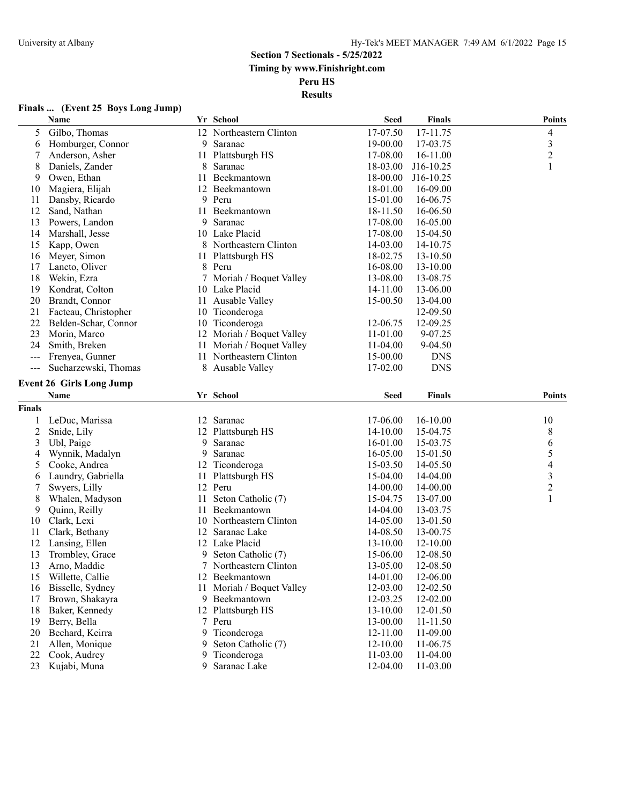#### **Finals ... (Event 25 Boys Long Jump)**

|                | Name                                    |    | Yr School                 | <b>Seed</b> | <b>Finals</b> | <b>Points</b>            |
|----------------|-----------------------------------------|----|---------------------------|-------------|---------------|--------------------------|
| 5              | Gilbo, Thomas                           |    | 12 Northeastern Clinton   | 17-07.50    | 17-11.75      | $\overline{\mathcal{A}}$ |
| 6              | Homburger, Connor                       |    | 9 Saranac                 | 19-00.00    | 17-03.75      | $\mathfrak{Z}$           |
| 7              | Anderson, Asher                         | 11 | Plattsburgh HS            | 17-08.00    | 16-11.00      | $\overline{c}$           |
| 8              | Daniels, Zander                         | 8  | Saranac                   | 18-03.00    | J16-10.25     | 1                        |
| 9              | Owen, Ethan                             | 11 | Beekmantown               | 18-00.00    | J16-10.25     |                          |
| 10             | Magiera, Elijah                         | 12 | Beekmantown               | 18-01.00    | 16-09.00      |                          |
| 11             | Dansby, Ricardo                         |    | 9 Peru                    | 15-01.00    | 16-06.75      |                          |
| 12             | Sand, Nathan                            | 11 | Beekmantown               | 18-11.50    | 16-06.50      |                          |
| 13             | Powers, Landon                          | 9  | Saranac                   | 17-08.00    | 16-05.00      |                          |
| 14             | Marshall, Jesse                         |    | 10 Lake Placid            | 17-08.00    | 15-04.50      |                          |
| 15             | Kapp, Owen                              |    | 8 Northeastern Clinton    | 14-03.00    | 14-10.75      |                          |
| 16             | Meyer, Simon                            |    | 11 Plattsburgh HS         | 18-02.75    | 13-10.50      |                          |
| 17             | Lancto, Oliver                          |    | 8 Peru                    | 16-08.00    | 13-10.00      |                          |
| 18             | Wekin, Ezra                             | 7  | Moriah / Boquet Valley    | 13-08.00    | 13-08.75      |                          |
| 19             | Kondrat, Colton                         |    | 10 Lake Placid            | 14-11.00    | 13-06.00      |                          |
| 20             | Brandt, Connor                          | 11 | Ausable Valley            | 15-00.50    | 13-04.00      |                          |
| 21             | Facteau, Christopher                    |    | 10 Ticonderoga            |             | 12-09.50      |                          |
| 22             | Belden-Schar, Connor                    |    | 10 Ticonderoga            | 12-06.75    | 12-09.25      |                          |
| 23             | Morin, Marco                            |    | 12 Moriah / Boquet Valley | 11-01.00    | 9-07.25       |                          |
| 24             | Smith, Breken                           | 11 | Moriah / Boquet Valley    | 11-04.00    | 9-04.50       |                          |
| $---$          | Frenyea, Gunner                         | 11 | Northeastern Clinton      | 15-00.00    | <b>DNS</b>    |                          |
| ---            | Sucharzewski, Thomas                    |    | 8 Ausable Valley          | 17-02.00    | <b>DNS</b>    |                          |
|                |                                         |    |                           |             |               |                          |
|                | <b>Event 26 Girls Long Jump</b><br>Name |    | Yr School                 | <b>Seed</b> | <b>Finals</b> | <b>Points</b>            |
|                |                                         |    |                           |             |               |                          |
| <b>Finals</b>  |                                         |    |                           |             |               |                          |
|                | LeDuc, Marissa                          |    | 12 Saranac                | 17-06.00    | 16-10.00      | 10                       |
| $\overline{c}$ | Snide, Lily                             |    | 12 Plattsburgh HS         | 14-10.00    | 15-04.75      | $8\,$                    |
| 3              | Ubl, Paige                              | 9  | Saranac                   | 16-01.00    | 15-03.75      | 6                        |
| 4              | Wynnik, Madalyn                         | 9  | Saranac                   | 16-05.00    | 15-01.50      | 5                        |
| 5              | Cooke, Andrea                           | 12 | Ticonderoga               | 15-03.50    | 14-05.50      | $\overline{\mathcal{A}}$ |
| 6              | Laundry, Gabriella                      | 11 | Plattsburgh HS            | 15-04.00    | 14-04.00      | 3                        |
| 7              | Swyers, Lilly                           |    | 12 Peru                   | 14-00.00    | 14-00.00      | $\overline{c}$           |
| 8              | Whalen, Madyson                         | 11 | Seton Catholic (7)        | 15-04.75    | 13-07.00      | 1                        |
| 9              | Quinn, Reilly                           | 11 | Beekmantown               | 14-04.00    | 13-03.75      |                          |
| 10             | Clark, Lexi                             |    | 10 Northeastern Clinton   | 14-05.00    | 13-01.50      |                          |
| 11             | Clark, Bethany                          |    | 12 Saranac Lake           | 14-08.50    | 13-00.75      |                          |
| 12             | Lansing, Ellen                          |    | 12 Lake Placid            | 13-10.00    | 12-10.00      |                          |
| 13             | Trombley, Grace                         | 9. | Seton Catholic (7)        | 15-06.00    | 12-08.50      |                          |
| 13             | Arno, Maddie                            |    | 7 Northeastern Clinton    | 13-05.00    | 12-08.50      |                          |
| 15             | Willette, Callie                        |    | 12 Beekmantown            | 14-01.00    | 12-06.00      |                          |
| 16             | Bisselle, Sydney                        | 11 | Moriah / Boquet Valley    | 12-03.00    | 12-02.50      |                          |
| 17             | Brown, Shakayra                         |    | 9 Beekmantown             | 12-03.25    | 12-02.00      |                          |
| 18             | Baker, Kennedy                          |    | 12 Plattsburgh HS         | 13-10.00    | 12-01.50      |                          |
| 19             | Berry, Bella                            |    | 7 Peru                    | 13-00.00    | 11-11.50      |                          |
| 20             | Bechard, Keirra                         | 9  | Ticonderoga               | 12-11.00    | 11-09.00      |                          |
| 21             | Allen, Monique                          | 9  | Seton Catholic (7)        | 12-10.00    | 11-06.75      |                          |
| 22             | Cook, Audrey                            | 9  | Ticonderoga               | 11-03.00    | 11-04.00      |                          |
| 23             | Kujabi, Muna                            | 9  | Saranac Lake              | 12-04.00    | 11-03.00      |                          |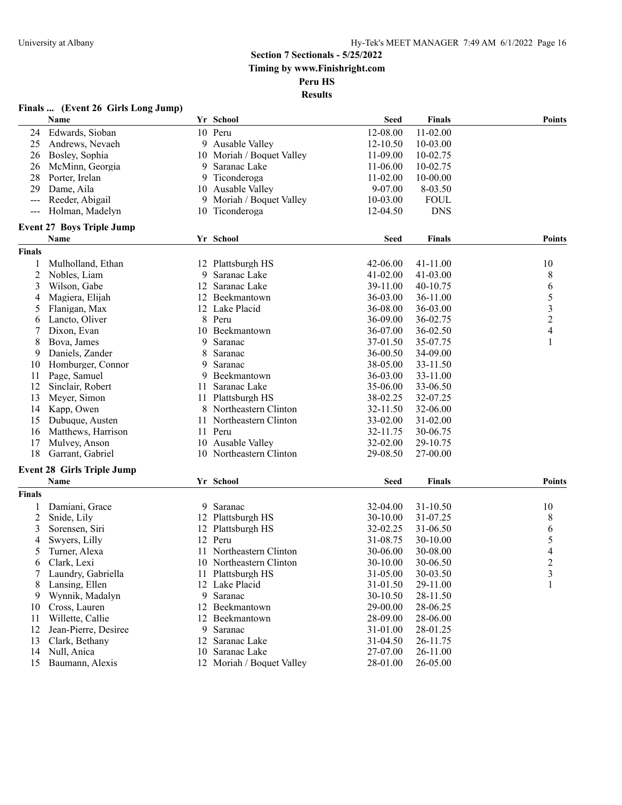#### **Finals ... (Event 26 Girls Long Jump)**

|                   | Name                              |    | Yr School                 | <b>Seed</b> | <b>Finals</b> | <b>Points</b>            |
|-------------------|-----------------------------------|----|---------------------------|-------------|---------------|--------------------------|
| 24                | Edwards, Sioban                   |    | 10 Peru                   | 12-08.00    | 11-02.00      |                          |
| 25                | Andrews, Nevaeh                   |    | 9 Ausable Valley          | 12-10.50    | 10-03.00      |                          |
| 26                | Bosley, Sophia                    |    | 10 Moriah / Boquet Valley | 11-09.00    | 10-02.75      |                          |
| 26                | McMinn, Georgia                   | 9  | Saranac Lake              | 11-06.00    | 10-02.75      |                          |
| 28                | Porter, Irelan                    | 9  | Ticonderoga               | 11-02.00    | 10-00.00      |                          |
| 29                | Dame, Aila                        |    | 10 Ausable Valley         | 9-07.00     | 8-03.50       |                          |
| $\qquad \qquad -$ | Reeder, Abigail                   |    | 9 Moriah / Boquet Valley  | 10-03.00    | <b>FOUL</b>   |                          |
| $---$             | Holman, Madelyn                   | 10 | Ticonderoga               | 12-04.50    | <b>DNS</b>    |                          |
|                   | <b>Event 27 Boys Triple Jump</b>  |    |                           |             |               |                          |
|                   | Name                              |    | Yr School                 | <b>Seed</b> | <b>Finals</b> | <b>Points</b>            |
| <b>Finals</b>     |                                   |    |                           |             |               |                          |
| 1                 | Mulholland, Ethan                 |    | 12 Plattsburgh HS         | 42-06.00    | 41-11.00      | 10                       |
| 2                 | Nobles, Liam                      | 9  | Saranac Lake              | 41-02.00    | 41-03.00      | 8                        |
| 3                 | Wilson, Gabe                      | 12 | Saranac Lake              | 39-11.00    | 40-10.75      | 6                        |
|                   | Magiera, Elijah                   | 12 | Beekmantown               | 36-03.00    | 36-11.00      | 5                        |
| 4                 |                                   | 12 | Lake Placid               | 36-08.00    | 36-03.00      |                          |
| 5                 | Flanigan, Max<br>Lancto, Oliver   |    |                           |             |               | $\mathfrak{Z}$           |
| 6                 |                                   | 8  | Peru                      | 36-09.00    | 36-02.75      | $\sqrt{2}$               |
| 7                 | Dixon, Evan                       | 10 | Beekmantown               | 36-07.00    | 36-02.50      | $\overline{\mathcal{A}}$ |
| 8                 | Bova, James                       | 9  | Saranac                   | 37-01.50    | 35-07.75      | 1                        |
| 9                 | Daniels, Zander                   | 8  | Saranac                   | 36-00.50    | 34-09.00      |                          |
| 10                | Homburger, Connor                 | 9  | Saranac                   | 38-05.00    | 33-11.50      |                          |
| 11                | Page, Samuel                      | 9  | Beekmantown               | 36-03.00    | 33-11.00      |                          |
| 12                | Sinclair, Robert                  | 11 | Saranac Lake              | 35-06.00    | 33-06.50      |                          |
| 13                | Meyer, Simon                      | 11 | Plattsburgh HS            | 38-02.25    | 32-07.25      |                          |
| 14                | Kapp, Owen                        |    | 8 Northeastern Clinton    | 32-11.50    | 32-06.00      |                          |
| 15                | Dubuque, Austen                   |    | 11 Northeastern Clinton   | 33-02.00    | 31-02.00      |                          |
| 16                | Matthews, Harrison                |    | 11 Peru                   | 32-11.75    | 30-06.75      |                          |
| 17                | Mulvey, Anson                     |    | 10 Ausable Valley         | 32-02.00    | 29-10.75      |                          |
| 18                | Garrant, Gabriel                  |    | 10 Northeastern Clinton   | 29-08.50    | 27-00.00      |                          |
|                   | <b>Event 28 Girls Triple Jump</b> |    |                           |             |               |                          |
|                   | Name                              |    | Yr School                 | <b>Seed</b> | <b>Finals</b> | <b>Points</b>            |
| Finals            |                                   |    |                           |             |               |                          |
|                   | Damiani, Grace                    | 9  | Saranac                   | 32-04.00    | 31-10.50      | 10                       |
| 2                 | Snide, Lily                       |    | 12 Plattsburgh HS         | 30-10.00    | 31-07.25      | 8                        |
| 3                 | Sorensen, Siri                    | 12 | Plattsburgh HS            | 32-02.25    | 31-06.50      | 6                        |
| 4                 | Swyers, Lilly                     |    | 12 Peru                   | 31-08.75    | 30-10.00      | 5                        |
| 5                 | Turner, Alexa                     | 11 | Northeastern Clinton      | 30-06.00    | 30-08.00      | 4                        |
| 6                 | Clark, Lexi                       |    | 10 Northeastern Clinton   | 30-10.00    | 30-06.50      | $\overline{2}$           |
| 7                 | Laundry, Gabriella                |    | 11 Plattsburgh HS         | 31-05.00    | 30-03.50      | 3                        |
| 8                 | Lansing, Ellen                    |    | 12 Lake Placid            | 31-01.50    | 29-11.00      | 1                        |
| 9                 | Wynnik, Madalyn                   | 9  | Saranac                   | 30-10.50    | 28-11.50      |                          |
| 10                | Cross, Lauren                     |    | 12 Beekmantown            | 29-00.00    | 28-06.25      |                          |
| 11                | Willette, Callie                  | 12 | Beekmantown               | 28-09.00    | 28-06.00      |                          |
| 12                | Jean-Pierre, Desiree              |    | 9 Saranac                 | 31-01.00    | 28-01.25      |                          |
| 13                | Clark, Bethany                    | 12 | Saranac Lake              | 31-04.50    | 26-11.75      |                          |
| 14                | Null, Anica                       | 10 | Saranac Lake              | 27-07.00    | 26-11.00      |                          |
| 15                | Baumann, Alexis                   |    | 12 Moriah / Boquet Valley | 28-01.00    | 26-05.00      |                          |
|                   |                                   |    |                           |             |               |                          |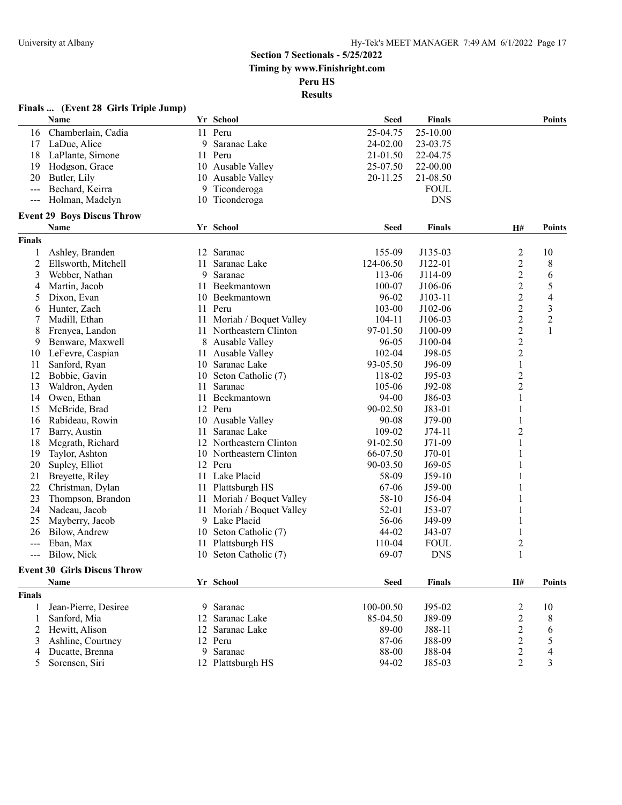**Results**

| <b>Seed</b><br>Name<br>Yr School<br>Finals<br><b>Points</b><br>11 Peru<br>25-10.00<br>Chamberlain, Cadia<br>25-04.75<br>16<br>LaDue, Alice<br>9<br>Saranac Lake<br>24-02.00<br>23-03.75<br>17<br>LaPlante, Simone<br>11<br>Peru<br>21-01.50<br>22-04.75<br>18<br>Hodgson, Grace<br>Ausable Valley<br>25-07.50<br>22-00.00<br>19<br>10<br>20<br>Butler, Lily<br>Ausable Valley<br>20-11.25<br>21-08.50<br>10<br>Bechard, Keirra<br>Ticonderoga<br><b>FOUL</b><br>9<br>Holman, Madelyn<br>10 Ticonderoga<br><b>DNS</b><br>$  -$<br><b>Event 29 Boys Discus Throw</b><br>Name<br>Yr School<br><b>Seed</b><br><b>Finals</b><br><b>H#</b><br><b>Points</b><br><b>Finals</b><br>155-09<br>2<br>12 Saranac<br>J135-03<br>10<br>1<br>Ashley, Branden<br>$\overline{2}$<br>2<br>124-06.50<br>J122-01<br>8<br>Ellsworth, Mitchell<br>11<br>Saranac Lake<br>$\overline{c}$<br>3<br>9<br>Saranac<br>113-06<br>J114-09<br>6<br>Webber, Nathan<br>$\overline{2}$<br>5<br>Martin, Jacob<br>Beekmantown<br>100-07<br>J106-06<br>4<br>11<br>$\overline{2}$<br>4<br>Dixon, Evan<br>Beekmantown<br>96-02<br>J103-11<br>5<br>10<br>$\overline{c}$<br>$\overline{\mathbf{3}}$<br>Hunter, Zach<br>Peru<br>103-00<br>J102-06<br>11<br>6<br>$\overline{c}$<br>$\overline{c}$<br>Madill, Ethan<br>Moriah / Boquet Valley<br>104-11<br>J106-03<br>7<br>11<br>$\overline{c}$<br>97-01.50<br>1<br>8<br>Frenyea, Landon<br>Northeastern Clinton<br>J100-09<br>11<br>$\overline{c}$<br>9<br>Benware, Maxwell<br>Ausable Valley<br>96-05<br>J100-04<br>8<br>$\overline{c}$<br>LeFevre, Caspian<br>Ausable Valley<br>$102 - 04$<br>J98-05<br>10<br>11<br>$\mathbf{1}$<br>Sanford, Ryan<br>Saranac Lake<br>93-05.50<br>J96-09<br>11<br>10<br>$\overline{c}$<br>12<br>Bobbie, Gavin<br>Seton Catholic (7)<br>118-02<br>$J95-03$<br>10<br>$\overline{c}$<br>Saranac<br>105-06<br>J92-08<br>13<br>Waldron, Ayden<br>11<br>94-00<br>1<br>Owen, Ethan<br>Beekmantown<br>J86-03<br>14<br>11<br>90-02.50<br>McBride, Brad<br>12 Peru<br>J83-01<br>1<br>15<br>Ausable Valley<br>1<br>Rabideau, Rowin<br>$90 - 08$<br>$J79-00$<br>16<br>10<br>$\overline{c}$<br>Saranac Lake<br>109-02<br>$J74-11$<br>17<br>Barry, Austin<br>11<br>1<br>Northeastern Clinton<br>91-02.50<br>$J71-09$<br>18<br>Megrath, Richard<br>12<br>66-07.50<br>1<br>19<br>Taylor, Ashton<br>Northeastern Clinton<br>$J70-01$<br>10<br>12 Peru<br>90-03.50<br>1<br>20<br>Supley, Elliot<br>$J69-05$<br>21<br>Lake Placid<br>58-09<br>$J59-10$<br>Breyette, Riley<br>11<br>22<br>Christman, Dylan<br>Plattsburgh HS<br>67-06<br>$J59-00$<br>11<br>23<br>Thompson, Brandon<br>Moriah / Boquet Valley<br>58-10<br>J56-04<br>11<br>24<br>Nadeau, Jacob<br>52-01<br>J53-07<br>11<br>Moriah / Boquet Valley<br>Lake Placid<br>25<br>Mayberry, Jacob<br>56-06<br>J49-09<br>9<br>Bilow, Andrew<br>Seton Catholic (7)<br>44-02<br>26<br>10<br>J43-07<br>$\overline{c}$<br>110-04<br><b>FOUL</b><br>Eban, Max<br>11<br>Plattsburgh HS<br>---<br>69-07<br><b>DNS</b><br>Bilow, Nick<br>10 Seton Catholic (7)<br>---<br><b>Event 30 Girls Discus Throw</b><br>Name<br>Yr School<br><b>Seed</b><br><b>Finals</b><br>H#<br><b>Points</b><br><b>Finals</b><br>100-00.50<br>Jean-Pierre, Desiree<br>9 Saranac<br>$J95-02$<br>2<br>10<br>$\mathbf{1}$<br>$\overline{c}$<br>85-04.50<br>Sanford, Mia<br>12 Saranac Lake<br>J89-09<br>8<br>1<br>$\overline{c}$<br>89-00<br>Hewitt, Alison<br>12 Saranac Lake<br>J88-11<br>6<br>2<br>$\overline{c}$<br>5<br>87-06<br>J88-09<br>Ashline, Courtney<br>12 Peru<br>3 | Finals  (Event 28 Girls Triple Jump) |  |       |                |                          |
|------------------------------------------------------------------------------------------------------------------------------------------------------------------------------------------------------------------------------------------------------------------------------------------------------------------------------------------------------------------------------------------------------------------------------------------------------------------------------------------------------------------------------------------------------------------------------------------------------------------------------------------------------------------------------------------------------------------------------------------------------------------------------------------------------------------------------------------------------------------------------------------------------------------------------------------------------------------------------------------------------------------------------------------------------------------------------------------------------------------------------------------------------------------------------------------------------------------------------------------------------------------------------------------------------------------------------------------------------------------------------------------------------------------------------------------------------------------------------------------------------------------------------------------------------------------------------------------------------------------------------------------------------------------------------------------------------------------------------------------------------------------------------------------------------------------------------------------------------------------------------------------------------------------------------------------------------------------------------------------------------------------------------------------------------------------------------------------------------------------------------------------------------------------------------------------------------------------------------------------------------------------------------------------------------------------------------------------------------------------------------------------------------------------------------------------------------------------------------------------------------------------------------------------------------------------------------------------------------------------------------------------------------------------------------------------------------------------------------------------------------------------------------------------------------------------------------------------------------------------------------------------------------------------------------------------------------------------------------------------------------------------------------------------------------------------------------------------------------------------------------------------------------------------------------------------------------------------------------------------------------------------------------------------------------------------------------------------------------------------------------------------------------------------------------------------------------------------------------------------------------------------------|--------------------------------------|--|-------|----------------|--------------------------|
|                                                                                                                                                                                                                                                                                                                                                                                                                                                                                                                                                                                                                                                                                                                                                                                                                                                                                                                                                                                                                                                                                                                                                                                                                                                                                                                                                                                                                                                                                                                                                                                                                                                                                                                                                                                                                                                                                                                                                                                                                                                                                                                                                                                                                                                                                                                                                                                                                                                                                                                                                                                                                                                                                                                                                                                                                                                                                                                                                                                                                                                                                                                                                                                                                                                                                                                                                                                                                                                                                                                        |                                      |  |       |                |                          |
|                                                                                                                                                                                                                                                                                                                                                                                                                                                                                                                                                                                                                                                                                                                                                                                                                                                                                                                                                                                                                                                                                                                                                                                                                                                                                                                                                                                                                                                                                                                                                                                                                                                                                                                                                                                                                                                                                                                                                                                                                                                                                                                                                                                                                                                                                                                                                                                                                                                                                                                                                                                                                                                                                                                                                                                                                                                                                                                                                                                                                                                                                                                                                                                                                                                                                                                                                                                                                                                                                                                        |                                      |  |       |                |                          |
|                                                                                                                                                                                                                                                                                                                                                                                                                                                                                                                                                                                                                                                                                                                                                                                                                                                                                                                                                                                                                                                                                                                                                                                                                                                                                                                                                                                                                                                                                                                                                                                                                                                                                                                                                                                                                                                                                                                                                                                                                                                                                                                                                                                                                                                                                                                                                                                                                                                                                                                                                                                                                                                                                                                                                                                                                                                                                                                                                                                                                                                                                                                                                                                                                                                                                                                                                                                                                                                                                                                        |                                      |  |       |                |                          |
|                                                                                                                                                                                                                                                                                                                                                                                                                                                                                                                                                                                                                                                                                                                                                                                                                                                                                                                                                                                                                                                                                                                                                                                                                                                                                                                                                                                                                                                                                                                                                                                                                                                                                                                                                                                                                                                                                                                                                                                                                                                                                                                                                                                                                                                                                                                                                                                                                                                                                                                                                                                                                                                                                                                                                                                                                                                                                                                                                                                                                                                                                                                                                                                                                                                                                                                                                                                                                                                                                                                        |                                      |  |       |                |                          |
|                                                                                                                                                                                                                                                                                                                                                                                                                                                                                                                                                                                                                                                                                                                                                                                                                                                                                                                                                                                                                                                                                                                                                                                                                                                                                                                                                                                                                                                                                                                                                                                                                                                                                                                                                                                                                                                                                                                                                                                                                                                                                                                                                                                                                                                                                                                                                                                                                                                                                                                                                                                                                                                                                                                                                                                                                                                                                                                                                                                                                                                                                                                                                                                                                                                                                                                                                                                                                                                                                                                        |                                      |  |       |                |                          |
|                                                                                                                                                                                                                                                                                                                                                                                                                                                                                                                                                                                                                                                                                                                                                                                                                                                                                                                                                                                                                                                                                                                                                                                                                                                                                                                                                                                                                                                                                                                                                                                                                                                                                                                                                                                                                                                                                                                                                                                                                                                                                                                                                                                                                                                                                                                                                                                                                                                                                                                                                                                                                                                                                                                                                                                                                                                                                                                                                                                                                                                                                                                                                                                                                                                                                                                                                                                                                                                                                                                        |                                      |  |       |                |                          |
|                                                                                                                                                                                                                                                                                                                                                                                                                                                                                                                                                                                                                                                                                                                                                                                                                                                                                                                                                                                                                                                                                                                                                                                                                                                                                                                                                                                                                                                                                                                                                                                                                                                                                                                                                                                                                                                                                                                                                                                                                                                                                                                                                                                                                                                                                                                                                                                                                                                                                                                                                                                                                                                                                                                                                                                                                                                                                                                                                                                                                                                                                                                                                                                                                                                                                                                                                                                                                                                                                                                        |                                      |  |       |                |                          |
|                                                                                                                                                                                                                                                                                                                                                                                                                                                                                                                                                                                                                                                                                                                                                                                                                                                                                                                                                                                                                                                                                                                                                                                                                                                                                                                                                                                                                                                                                                                                                                                                                                                                                                                                                                                                                                                                                                                                                                                                                                                                                                                                                                                                                                                                                                                                                                                                                                                                                                                                                                                                                                                                                                                                                                                                                                                                                                                                                                                                                                                                                                                                                                                                                                                                                                                                                                                                                                                                                                                        |                                      |  |       |                |                          |
|                                                                                                                                                                                                                                                                                                                                                                                                                                                                                                                                                                                                                                                                                                                                                                                                                                                                                                                                                                                                                                                                                                                                                                                                                                                                                                                                                                                                                                                                                                                                                                                                                                                                                                                                                                                                                                                                                                                                                                                                                                                                                                                                                                                                                                                                                                                                                                                                                                                                                                                                                                                                                                                                                                                                                                                                                                                                                                                                                                                                                                                                                                                                                                                                                                                                                                                                                                                                                                                                                                                        |                                      |  |       |                |                          |
|                                                                                                                                                                                                                                                                                                                                                                                                                                                                                                                                                                                                                                                                                                                                                                                                                                                                                                                                                                                                                                                                                                                                                                                                                                                                                                                                                                                                                                                                                                                                                                                                                                                                                                                                                                                                                                                                                                                                                                                                                                                                                                                                                                                                                                                                                                                                                                                                                                                                                                                                                                                                                                                                                                                                                                                                                                                                                                                                                                                                                                                                                                                                                                                                                                                                                                                                                                                                                                                                                                                        |                                      |  |       |                |                          |
|                                                                                                                                                                                                                                                                                                                                                                                                                                                                                                                                                                                                                                                                                                                                                                                                                                                                                                                                                                                                                                                                                                                                                                                                                                                                                                                                                                                                                                                                                                                                                                                                                                                                                                                                                                                                                                                                                                                                                                                                                                                                                                                                                                                                                                                                                                                                                                                                                                                                                                                                                                                                                                                                                                                                                                                                                                                                                                                                                                                                                                                                                                                                                                                                                                                                                                                                                                                                                                                                                                                        |                                      |  |       |                |                          |
|                                                                                                                                                                                                                                                                                                                                                                                                                                                                                                                                                                                                                                                                                                                                                                                                                                                                                                                                                                                                                                                                                                                                                                                                                                                                                                                                                                                                                                                                                                                                                                                                                                                                                                                                                                                                                                                                                                                                                                                                                                                                                                                                                                                                                                                                                                                                                                                                                                                                                                                                                                                                                                                                                                                                                                                                                                                                                                                                                                                                                                                                                                                                                                                                                                                                                                                                                                                                                                                                                                                        |                                      |  |       |                |                          |
|                                                                                                                                                                                                                                                                                                                                                                                                                                                                                                                                                                                                                                                                                                                                                                                                                                                                                                                                                                                                                                                                                                                                                                                                                                                                                                                                                                                                                                                                                                                                                                                                                                                                                                                                                                                                                                                                                                                                                                                                                                                                                                                                                                                                                                                                                                                                                                                                                                                                                                                                                                                                                                                                                                                                                                                                                                                                                                                                                                                                                                                                                                                                                                                                                                                                                                                                                                                                                                                                                                                        |                                      |  |       |                |                          |
|                                                                                                                                                                                                                                                                                                                                                                                                                                                                                                                                                                                                                                                                                                                                                                                                                                                                                                                                                                                                                                                                                                                                                                                                                                                                                                                                                                                                                                                                                                                                                                                                                                                                                                                                                                                                                                                                                                                                                                                                                                                                                                                                                                                                                                                                                                                                                                                                                                                                                                                                                                                                                                                                                                                                                                                                                                                                                                                                                                                                                                                                                                                                                                                                                                                                                                                                                                                                                                                                                                                        |                                      |  |       |                |                          |
|                                                                                                                                                                                                                                                                                                                                                                                                                                                                                                                                                                                                                                                                                                                                                                                                                                                                                                                                                                                                                                                                                                                                                                                                                                                                                                                                                                                                                                                                                                                                                                                                                                                                                                                                                                                                                                                                                                                                                                                                                                                                                                                                                                                                                                                                                                                                                                                                                                                                                                                                                                                                                                                                                                                                                                                                                                                                                                                                                                                                                                                                                                                                                                                                                                                                                                                                                                                                                                                                                                                        |                                      |  |       |                |                          |
|                                                                                                                                                                                                                                                                                                                                                                                                                                                                                                                                                                                                                                                                                                                                                                                                                                                                                                                                                                                                                                                                                                                                                                                                                                                                                                                                                                                                                                                                                                                                                                                                                                                                                                                                                                                                                                                                                                                                                                                                                                                                                                                                                                                                                                                                                                                                                                                                                                                                                                                                                                                                                                                                                                                                                                                                                                                                                                                                                                                                                                                                                                                                                                                                                                                                                                                                                                                                                                                                                                                        |                                      |  |       |                |                          |
|                                                                                                                                                                                                                                                                                                                                                                                                                                                                                                                                                                                                                                                                                                                                                                                                                                                                                                                                                                                                                                                                                                                                                                                                                                                                                                                                                                                                                                                                                                                                                                                                                                                                                                                                                                                                                                                                                                                                                                                                                                                                                                                                                                                                                                                                                                                                                                                                                                                                                                                                                                                                                                                                                                                                                                                                                                                                                                                                                                                                                                                                                                                                                                                                                                                                                                                                                                                                                                                                                                                        |                                      |  |       |                |                          |
|                                                                                                                                                                                                                                                                                                                                                                                                                                                                                                                                                                                                                                                                                                                                                                                                                                                                                                                                                                                                                                                                                                                                                                                                                                                                                                                                                                                                                                                                                                                                                                                                                                                                                                                                                                                                                                                                                                                                                                                                                                                                                                                                                                                                                                                                                                                                                                                                                                                                                                                                                                                                                                                                                                                                                                                                                                                                                                                                                                                                                                                                                                                                                                                                                                                                                                                                                                                                                                                                                                                        |                                      |  |       |                |                          |
|                                                                                                                                                                                                                                                                                                                                                                                                                                                                                                                                                                                                                                                                                                                                                                                                                                                                                                                                                                                                                                                                                                                                                                                                                                                                                                                                                                                                                                                                                                                                                                                                                                                                                                                                                                                                                                                                                                                                                                                                                                                                                                                                                                                                                                                                                                                                                                                                                                                                                                                                                                                                                                                                                                                                                                                                                                                                                                                                                                                                                                                                                                                                                                                                                                                                                                                                                                                                                                                                                                                        |                                      |  |       |                |                          |
|                                                                                                                                                                                                                                                                                                                                                                                                                                                                                                                                                                                                                                                                                                                                                                                                                                                                                                                                                                                                                                                                                                                                                                                                                                                                                                                                                                                                                                                                                                                                                                                                                                                                                                                                                                                                                                                                                                                                                                                                                                                                                                                                                                                                                                                                                                                                                                                                                                                                                                                                                                                                                                                                                                                                                                                                                                                                                                                                                                                                                                                                                                                                                                                                                                                                                                                                                                                                                                                                                                                        |                                      |  |       |                |                          |
|                                                                                                                                                                                                                                                                                                                                                                                                                                                                                                                                                                                                                                                                                                                                                                                                                                                                                                                                                                                                                                                                                                                                                                                                                                                                                                                                                                                                                                                                                                                                                                                                                                                                                                                                                                                                                                                                                                                                                                                                                                                                                                                                                                                                                                                                                                                                                                                                                                                                                                                                                                                                                                                                                                                                                                                                                                                                                                                                                                                                                                                                                                                                                                                                                                                                                                                                                                                                                                                                                                                        |                                      |  |       |                |                          |
|                                                                                                                                                                                                                                                                                                                                                                                                                                                                                                                                                                                                                                                                                                                                                                                                                                                                                                                                                                                                                                                                                                                                                                                                                                                                                                                                                                                                                                                                                                                                                                                                                                                                                                                                                                                                                                                                                                                                                                                                                                                                                                                                                                                                                                                                                                                                                                                                                                                                                                                                                                                                                                                                                                                                                                                                                                                                                                                                                                                                                                                                                                                                                                                                                                                                                                                                                                                                                                                                                                                        |                                      |  |       |                |                          |
|                                                                                                                                                                                                                                                                                                                                                                                                                                                                                                                                                                                                                                                                                                                                                                                                                                                                                                                                                                                                                                                                                                                                                                                                                                                                                                                                                                                                                                                                                                                                                                                                                                                                                                                                                                                                                                                                                                                                                                                                                                                                                                                                                                                                                                                                                                                                                                                                                                                                                                                                                                                                                                                                                                                                                                                                                                                                                                                                                                                                                                                                                                                                                                                                                                                                                                                                                                                                                                                                                                                        |                                      |  |       |                |                          |
|                                                                                                                                                                                                                                                                                                                                                                                                                                                                                                                                                                                                                                                                                                                                                                                                                                                                                                                                                                                                                                                                                                                                                                                                                                                                                                                                                                                                                                                                                                                                                                                                                                                                                                                                                                                                                                                                                                                                                                                                                                                                                                                                                                                                                                                                                                                                                                                                                                                                                                                                                                                                                                                                                                                                                                                                                                                                                                                                                                                                                                                                                                                                                                                                                                                                                                                                                                                                                                                                                                                        |                                      |  |       |                |                          |
|                                                                                                                                                                                                                                                                                                                                                                                                                                                                                                                                                                                                                                                                                                                                                                                                                                                                                                                                                                                                                                                                                                                                                                                                                                                                                                                                                                                                                                                                                                                                                                                                                                                                                                                                                                                                                                                                                                                                                                                                                                                                                                                                                                                                                                                                                                                                                                                                                                                                                                                                                                                                                                                                                                                                                                                                                                                                                                                                                                                                                                                                                                                                                                                                                                                                                                                                                                                                                                                                                                                        |                                      |  |       |                |                          |
|                                                                                                                                                                                                                                                                                                                                                                                                                                                                                                                                                                                                                                                                                                                                                                                                                                                                                                                                                                                                                                                                                                                                                                                                                                                                                                                                                                                                                                                                                                                                                                                                                                                                                                                                                                                                                                                                                                                                                                                                                                                                                                                                                                                                                                                                                                                                                                                                                                                                                                                                                                                                                                                                                                                                                                                                                                                                                                                                                                                                                                                                                                                                                                                                                                                                                                                                                                                                                                                                                                                        |                                      |  |       |                |                          |
|                                                                                                                                                                                                                                                                                                                                                                                                                                                                                                                                                                                                                                                                                                                                                                                                                                                                                                                                                                                                                                                                                                                                                                                                                                                                                                                                                                                                                                                                                                                                                                                                                                                                                                                                                                                                                                                                                                                                                                                                                                                                                                                                                                                                                                                                                                                                                                                                                                                                                                                                                                                                                                                                                                                                                                                                                                                                                                                                                                                                                                                                                                                                                                                                                                                                                                                                                                                                                                                                                                                        |                                      |  |       |                |                          |
|                                                                                                                                                                                                                                                                                                                                                                                                                                                                                                                                                                                                                                                                                                                                                                                                                                                                                                                                                                                                                                                                                                                                                                                                                                                                                                                                                                                                                                                                                                                                                                                                                                                                                                                                                                                                                                                                                                                                                                                                                                                                                                                                                                                                                                                                                                                                                                                                                                                                                                                                                                                                                                                                                                                                                                                                                                                                                                                                                                                                                                                                                                                                                                                                                                                                                                                                                                                                                                                                                                                        |                                      |  |       |                |                          |
|                                                                                                                                                                                                                                                                                                                                                                                                                                                                                                                                                                                                                                                                                                                                                                                                                                                                                                                                                                                                                                                                                                                                                                                                                                                                                                                                                                                                                                                                                                                                                                                                                                                                                                                                                                                                                                                                                                                                                                                                                                                                                                                                                                                                                                                                                                                                                                                                                                                                                                                                                                                                                                                                                                                                                                                                                                                                                                                                                                                                                                                                                                                                                                                                                                                                                                                                                                                                                                                                                                                        |                                      |  |       |                |                          |
|                                                                                                                                                                                                                                                                                                                                                                                                                                                                                                                                                                                                                                                                                                                                                                                                                                                                                                                                                                                                                                                                                                                                                                                                                                                                                                                                                                                                                                                                                                                                                                                                                                                                                                                                                                                                                                                                                                                                                                                                                                                                                                                                                                                                                                                                                                                                                                                                                                                                                                                                                                                                                                                                                                                                                                                                                                                                                                                                                                                                                                                                                                                                                                                                                                                                                                                                                                                                                                                                                                                        |                                      |  |       |                |                          |
|                                                                                                                                                                                                                                                                                                                                                                                                                                                                                                                                                                                                                                                                                                                                                                                                                                                                                                                                                                                                                                                                                                                                                                                                                                                                                                                                                                                                                                                                                                                                                                                                                                                                                                                                                                                                                                                                                                                                                                                                                                                                                                                                                                                                                                                                                                                                                                                                                                                                                                                                                                                                                                                                                                                                                                                                                                                                                                                                                                                                                                                                                                                                                                                                                                                                                                                                                                                                                                                                                                                        |                                      |  |       |                |                          |
|                                                                                                                                                                                                                                                                                                                                                                                                                                                                                                                                                                                                                                                                                                                                                                                                                                                                                                                                                                                                                                                                                                                                                                                                                                                                                                                                                                                                                                                                                                                                                                                                                                                                                                                                                                                                                                                                                                                                                                                                                                                                                                                                                                                                                                                                                                                                                                                                                                                                                                                                                                                                                                                                                                                                                                                                                                                                                                                                                                                                                                                                                                                                                                                                                                                                                                                                                                                                                                                                                                                        |                                      |  |       |                |                          |
|                                                                                                                                                                                                                                                                                                                                                                                                                                                                                                                                                                                                                                                                                                                                                                                                                                                                                                                                                                                                                                                                                                                                                                                                                                                                                                                                                                                                                                                                                                                                                                                                                                                                                                                                                                                                                                                                                                                                                                                                                                                                                                                                                                                                                                                                                                                                                                                                                                                                                                                                                                                                                                                                                                                                                                                                                                                                                                                                                                                                                                                                                                                                                                                                                                                                                                                                                                                                                                                                                                                        |                                      |  |       |                |                          |
|                                                                                                                                                                                                                                                                                                                                                                                                                                                                                                                                                                                                                                                                                                                                                                                                                                                                                                                                                                                                                                                                                                                                                                                                                                                                                                                                                                                                                                                                                                                                                                                                                                                                                                                                                                                                                                                                                                                                                                                                                                                                                                                                                                                                                                                                                                                                                                                                                                                                                                                                                                                                                                                                                                                                                                                                                                                                                                                                                                                                                                                                                                                                                                                                                                                                                                                                                                                                                                                                                                                        |                                      |  |       |                |                          |
|                                                                                                                                                                                                                                                                                                                                                                                                                                                                                                                                                                                                                                                                                                                                                                                                                                                                                                                                                                                                                                                                                                                                                                                                                                                                                                                                                                                                                                                                                                                                                                                                                                                                                                                                                                                                                                                                                                                                                                                                                                                                                                                                                                                                                                                                                                                                                                                                                                                                                                                                                                                                                                                                                                                                                                                                                                                                                                                                                                                                                                                                                                                                                                                                                                                                                                                                                                                                                                                                                                                        |                                      |  |       |                |                          |
|                                                                                                                                                                                                                                                                                                                                                                                                                                                                                                                                                                                                                                                                                                                                                                                                                                                                                                                                                                                                                                                                                                                                                                                                                                                                                                                                                                                                                                                                                                                                                                                                                                                                                                                                                                                                                                                                                                                                                                                                                                                                                                                                                                                                                                                                                                                                                                                                                                                                                                                                                                                                                                                                                                                                                                                                                                                                                                                                                                                                                                                                                                                                                                                                                                                                                                                                                                                                                                                                                                                        |                                      |  |       |                |                          |
|                                                                                                                                                                                                                                                                                                                                                                                                                                                                                                                                                                                                                                                                                                                                                                                                                                                                                                                                                                                                                                                                                                                                                                                                                                                                                                                                                                                                                                                                                                                                                                                                                                                                                                                                                                                                                                                                                                                                                                                                                                                                                                                                                                                                                                                                                                                                                                                                                                                                                                                                                                                                                                                                                                                                                                                                                                                                                                                                                                                                                                                                                                                                                                                                                                                                                                                                                                                                                                                                                                                        |                                      |  |       |                |                          |
|                                                                                                                                                                                                                                                                                                                                                                                                                                                                                                                                                                                                                                                                                                                                                                                                                                                                                                                                                                                                                                                                                                                                                                                                                                                                                                                                                                                                                                                                                                                                                                                                                                                                                                                                                                                                                                                                                                                                                                                                                                                                                                                                                                                                                                                                                                                                                                                                                                                                                                                                                                                                                                                                                                                                                                                                                                                                                                                                                                                                                                                                                                                                                                                                                                                                                                                                                                                                                                                                                                                        |                                      |  |       |                |                          |
|                                                                                                                                                                                                                                                                                                                                                                                                                                                                                                                                                                                                                                                                                                                                                                                                                                                                                                                                                                                                                                                                                                                                                                                                                                                                                                                                                                                                                                                                                                                                                                                                                                                                                                                                                                                                                                                                                                                                                                                                                                                                                                                                                                                                                                                                                                                                                                                                                                                                                                                                                                                                                                                                                                                                                                                                                                                                                                                                                                                                                                                                                                                                                                                                                                                                                                                                                                                                                                                                                                                        |                                      |  |       |                |                          |
|                                                                                                                                                                                                                                                                                                                                                                                                                                                                                                                                                                                                                                                                                                                                                                                                                                                                                                                                                                                                                                                                                                                                                                                                                                                                                                                                                                                                                                                                                                                                                                                                                                                                                                                                                                                                                                                                                                                                                                                                                                                                                                                                                                                                                                                                                                                                                                                                                                                                                                                                                                                                                                                                                                                                                                                                                                                                                                                                                                                                                                                                                                                                                                                                                                                                                                                                                                                                                                                                                                                        |                                      |  |       |                |                          |
|                                                                                                                                                                                                                                                                                                                                                                                                                                                                                                                                                                                                                                                                                                                                                                                                                                                                                                                                                                                                                                                                                                                                                                                                                                                                                                                                                                                                                                                                                                                                                                                                                                                                                                                                                                                                                                                                                                                                                                                                                                                                                                                                                                                                                                                                                                                                                                                                                                                                                                                                                                                                                                                                                                                                                                                                                                                                                                                                                                                                                                                                                                                                                                                                                                                                                                                                                                                                                                                                                                                        |                                      |  |       |                |                          |
|                                                                                                                                                                                                                                                                                                                                                                                                                                                                                                                                                                                                                                                                                                                                                                                                                                                                                                                                                                                                                                                                                                                                                                                                                                                                                                                                                                                                                                                                                                                                                                                                                                                                                                                                                                                                                                                                                                                                                                                                                                                                                                                                                                                                                                                                                                                                                                                                                                                                                                                                                                                                                                                                                                                                                                                                                                                                                                                                                                                                                                                                                                                                                                                                                                                                                                                                                                                                                                                                                                                        |                                      |  |       |                |                          |
|                                                                                                                                                                                                                                                                                                                                                                                                                                                                                                                                                                                                                                                                                                                                                                                                                                                                                                                                                                                                                                                                                                                                                                                                                                                                                                                                                                                                                                                                                                                                                                                                                                                                                                                                                                                                                                                                                                                                                                                                                                                                                                                                                                                                                                                                                                                                                                                                                                                                                                                                                                                                                                                                                                                                                                                                                                                                                                                                                                                                                                                                                                                                                                                                                                                                                                                                                                                                                                                                                                                        |                                      |  |       |                |                          |
|                                                                                                                                                                                                                                                                                                                                                                                                                                                                                                                                                                                                                                                                                                                                                                                                                                                                                                                                                                                                                                                                                                                                                                                                                                                                                                                                                                                                                                                                                                                                                                                                                                                                                                                                                                                                                                                                                                                                                                                                                                                                                                                                                                                                                                                                                                                                                                                                                                                                                                                                                                                                                                                                                                                                                                                                                                                                                                                                                                                                                                                                                                                                                                                                                                                                                                                                                                                                                                                                                                                        |                                      |  |       |                |                          |
|                                                                                                                                                                                                                                                                                                                                                                                                                                                                                                                                                                                                                                                                                                                                                                                                                                                                                                                                                                                                                                                                                                                                                                                                                                                                                                                                                                                                                                                                                                                                                                                                                                                                                                                                                                                                                                                                                                                                                                                                                                                                                                                                                                                                                                                                                                                                                                                                                                                                                                                                                                                                                                                                                                                                                                                                                                                                                                                                                                                                                                                                                                                                                                                                                                                                                                                                                                                                                                                                                                                        |                                      |  |       |                |                          |
|                                                                                                                                                                                                                                                                                                                                                                                                                                                                                                                                                                                                                                                                                                                                                                                                                                                                                                                                                                                                                                                                                                                                                                                                                                                                                                                                                                                                                                                                                                                                                                                                                                                                                                                                                                                                                                                                                                                                                                                                                                                                                                                                                                                                                                                                                                                                                                                                                                                                                                                                                                                                                                                                                                                                                                                                                                                                                                                                                                                                                                                                                                                                                                                                                                                                                                                                                                                                                                                                                                                        |                                      |  |       |                |                          |
|                                                                                                                                                                                                                                                                                                                                                                                                                                                                                                                                                                                                                                                                                                                                                                                                                                                                                                                                                                                                                                                                                                                                                                                                                                                                                                                                                                                                                                                                                                                                                                                                                                                                                                                                                                                                                                                                                                                                                                                                                                                                                                                                                                                                                                                                                                                                                                                                                                                                                                                                                                                                                                                                                                                                                                                                                                                                                                                                                                                                                                                                                                                                                                                                                                                                                                                                                                                                                                                                                                                        |                                      |  |       |                |                          |
| Ducatte, Brenna<br>9 Saranac<br>J88-04<br>4                                                                                                                                                                                                                                                                                                                                                                                                                                                                                                                                                                                                                                                                                                                                                                                                                                                                                                                                                                                                                                                                                                                                                                                                                                                                                                                                                                                                                                                                                                                                                                                                                                                                                                                                                                                                                                                                                                                                                                                                                                                                                                                                                                                                                                                                                                                                                                                                                                                                                                                                                                                                                                                                                                                                                                                                                                                                                                                                                                                                                                                                                                                                                                                                                                                                                                                                                                                                                                                                            |                                      |  | 88-00 | $\overline{c}$ | $\overline{\mathcal{L}}$ |
| 2<br>Sorensen, Siri<br>3<br>12 Plattsburgh HS<br>94-02<br>J85-03<br>5                                                                                                                                                                                                                                                                                                                                                                                                                                                                                                                                                                                                                                                                                                                                                                                                                                                                                                                                                                                                                                                                                                                                                                                                                                                                                                                                                                                                                                                                                                                                                                                                                                                                                                                                                                                                                                                                                                                                                                                                                                                                                                                                                                                                                                                                                                                                                                                                                                                                                                                                                                                                                                                                                                                                                                                                                                                                                                                                                                                                                                                                                                                                                                                                                                                                                                                                                                                                                                                  |                                      |  |       |                |                          |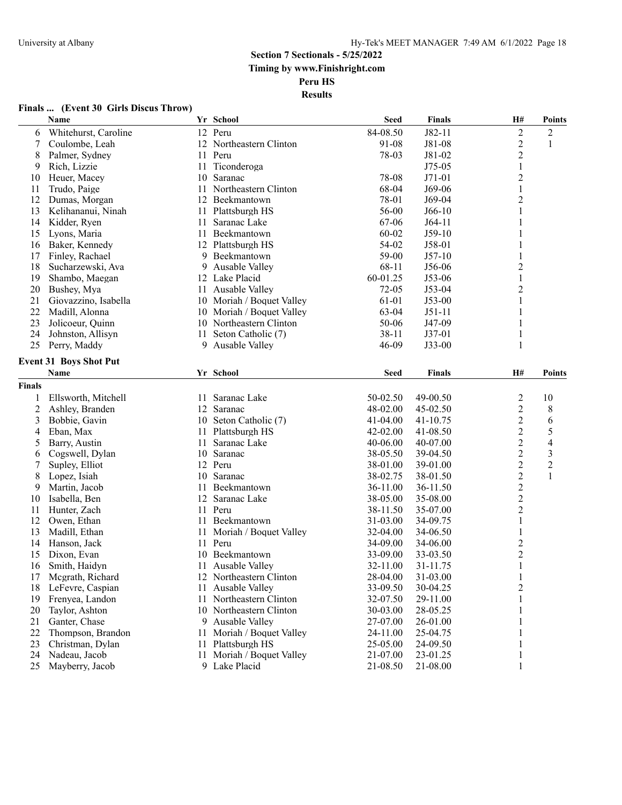**Results**

#### **Finals ... (Event 30 Girls Discus Throw)**

|                | Name                          |    | Yr School                 | <b>Seed</b> | <b>Finals</b> | H#             | <b>Points</b>  |
|----------------|-------------------------------|----|---------------------------|-------------|---------------|----------------|----------------|
| 6              | Whitehurst, Caroline          |    | 12 Peru                   | 84-08.50    | $J82-11$      | $\overline{c}$ | $\overline{c}$ |
| 7              | Coulombe, Leah                |    | 12 Northeastern Clinton   | 91-08       | J81-08        | $\overline{c}$ | 1              |
| 8              | Palmer, Sydney                |    | 11 Peru                   | 78-03       | J81-02        | $\overline{c}$ |                |
| 9              | Rich, Lizzie                  | 11 | Ticonderoga               |             | $J75-05$      | $\mathbf{1}$   |                |
| 10             | Heuer, Macey                  | 10 | Saranac                   | 78-08       | $J71-01$      | $\overline{c}$ |                |
| 11             | Trudo, Paige                  | 11 | Northeastern Clinton      | 68-04       | J69-06        | $\,1$          |                |
| 12             | Dumas, Morgan                 | 12 | Beekmantown               | 78-01       | J69-04        | $\overline{c}$ |                |
| 13             | Kelihananui, Ninah            | 11 | Plattsburgh HS            | 56-00       | $J66-10$      |                |                |
| 14             | Kidder, Ryen                  | 11 | Saranac Lake              | 67-06       | $J64-11$      |                |                |
| 15             | Lyons, Maria                  | 11 | Beekmantown               | 60-02       | $J59-10$      |                |                |
| 16             | Baker, Kennedy                | 12 | Plattsburgh HS            | 54-02       | J58-01        | 1              |                |
| 17             | Finley, Rachael               | 9  | Beekmantown               | 59-00       | $J57-10$      | 1              |                |
| 18             | Sucharzewski, Ava             | 9  | Ausable Valley            | $68 - 11$   | J56-06        | $\overline{c}$ |                |
| 19             | Shambo, Maegan                | 12 | Lake Placid               | 60-01.25    | $J53-06$      | 1              |                |
| 20             | Bushey, Mya                   | 11 | Ausable Valley            | 72-05       | $J53-04$      | 2              |                |
| 21             | Giovazzino, Isabella          |    | 10 Moriah / Boquet Valley | 61-01       | $J53-00$      | 1              |                |
| 22             | Madill, Alonna                |    | 10 Moriah / Boquet Valley | 63-04       | $J51-11$      | 1              |                |
| 23             | Jolicoeur, Quinn              |    | 10 Northeastern Clinton   | 50-06       | J47-09        | 1              |                |
| 24             | Johnston, Allisyn             | 11 | Seton Catholic (7)        | 38-11       | $J37-01$      | 1              |                |
| 25             | Perry, Maddy                  |    | 9 Ausable Valley          | 46-09       | $J33-00$      | 1              |                |
|                | <b>Event 31 Boys Shot Put</b> |    |                           |             |               |                |                |
|                | <b>Name</b>                   |    | Yr School                 | <b>Seed</b> | <b>Finals</b> | H#             | <b>Points</b>  |
|                |                               |    |                           |             |               |                |                |
| <b>Finals</b>  |                               |    |                           |             |               |                |                |
| 1              | Ellsworth, Mitchell           | 11 | Saranac Lake              | 50-02.50    | 49-00.50      | $\overline{c}$ | 10             |
| $\overline{c}$ | Ashley, Branden               | 12 | Saranac                   | 48-02.00    | 45-02.50      | $\overline{c}$ | 8              |
| 3              | Bobbie, Gavin                 |    | 10 Seton Catholic (7)     | 41-04.00    | 41-10.75      | $\overline{c}$ | 6              |
| 4              | Eban, Max                     | 11 | Plattsburgh HS            | 42-02.00    | 41-08.50      | 2              | 5              |
| 5              | Barry, Austin                 | 11 | Saranac Lake              | 40-06.00    | 40-07.00      | $\overline{c}$ | 4              |
| 6              | Cogswell, Dylan               | 10 | Saranac                   | 38-05.50    | 39-04.50      | 2              | 3              |
| 7              | Supley, Elliot                |    | 12 Peru                   | 38-01.00    | 39-01.00      | 2              | $\overline{2}$ |
| 8              | Lopez, Isiah                  | 10 | Saranac                   | 38-02.75    | 38-01.50      | $\overline{c}$ | $\mathbf{1}$   |
| 9              | Martin, Jacob                 | 11 | Beekmantown               | 36-11.00    | 36-11.50      | $\overline{c}$ |                |
| 10             | Isabella, Ben                 | 12 | Saranac Lake              | 38-05.00    | 35-08.00      | $\overline{c}$ |                |
| 11             | Hunter, Zach                  | 11 | Peru                      | 38-11.50    | 35-07.00      | 2              |                |
| 12             | Owen, Ethan                   |    | 11 Beekmantown            | 31-03.00    | 34-09.75      | 1              |                |
| 13             | Madill, Ethan                 | 11 | Moriah / Boquet Valley    | 32-04.00    | 34-06.50      | 1              |                |
| 14             | Hanson, Jack                  |    | 11 Peru                   | 34-09.00    | 34-06.00      | $\overline{c}$ |                |
| 15             | Dixon, Evan                   | 10 | Beekmantown               | 33-09.00    | 33-03.50      | $\overline{c}$ |                |
| 16             | Smith, Haidyn                 | 11 | Ausable Valley            | 32-11.00    | 31-11.75      | $\mathbf{1}$   |                |
| 17             | Mcgrath, Richard              |    | 12 Northeastern Clinton   | 28-04.00    | 31-03.00      | $\mathbf{I}$   |                |
| 18             | LeFevre, Caspian              | 11 | Ausable Valley            | 33-09.50    | 30-04.25      | $\overline{c}$ |                |
| 19             | Frenyea, Landon               | 11 | Northeastern Clinton      | 32-07.50    | 29-11.00      |                |                |
| 20             | Taylor, Ashton                | 10 | Northeastern Clinton      | 30-03.00    | 28-05.25      |                |                |
| 21             | Ganter, Chase                 | 9. | Ausable Valley            | 27-07.00    | 26-01.00      |                |                |
| 22             | Thompson, Brandon             | 11 | Moriah / Boquet Valley    | 24-11.00    | 25-04.75      |                |                |
| 23             | Christman, Dylan              | 11 | Plattsburgh HS            | 25-05.00    | 24-09.50      |                |                |
| 24             | Nadeau, Jacob                 | 11 | Moriah / Boquet Valley    | 21-07.00    | 23-01.25      |                |                |
| 25             | Mayberry, Jacob               |    | 9 Lake Placid             | 21-08.50    | 21-08.00      |                |                |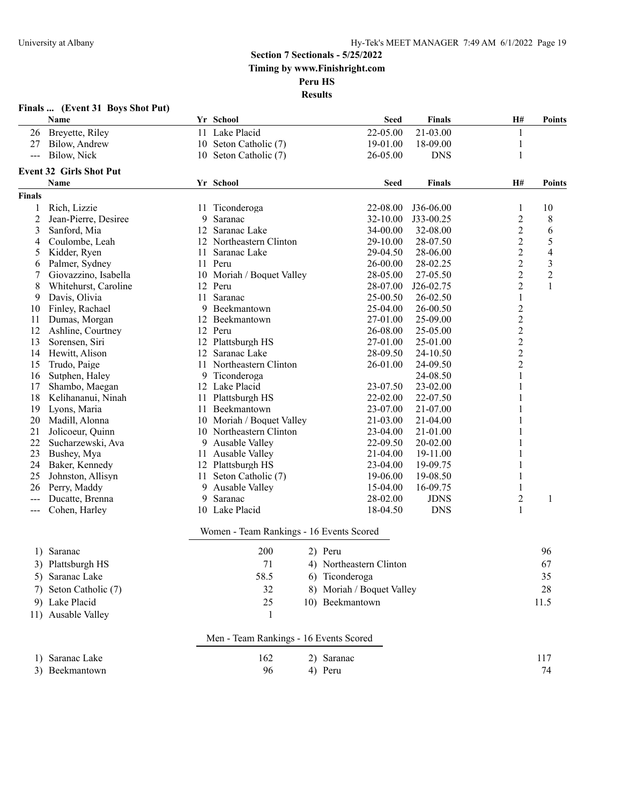|               | Finals  (Event 31 Boys Shot Put)<br>Name |    | Yr School                                | <b>Seed</b>               | Finals        | H#             | <b>Points</b>  |
|---------------|------------------------------------------|----|------------------------------------------|---------------------------|---------------|----------------|----------------|
| 26            | Breyette, Riley                          |    | 11 Lake Placid                           | 22-05.00                  | 21-03.00      | 1              |                |
| 27            | Bilow, Andrew                            |    | 10 Seton Catholic (7)                    | 19-01.00                  | 18-09.00      | 1              |                |
| $\frac{1}{2}$ | Bilow, Nick                              |    | 10 Seton Catholic (7)                    | 26-05.00                  | <b>DNS</b>    | 1              |                |
|               | <b>Event 32 Girls Shot Put</b>           |    |                                          |                           |               |                |                |
|               | Name                                     |    | Yr School                                | <b>Seed</b>               | <b>Finals</b> | H#             | <b>Points</b>  |
| <b>Finals</b> |                                          |    |                                          |                           |               |                |                |
| 1             | Rich, Lizzie                             | 11 | Ticonderoga                              | 22-08.00                  | J36-06.00     | 1              | 10             |
| 2             | Jean-Pierre, Desiree                     | 9  | Saranac                                  | 32-10.00                  | J33-00.25     | $\overline{c}$ | 8              |
| 3             | Sanford, Mia                             | 12 | Saranac Lake                             | 34-00.00                  | 32-08.00      | $\overline{c}$ | 6              |
| 4             | Coulombe, Leah                           |    | 12 Northeastern Clinton                  | 29-10.00                  | 28-07.50      | $\overline{c}$ | 5              |
| 5             | Kidder, Ryen                             | 11 | Saranac Lake                             | 29-04.50                  | 28-06.00      | $\overline{c}$ | $\overline{4}$ |
| 6             | Palmer, Sydney                           | 11 | Peru                                     | 26-00.00                  | 28-02.25      | $\overline{c}$ | $\mathfrak{Z}$ |
| 7             | Giovazzino, Isabella                     | 10 | Moriah / Boquet Valley                   | 28-05.00                  | 27-05.50      | $\overline{c}$ | $\overline{c}$ |
| 8             | Whitehurst, Caroline                     | 12 | Peru                                     | 28-07.00                  | J26-02.75     | $\overline{c}$ | 1              |
| 9             | Davis, Olivia                            | 11 | Saranac                                  | 25-00.50                  | 26-02.50      | 1              |                |
| 10            | Finley, Rachael                          | 9  | Beekmantown                              | 25-04.00                  | 26-00.50      | $\overline{c}$ |                |
| 11            | Dumas, Morgan                            | 12 | Beekmantown                              | 27-01.00                  | 25-09.00      | $\overline{c}$ |                |
| 12            | Ashline, Courtney                        |    | 12 Peru                                  | 26-08.00                  | 25-05.00      | $\overline{c}$ |                |
| 13            | Sorensen, Siri                           |    | 12 Plattsburgh HS                        | 27-01.00                  | 25-01.00      | $\overline{c}$ |                |
| 14            | Hewitt, Alison                           | 12 | Saranac Lake                             | 28-09.50                  | 24-10.50      | $\overline{c}$ |                |
| 15            | Trudo, Paige                             | 11 | Northeastern Clinton                     | 26-01.00                  | 24-09.50      | $\overline{c}$ |                |
| 16            | Sutphen, Haley                           | 9  | Ticonderoga                              |                           | 24-08.50      | 1              |                |
| 17            | Shambo, Maegan                           |    | 12 Lake Placid                           | 23-07.50                  | 23-02.00      | 1              |                |
| 18            | Kelihananui, Ninah                       | 11 | Plattsburgh HS                           | 22-02.00                  | 22-07.50      | 1              |                |
| 19            | Lyons, Maria                             | 11 | Beekmantown                              | 23-07.00                  | 21-07.00      | 1              |                |
| 20            | Madill, Alonna                           | 10 | Moriah / Boquet Valley                   | 21-03.00                  | 21-04.00      | 1              |                |
| 21            | Jolicoeur, Quinn                         |    | 10 Northeastern Clinton                  | 23-04.00                  | 21-01.00      |                |                |
| 22            | Sucharzewski, Ava                        | 9  | Ausable Valley                           | 22-09.50                  | 20-02.00      | 1              |                |
| 23            | Bushey, Mya                              | 11 | Ausable Valley                           | 21-04.00                  | 19-11.00      | 1              |                |
| 24            | Baker, Kennedy                           |    | 12 Plattsburgh HS                        | 23-04.00                  | 19-09.75      | 1              |                |
| 25            | Johnston, Allisyn                        | 11 | Seton Catholic (7)                       | 19-06.00                  | 19-08.50      | 1              |                |
| 26            | Perry, Maddy                             | 9  | Ausable Valley                           | 15-04.00                  | 16-09.75      | 1              |                |
|               | Ducatte, Brenna                          | 9  | Saranac                                  | 28-02.00                  | <b>JDNS</b>   | $\overline{c}$ | 1              |
| $---$         | Cohen, Harley                            |    | 10 Lake Placid                           | 18-04.50                  | <b>DNS</b>    | 1              |                |
|               |                                          |    | Women - Team Rankings - 16 Events Scored |                           |               |                |                |
|               | 1) Saranac                               |    | 200                                      | 2) Peru                   |               |                | 96             |
|               | 3) Plattsburgh HS                        |    | 71                                       | 4) Northeastern Clinton   |               |                | 67             |
|               | 5) Saranac Lake                          |    | 58.5                                     | 6) Ticonderoga            |               |                | 35             |
| 7)            | Seton Catholic (7)                       |    | 32                                       | 8) Moriah / Boquet Valley |               |                | 28             |
|               |                                          |    | 25                                       |                           |               |                |                |
|               | 9) Lake Placid<br>11) Ausable Valley     |    | 1                                        | 10) Beekmantown           |               |                | 11.5           |
|               |                                          |    |                                          |                           |               |                |                |
|               |                                          |    | Men - Team Rankings - 16 Events Scored   |                           |               |                |                |
|               | 1) Saranac Lake                          |    | 162                                      | 2) Saranac                |               |                | 117            |
|               | 3) Beekmantown                           |    | 96                                       | 4) Peru                   |               |                | 74             |